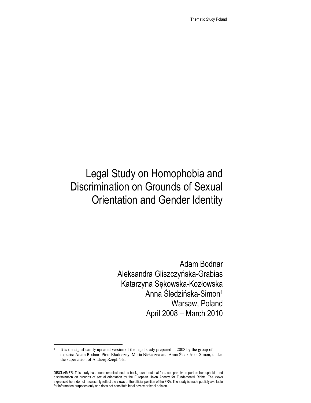Thematic Study Poland

# Legal Study on Homophobia and Discrimination on Grounds of Sexual Orientation and Gender Identity

Adam Bodnar Aleksandra Gliszczyńska-Grabias Katarzyna Sękowska-Kozłowska Anna Śledzińska-Simon<sup>1</sup> Warsaw, Poland April 2008 – March 2010

<sup>1</sup> It is the significantly updated version of the legal study prepared in 2008 by the group of experts: Adam Bodnar, Piotr Kładoczny, Maria Niełaczna and Anna Śledzińska-Simon, under the supervision of Andrzej Rzepliński

DISCLAIMER: This study has been commissioned as background material for a comparative report on homophobia and discrimination on grounds of sexual orientation by the European Union Agency for Fundamental Rights. The views expressed here do not necessarily reflect the views or the official position of the FRA. The study is made publicly available for information purposes only and does not constitute legal advice or legal opinion.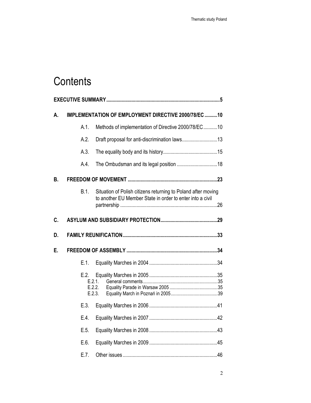# **Contents**

| А. | IMPLEMENTATION OF EMPLOYMENT DIRECTIVE 2000/78/EC 10 |                                                                                                                            |  |  |  |
|----|------------------------------------------------------|----------------------------------------------------------------------------------------------------------------------------|--|--|--|
|    | A.1.                                                 | Methods of implementation of Directive 2000/78/EC10                                                                        |  |  |  |
|    | A.2.                                                 | Draft proposal for anti-discrimination laws13                                                                              |  |  |  |
|    | A.3.                                                 |                                                                                                                            |  |  |  |
|    | A.4.                                                 |                                                                                                                            |  |  |  |
| В. |                                                      |                                                                                                                            |  |  |  |
|    | B.1.                                                 | Situation of Polish citizens returning to Poland after moving<br>to another EU Member State in order to enter into a civil |  |  |  |
| C. |                                                      |                                                                                                                            |  |  |  |
| D. |                                                      |                                                                                                                            |  |  |  |
| Е. |                                                      |                                                                                                                            |  |  |  |
|    | E.1.                                                 |                                                                                                                            |  |  |  |
|    | E.2.                                                 | E.2.1<br>E.2.2.<br>E.2.3.                                                                                                  |  |  |  |
|    | E.3.                                                 |                                                                                                                            |  |  |  |
|    | E.4.                                                 |                                                                                                                            |  |  |  |
|    | E.5.                                                 |                                                                                                                            |  |  |  |
|    | E.6.                                                 |                                                                                                                            |  |  |  |
|    |                                                      |                                                                                                                            |  |  |  |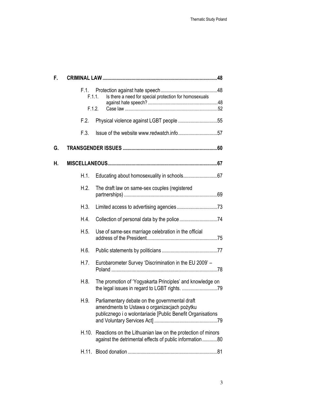| F. |                |                                                                                                                                                               |  |  |  |
|----|----------------|---------------------------------------------------------------------------------------------------------------------------------------------------------------|--|--|--|
|    | F.1.<br>F.1.1. | Is there a need for special protection for homosexuals                                                                                                        |  |  |  |
|    | F.1.2.         |                                                                                                                                                               |  |  |  |
|    | F.2.           | Physical violence against LGBT people 55                                                                                                                      |  |  |  |
|    | F.3.           |                                                                                                                                                               |  |  |  |
| G. |                |                                                                                                                                                               |  |  |  |
| н. |                |                                                                                                                                                               |  |  |  |
|    | H.1.           |                                                                                                                                                               |  |  |  |
|    | H.2.           | The draft law on same-sex couples (registered                                                                                                                 |  |  |  |
|    | H.3.           |                                                                                                                                                               |  |  |  |
|    | H.4.           |                                                                                                                                                               |  |  |  |
|    | H.5.           | Use of same-sex marriage celebration in the official                                                                                                          |  |  |  |
|    | H.6.           |                                                                                                                                                               |  |  |  |
|    | H.7.           | Eurobarometer Survey 'Discrimination in the EU 2009' -                                                                                                        |  |  |  |
|    | H.8.           | The promotion of 'Yogyakarta Principles' and knowledge on                                                                                                     |  |  |  |
|    | H.9.           | Parliamentary debate on the governmental draft<br>amendments to Ustawa o organizacjach pożytku<br>publicznego i o wolontariacie [Public Benefit Organisations |  |  |  |
|    | H.10.          | Reactions on the Lithuanian law on the protection of minors<br>against the detrimental effects of public information80                                        |  |  |  |
|    |                |                                                                                                                                                               |  |  |  |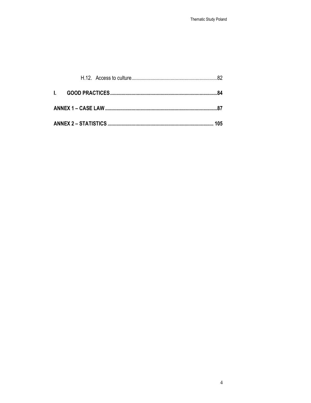|  |  |  | 105 |  |
|--|--|--|-----|--|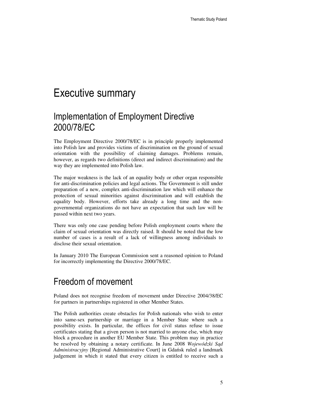# Executive summary

## Implementation of Employment Directive 2000/78/EC

The Employment Directive 2000/78/EC is in principle properly implemented into Polish law and provides victims of discrimination on the ground of sexual orientation with the possibility of claiming damages. Problems remain, however, as regards two definitions (direct and indirect discrimination) and the way they are implemented into Polish law.

The major weakness is the lack of an equality body or other organ responsible for anti-discrimination policies and legal actions. The Government is still under preparation of a new, complex anti-discrimination law which will enhance the protection of sexual minorities against discrimination and will establish the equality body. However, efforts take already a long time and the nongovernmental organizations do not have an expectation that such law will be passed within next two years.

There was only one case pending before Polish employment courts where the claim of sexual orientation was directly raised. It should be noted that the low number of cases is a result of a lack of willingness among individuals to disclose their sexual orientation.

In January 2010 The European Commission sent a reasoned opinion to Poland for incorrectly implementing the Directive 2000/78/EC.

### Freedom of movement

Poland does not recognise freedom of movement under Directive 2004/38/EC for partners in partnerships registered in other Member States.

The Polish authorities create obstacles for Polish nationals who wish to enter into same-sex partnership or marriage in a Member State where such a possibility exists. In particular, the offices for civil status refuse to issue certificates stating that a given person is not married to anyone else, which may block a procedure in another EU Member State. This problem may in practice be resolved by obtaining a notary certificate. In June 2008 *Wojewódzki S*ą*d Administracyjny* [Regional Administrative Court] in Gdańsk ruled a landmark judgement in which it stated that every citizen is entitled to receive such a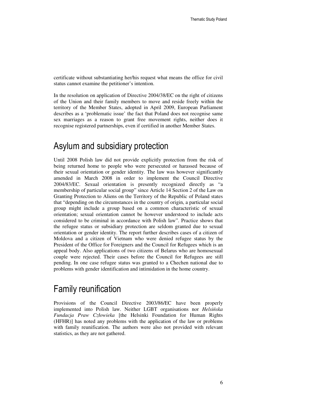certificate without substantiating her/his request what means the office for civil status cannot examine the petitioner's intention.

In the resolution on application of Directive 2004/38/EC on the right of citizens of the Union and their family members to move and reside freely within the territory of the Member States, adopted in April 2009, European Parliament describes as a 'problematic issue' the fact that Poland does not recognise same sex marriages as a reason to grant free movement rights, neither does it recognise registered partnerships, even if certified in another Member States.

### Asylum and subsidiary protection

Until 2008 Polish law did not provide explicitly protection from the risk of being returned home to people who were persecuted or harassed because of their sexual orientation or gender identity. The law was however significantly amended in March 2008 in order to implement the Council Directive 2004/83/EC. Sexual orientation is presently recognized directly as "a membership of particular social group" since Article 14 Section 2 of the Law on Granting Protection to Aliens on the Territory of the Republic of Poland states that "depending on the circumstances in the country of origin, a particular social group might include a group based on a common characteristic of sexual orientation; sexual orientation cannot be however understood to include acts considered to be criminal in accordance with Polish law". Practice shows that the refugee status or subsidiary protection are seldom granted due to sexual orientation or gender identity. The report further describes cases of a citizen of Moldova and a citizen of Vietnam who were denied refugee status by the President of the Office for Foreigners and the Council for Refugees which is an appeal body. Also applications of two citizens of Belarus who are homosexual couple were rejected. Their cases before the Council for Refugees are still pending. In one case refugee status was granted to a Chechen national due to problems with gender identification and intimidation in the home country.

### Family reunification

Provisions of the Council Directive 2003/86/EC have been properly implemented into Polish law. Neither LGBT organisations nor *Helsi*ń*ska Fundacja Praw Człowieka* [the Helsinki Foundation for Human Rights (HFHR)] has noted any problems with the application of the law or problems with family reunification. The authors were also not provided with relevant statistics, as they are not gathered.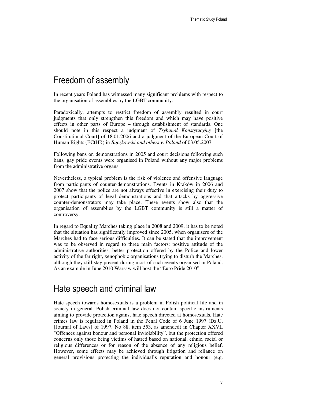### Freedom of assembly

In recent years Poland has witnessed many significant problems with respect to the organisation of assemblies by the LGBT community.

Paradoxically, attempts to restrict freedom of assembly resulted in court judgments that only strengthen this freedom and which may have positive effects in other parts of Europe – through establishment of standards. One should note in this respect a judgment of *Trybunał Konstytucyjny* [the Constitutional Court] of 18.01.2006 and a judgment of the European Court of Human Rights (ECtHR) in *B*ą*czkowski and others v. Poland* of 03.05.2007.

Following bans on demonstrations in 2005 and court decisions following such bans, gay pride events were organised in Poland without any major problems from the administrative organs.

Nevertheless, a typical problem is the risk of violence and offensive language from participants of counter-demonstrations. Events in Kraków in 2006 and 2007 show that the police are not always effective in exercising their duty to protect participants of legal demonstrations and that attacks by aggressive counter-demonstrators may take place. These events show also that the organisation of assemblies by the LGBT community is still a matter of controversy.

In regard to Equality Marches taking place in 2008 and 2009, it has to be noted that the situation has significantly improved since 2005, when organisers of the Marches had to face serious difficulties. It can be stated that the improvement was to be observed in regard to three main factors: positive attitude of the administrative authorities, better protection offered by the Police and lower activity of the far right, xenophobic organisations trying to disturb the Marches, although they still stay present during most of such events organised in Poland. As an example in June 2010 Warsaw will host the "Euro Pride 2010".

#### Hate speech and criminal law

Hate speech towards homosexuals is a problem in Polish political life and in society in general. Polish criminal law does not contain specific instruments aiming to provide protection against hate speech directed at homosexuals. Hate crimes law is regulated in Poland in the Penal Code of 6 June 1997 (Dz.U. [Journal of Laws] of 1997, No 88, item 553, as amended) in Chapter XXVII "Offences against honour and personal inviolability", but the protection offered concerns only those being victims of hatred based on national, ethnic, racial or religious differences or for reason of the absence of any religious belief. However, some effects may be achieved through litigation and reliance on general provisions protecting the individual's reputation and honour (e.g.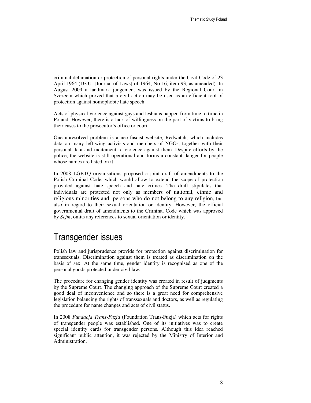criminal defamation or protection of personal rights under the Civil Code of 23 April 1964 (Dz.U. [Journal of Laws] of 1964, No 16, item 93, as amended). In August 2009 a landmark judgement was issued by the Regional Court in Szczecin which proved that a civil action may be used as an efficient tool of protection against homophobic hate speech.

Acts of physical violence against gays and lesbians happen from time to time in Poland. However, there is a lack of willingness on the part of victims to bring their cases to the prosecutor's office or court.

One unresolved problem is a neo-fascist website, Redwatch, which includes data on many left-wing activists and members of NGOs, together with their personal data and incitement to violence against them. Despite efforts by the police, the website is still operational and forms a constant danger for people whose names are listed on it.

In 2008 LGBTQ organisations proposed a joint draft of amendments to the Polish Criminal Code, which would allow to extend the scope of protection provided against hate speech and hate crimes. The draft stipulates that individuals are protected not only as members of national, ethnic and religious minorities and persons who do not belong to any religion, but also in regard to their sexual orientation or identity. However, the official governmental draft of amendments to the Criminal Code which was approved by *Sejm*, omits any references to sexual orientation or identity.

### Transgender issues

Polish law and jurisprudence provide for protection against discrimination for transsexuals. Discrimination against them is treated as discrimination on the basis of sex. At the same time, gender identity is recognised as one of the personal goods protected under civil law.

The procedure for changing gender identity was created in result of judgments by the Supreme Court. The changing approach of the Supreme Court created a good deal of inconvenience and so there is a great need for comprehensive legislation balancing the rights of transsexuals and doctors, as well as regulating the procedure for name changes and acts of civil status.

In 2008 *Fundacja Trans-Fuzja* (Foundation Trans-Fuzja) which acts for rights of transgender people was established. One of its initiatives was to create special identity cards for transgender persons. Although this idea reached significant public attention, it was rejected by the Ministry of Interior and Administration.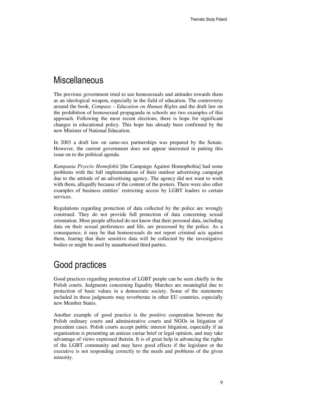### **Miscellaneous**

The previous government tried to use homosexuals and attitudes towards them as an ideological weapon, especially in the field of education. The controversy around the book, *Compass – Education on Human Rights* and the draft law on the prohibition of homosexual propaganda in schools are two examples of this approach. Following the most recent elections, there is hope for significant changes in educational policy. This hope has already been confirmed by the new Minister of National Education.

In 2003 a draft law on same-sex partnerships was prepared by the Senate. However, the current government does not appear interested in putting this issue on to the political agenda.

*Kampania Przeciw Homofobii* [the Campaign Against Homophobia] had some problems with the full implementation of their outdoor advertising campaign due to the attitude of an advertising agency. The agency did not want to work with them, allegedly because of the content of the posters. There were also other examples of business entities' restricting access by LGBT leaders to certain services.

Regulations regarding protection of data collected by the police are wrongly construed. They do not provide full protection of data concerning sexual orientation. Most people affected do not know that their personal data, including data on their sexual preferences and life, are processed by the police. As a consequence, it may be that homosexuals do not report criminal acts against them, fearing that their sensitive data will be collected by the investigative bodies or might be used by unauthorised third parties.

### Good practices

Good practices regarding protection of LGBT people can be seen chiefly in the Polish courts. Judgments concerning Equality Marches are meaningful due to protection of basic values in a democratic society. Some of the statements included in these judgments may reverberate in other EU countries, especially new Member States.

Another example of good practice is the positive cooperation between the Polish ordinary courts and administrative courts and NGOs in litigation of precedent cases. Polish courts accept public interest litigation, especially if an organisation is presenting an amicus curiae brief or legal opinion, and may take advantage of views expressed therein. It is of great help in advancing the rights of the LGBT community and may have good effects if the legislator or the executive is not responding correctly to the needs and problems of the given minority.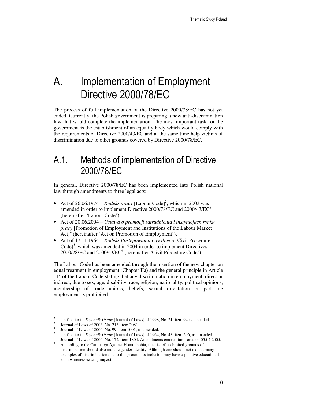# A. Implementation of Employment Directive 2000/78/EC

The process of full implementation of the Directive 2000/78/EC has not yet ended. Currently, the Polish government is preparing a new anti-discrimination law that would complete the implementation. The most important task for the government is the establishment of an equality body which would comply with the requirements of Directive 2000/43/EC and at the same time help victims of discrimination due to other grounds covered by Directive 2000/78/EC.

## A.1. Methods of implementation of Directive 2000/78/EC

In general, Directive 2000/78/EC has been implemented into Polish national law through amendments to three legal acts:

- Act of  $26.06.1974 *Kodeks* \text{ } pracy$  [Labour Code]<sup>2</sup>, which in 2003 was amended in order to implement Directive 2000/78/EC and 2000/43/EC<sup>3</sup> (hereinafter 'Labour Code');
- Act of 20.06.2004 *Ustawa o promocji zatrudnienia i instytucjach rynku pracy* [Promotion of Employment and Institutions of the Labour Market  $Act$ <sup>4</sup> (hereinafter 'Act on Promotion of Employment'),
- Act of 17.11.1964 *Kodeks Post*ę*powania Cywilnego* [Civil Procedure  $Code]^{5}$ , which was amended in 2004 in order to implement Directives 2000/78/EC and 2000/43/EC<sup>6</sup> (hereinafter 'Civil Procedure Code').

The Labour Code has been amended through the insertion of the new chapter on equal treatment in employment (Chapter IIa) and the general principle in Article 11<sup>3</sup> of the Labour Code stating that any discrimination in employment, direct or indirect, due to sex, age, disability, race, religion, nationality, political opinions, membership of trade unions, beliefs, sexual orientation or part-time employment is prohibited.<sup>7</sup>

<sup>2</sup> Unified text – *Dziennik Ustaw* [Journal of Laws] of 1998, No. 21, item 94 as amended.

<sup>3</sup> Journal of Laws of 2003, No. 213, item 2081.

<sup>4</sup> Journal of Laws of 2004, No. 99, item 1001, as amended.

<sup>5</sup> Unified text – *Dziennik Ustaw* [Journal of Laws] of 1964, No. 43, item 296, as amended.

<sup>6</sup> Journal of Laws of 2004, No. 172, item 1804. Amendments entered into force on 05.02.2005.

<sup>7</sup> According to the Campaign Against Homophobia, this list of prohibited grounds of discrimination should also include gender identity. Although one should not expect many examples of discrimination due to this ground, its inclusion may have a positive educational and awareness-raising impact.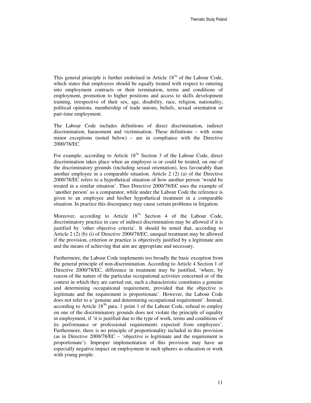This general principle is further enshrined in Article  $18<sup>3a</sup>$  of the Labour Code, which states that employees should be equally treated with respect to entering into employment contracts or their termination, terms and conditions of employment, promotion to higher positions and access to skills development training, irrespective of their sex, age, disability, race, religion, nationality, political opinions, membership of trade unions, beliefs, sexual orientation or part-time employment.

The Labour Code includes definitions of direct discrimination, indirect discrimination, harassment and victimisation. These definitions – with some minor exceptions (noted below) – are in compliance with the Directive 2000/78/EC.

For example, according to Article  $18<sup>3a</sup>$  Section 3 of the Labour Code, direct discrimination takes place when an employee is or could be treated, on one of the discriminatory grounds (including sexual orientation), less favourably than another employee in a comparable situation. Article 2 (2) (a) of the Directive 2000/78/EC refers to a hypothetical situation of how another person 'would be treated in a similar situation'. Thus Directive 2000/78/EC uses the example of 'another person' as a comparator, while under the Labour Code the reference is given to an employee and his/her hypothetical treatment in a comparable situation. In practice this discrepancy may cause certain problems in litigation.

Moreover, according to Article  $18^{3a}$  Section 4 of the Labour Code, discriminatory practice in case of indirect discrimination may be allowed if it is justified by 'other objective criteria'. It should be noted that, according to Article 2 (2) (b) (i) of Directive 2000/78/EC, unequal treatment may be allowed if the provision, criterion or practice is objectively justified by a legitimate aim and the means of achieving that aim are appropriate and necessary.

Furthermore, the Labour Code implements too broadly the basic exception from the general principle of non-discrimination. According to Article 4 Section 1 of Directive 2000/78/EC, difference in treatment may be justified, 'where, by reason of the nature of the particular occupational activities concerned or of the context in which they are carried out, such a characteristic constitutes a genuine and determining occupational requirement, provided that the objective is legitimate and the requirement is proportionate'. However, the Labour Code does not refer to a 'genuine and determining occupational requirement'. Instead, according to Article  $18^{3b}$  para. 1 point 1 of the Labour Code, refusal to employ on one of the discriminatory grounds does not violate the principle of equality in employment, if 'it is justified due to the type of work, terms and conditions of its performance or professional requirements expected from employees'. Furthermore, there is no principle of proportionality included in this provision (as in Directive 2000/78/EC – 'objective is legitimate and the requirement is proportionate'). Improper implementation of this provision may have an especially negative impact on employment in such spheres as education or work with young people.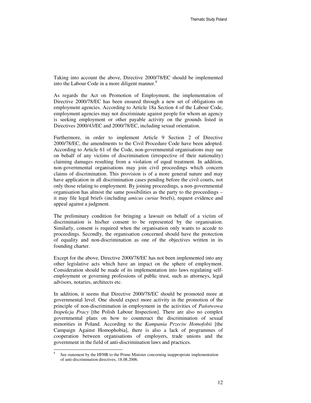Taking into account the above, Directive 2000/78/EC should be implemented into the Labour Code in a more diligent manner.<sup>8</sup>

As regards the Act on Promotion of Employment, the implementation of Directive 2000/78/EC has been ensured through a new set of obligations on employment agencies. According to Article 18a Section 4 of the Labour Code, employment agencies may not discriminate against people for whom an agency is seeking employment or other payable activity on the grounds listed in Directives 2000/43/EC and 2000/78/EC, including sexual orientation.

Furthermore, in order to implement Article 9 Section 2 of Directive 2000/78/EC, the amendments to the Civil Procedure Code have been adopted. According to Article 61 of the Code, non-governmental organisations may sue on behalf of any victims of discrimination (irrespective of their nationality) claiming damages resulting from a violation of equal treatment. In addition, non-governmental organisations may join civil proceedings which concern claims of discrimination. This provision is of a more general nature and may have application in all discrimination cases pending before the civil courts, not only those relating to employment. By joining proceedings, a non-governmental organisation has almost the same possibilities as the party to the proceedings – it may file legal briefs (including *amicus curiae* briefs), request evidence and appeal against a judgment.

The preliminary condition for bringing a lawsuit on behalf of a victim of discrimination is his/her consent to be represented by the organisation. Similarly, consent is required when the organisation only wants to accede to proceedings. Secondly, the organisation concerned should have the protection of equality and non-discrimination as one of the objectives written in its founding charter.

Except for the above, Directive 2000/78/EC has not been implemented into any other legislative acts which have an impact on the sphere of employment. Consideration should be made of its implementation into laws regulating selfemployment or governing professions of public trust, such as attorneys, legal advisors, notaries, architects etc.

In addition, it seems that Directive 2000/78/EC should be promoted more at governmental level. One should expect more activity in the promotion of the principle of non-discrimination in employment in the activities of *Pa*ń*stwowa Inspekcja Pracy* [the Polish Labour Inspection]. There are also no complex governmental plans on how to counteract the discrimination of sexual minorities in Poland. According to the *Kampania Przeciw Homofobii* [the Campaign Against Homophobia], there is also a lack of programmes of cooperation between organisations of employers, trade unions and the government in the field of anti-discrimination laws and practices.

<sup>8</sup> See statement by the HFHR to the Prime Minister concerning inappropriate implementation of anti-discrimination directives, 18.08.2006.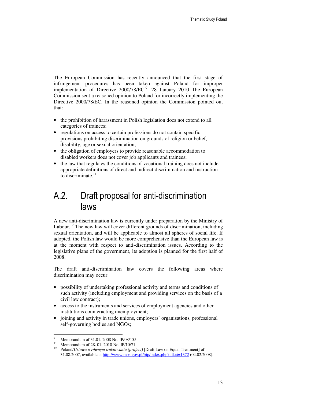The European Commission has recently announced that the first stage of infringement procedures has been taken against Poland for improper implementation of Directive 2000/78/EC.<sup>9</sup>. 28 January 2010 The European Commission sent a reasoned opinion to Poland for incorrectly implementing the Directive 2000/78/EC. In the reasoned opinion the Commission pointed out that:

- the prohibition of harassment in Polish legislation does not extend to all categories of trainees;
- regulations on access to certain professions do not contain specific provisions prohibiting discrimination on grounds of religion or belief, disability, age or sexual orientation;
- the obligation of employers to provide reasonable accommodation to disabled workers does not cover job applicants and trainees;
- the law that regulates the conditions of vocational training does not include appropriate definitions of direct and indirect discrimination and instruction to discriminate. $11$

## A.2. Draft proposal for anti-discrimination laws

A new anti-discrimination law is currently under preparation by the Ministry of Labour.<sup>12</sup> The new law will cover different grounds of discrimination, including sexual orientation, and will be applicable to almost all spheres of social life. If adopted, the Polish law would be more comprehensive than the European law is at the moment with respect to anti-discrimination issues. According to the legislative plans of the government, its adoption is planned for the first half of 2008.

The draft anti-discrimination law covers the following areas where discrimination may occur:

- possibility of undertaking professional activity and terms and conditions of such activity (including employment and providing services on the basis of a civil law contract);
- access to the instruments and services of employment agencies and other institutions counteracting unemployment;
- joining and activity in trade unions, employers' organisations, professional self-governing bodies and NGOs;

 $\ddot{ }$ 9 <sup>9</sup> Memorandum of 31.01. 2008 No. IP/08/155.

<sup>&</sup>lt;sup>11</sup> Memorandum of 28. 01. 2010 No. IP/10/71.

<sup>12</sup> Poland/*Ustawa o równym traktowaniu (project)* [Draft Law on Equal Treatment] of 31.08.2007, available at http://www.mps.gov.pl/bip/index.php?idkat=1372 (04.02.2008).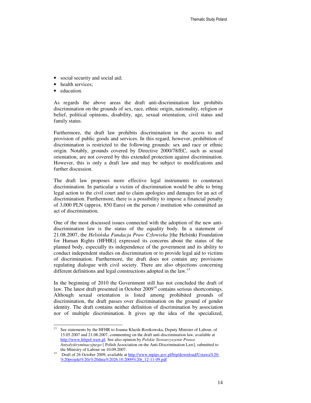- social security and social aid;
- health services;
- education.

As regards the above areas the draft anti-discrimination law prohibits discrimination on the grounds of sex, race, ethnic origin, nationality, religion or belief, political opinions, disability, age, sexual orientation, civil status and family status.

Furthermore, the draft law prohibits discrimination in the access to and provision of public goods and services. In this regard, however, prohibition of discrimination is restricted to the following grounds: sex and race or ethnic origin. Notably, grounds covered by Directive 2000/78/EC, such as sexual orientation, are not covered by this extended protection against discrimination. However, this is only a draft law and may be subject to modifications and further discussion.

The draft law proposes more effective legal instruments to counteract discrimination. In particular a victim of discrimination would be able to bring legal action to the civil court and to claim apologies and damages for an act of discrimination. Furthermore, there is a possibility to impose a financial penalty of 3,000 PLN (approx. 850 Euro) on the person / institution who committed an act of discrimination.

One of the most discussed issues connected with the adoption of the new antidiscrimination law is the status of the equality body. In a statement of 21.08.2007, the *Helsi*ń*ska Fundacja Praw Człowieka* [the Helsinki Foundation for Human Rights (HFHR)] expressed its concerns about the status of the planned body, especially its independence of the government and its ability to conduct independent studies on discrimination or to provide legal aid to victims of discrimination. Furthermore, the draft does not contain any provisions regulating dialogue with civil society. There are also objections concerning different definitions and legal constructions adopted in the law.<sup>13</sup>

In the beginning of 2010 the Government still has not concluded the draft of law. The latest draft presented in October  $2009<sup>14</sup>$  contains serious shortcomings. Although sexual orientation is listed among prohibited grounds of discrimination, the draft passes over discrimination on the ground of gender identity. The draft contains neither definition of discrimination by association nor of multiple discrimination. It gives up the idea of the specialized,

<sup>13</sup> See statements by the HFHR to Joanna Kluzik-Rostkowska, Deputy Minister of Labour, of 15.05.2007 and 21.08.2007, commenting on the draft anti-discrimination law, available at http://www.hfrpol.waw.pl. See also opinion by *Polskie Stowarzyszenie Prawa Antydyskryminacyjnego* [ Polish Association on the Anti-Discrimination Law], submitted to the Ministry of Labour on 10.09.2007.

Draft of 26 October 2009, available at http://www.mpips.gov.pl/bip/download/Ustawa%20-%20projekt%20z%20dnia%2026.10.2009%20r\_12-11-09.pdf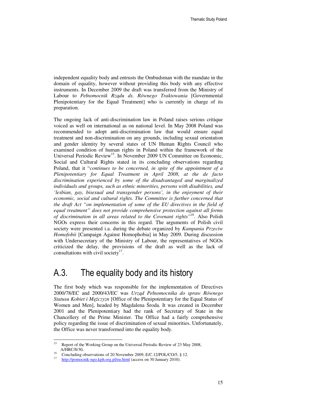independent equality body and entrusts the Ombudsman with the mandate in the domain of equality, however without providing this body with any effective instruments. In December 2009 the draft was transferred from the Ministry of Labour to *Pełnomocnik Rz*ą*du ds. Równego Traktowania* [Governmental Plenipotentiary for the Equal Treatment] who is currently in charge of its preparation.

The ongoing lack of anti-discrimination law in Poland raises serious critique voiced as well on international as on national level. In May 2008 Poland was recommended to adopt anti-discrimination law that would ensure equal treatment and non-discrimination on any grounds, including sexual orientation and gender identity by several states of UN Human Rights Council who examined condition of human rights in Poland within the framework of the Universal Periodic Review<sup>15</sup>. In November 2009 UN Committee on Economic, Social and Cultural Rights stated in its concluding observations regarding Poland, that it "*continues to be concerned, in spite of the appointment of a Plenipotentiary for Equal Treatment in April 2008, at the de facto discrimination experienced by some of the disadvantaged and marginalized individuals and groups, such as ethnic minorities, persons with disabilities, and 'lesbian, gay, bisexual and transgender persons', in the enjoyment of their*  economic, social and cultural rights. The Committee is further concerned that *the draft Act "on implementation of some of the EU directives in the field of equal treatment" does not provide comprehensive protection against all forms of discrimination in all areas related to the Covenant rights"<sup>16</sup>*. Also Polish NGOs express their concerns in this regard. The arguments of Polish civil society were presented i.a. during the debate organized by *Kampania Przeciw Homofobii* [Campaign Against Homophobia] in May 2009. During discussion with Undersecretary of the Ministry of Labour, the representatives of NGOs criticized the delay, the provisions of the draft as well as the lack of consultations with civil society $17$ .

## A.3. The equality body and its history

The first body which was responsible for the implementation of Directives 2000/78/EC and 2000/43/EC was *Urz*ą*d Pełnomocnika do spraw Równego Statusu Kobiet i M*ęż*czyzn* [Office of the Plenipotentiary for the Equal Status of Women and Men], headed by Magdalena Środa. It was created in December 2001 and the Plenipotentiary had the rank of Secretary of State in the Chancellery of the Prime Minister. The Office had a fairly comprehensive policy regarding the issue of discrimination of sexual minorities. Unfortunately, the Office was never transformed into the equality body.

<sup>15</sup> Report of the Working Group on the Universal Periodic Review of 23 May 2008, A/HRC/8/30,

<sup>&</sup>lt;sup>16</sup> Concluding observations of 20 November 2009, E/C.12/POL/CO/5, § 12.

<sup>17</sup> http://pomocnik-ngo.kph.org.pl/eu.html (access on 30 January 2010).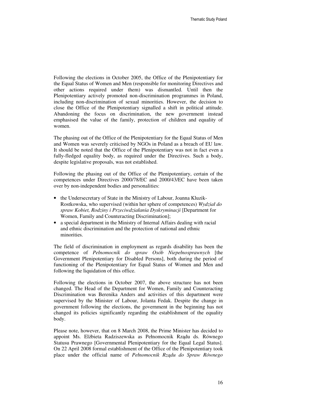Following the elections in October 2005, the Office of the Plenipotentiary for the Equal Status of Women and Men (responsible for monitoring Directives and other actions required under them) was dismantled. Until then the Plenipotentiary actively promoted non-discrimination programmes in Poland, including non-discrimination of sexual minorities. However, the decision to close the Office of the Plenipotentiary signalled a shift in political attitude. Abandoning the focus on discrimination, the new government instead emphasised the value of the family, protection of children and equality of women.

The phasing out of the Office of the Plenipotentiary for the Equal Status of Men and Women was severely criticised by NGOs in Poland as a breach of EU law. It should be noted that the Office of the Plenipotentiary was not in fact even a fully-fledged equality body, as required under the Directives. Such a body, despite legislative proposals, was not established.

Following the phasing out of the Office of the Plenipotentiary, certain of the competences under Directives 2000/78/EC and 2000/43/EC have been taken over by non-independent bodies and personalities:

- the Undersecretary of State in the Ministry of Labour, Joanna Kluzik-Rostkowska, who supervised (within her sphere of competences) *Wydział do spraw Kobiet, Rodziny i Przeciwdziałania Dyskryminacji* [Department for Women, Family and Counteracting Discrimination];
- a special department in the Ministry of Internal Affairs dealing with racial and ethnic discrimination and the protection of national and ethnic minorities.

The field of discrimination in employment as regards disability has been the competence of *Pełnomocnik do spraw Osób Niepełnosprawnych* [the Government Plenipotentiary for Disabled Persons], both during the period of functioning of the Plenipotentiary for Equal Status of Women and Men and following the liquidation of this office.

Following the elections in October 2007, the above structure has not been changed. The Head of the Department for Women, Family and Counteracting Discrimination was Berenika Anders and activities of this department were supervised by the Minister of Labour, Jolanta Fedak. Despite the change in government following the elections, the government in the beginning has not changed its policies significantly regarding the establishment of the equality body.

Please note, however, that on 8 March 2008, the Prime Minister has decided to appoint Ms. Elżbieta Radziszewska as Pełnomocnik Rządu ds. Równego Statusu Prawnego [Governmental Plenipotentiary for the Equal Legal Status]. On 22 April 2008 formal establishment of the Office of the Plenipotentiary took place under the official name of *Pełnomocnik Rz*ą*du do Spraw Równego*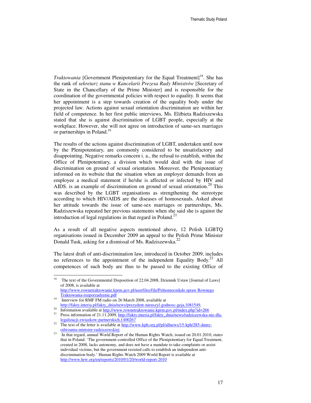*Traktowania* [Government Plenipotentiary for the Equal Treatment]<sup>18</sup>. She has the rank of *sekretarz stanu w Kancelarii Prezesa Rady Ministrów* [Secretary of State in the Chancellary of the Prime Minister] and is responsible for the coordination of the governmental policies with respect to equality. It seems that her appointment is a step towards creation of the equality body under the projected law. Actions against sexual orientation discrimination are within her field of competence. In her first public interviews, Ms. Elżbieta Radziszewska stated that she is against discrimination of LGBT people, especially at the workplace. However, she will not agree on introduction of same-sex marriages or partnerships in Poland.<sup>19</sup>

The results of the actions against discrimination of LGBT, undertaken until now by the Plenipotentiary, are commonly considered to be unsatisfactory and disappointing. Negative remarks concern i. a., the refusal to establish, within the Office of Plenipotentiary, a division which would deal with the issue of discrimination on ground of sexual orientation. Moreover, the Plenipotentiary informed on its website that the situation when an employer demands from an employee a medical statement if he/she is affected or infected by HIV and AIDS, is an example of discrimination on ground of sexual orientation.<sup>20</sup> This was described by the LGBT organisations as strengthening the stereotype according to which HIV/AIDS are the diseases of homosexuals. Asked about her attitude towards the issue of same-sex marriages or partnerships, Ms. Radziszewska repeated her previous statements when she said she is against the introduction of legal regulations in that regard in Poland. $^{21}$ 

As a result of all negative aspects mentioned above, 12 Polish LGBTQ organisations issued in December 2009 an appeal to the Polish Prime Minister Donald Tusk, asking for a dismissal of Ms. Radziszewska.<sup>22</sup>

The latest draft of anti-discrimination law, introduced in October 2009, includes no references to the appointment of the independent Equality Body.<sup>23</sup> All competences of such body are thus to be passed to the existing Office of

http://www.rownetraktowanie.kprm.gov.pl/userfiles/file/Pelnomocnikdo spraw Rownego Traktowania-rozporzadzenie.pdf

<sup>18</sup> The text of the Governmental Disposition of 22.04.2008, Dziennik Ustaw [Journal of Laws] of 2008, is available at

<sup>&</sup>lt;sup>19</sup> Interview for RMF FM radio on 26 March 2008, available at http://fakty.interia.pl/fakty\_dnia/news/prezydent-naruszyl-godnosc-geja,1081549,

<sup>&</sup>lt;sup>20</sup> Information available at  $\frac{http://www.rownetraktowanie.kprm.gov.pl/index.php?id=266}{http://www.rownetraktowanie.kprm.gov.pl/index.php?id=266}$ 

Press information of 21.11.2009, http://fakty.interia.pl/fakty\_dnia/news/radziszewska-nie-dlalegalizacji-zwiazkow-partnerskich,1400267

<sup>&</sup>lt;sup>22</sup> The text of the letter is available at <u>http://www.kph.org.pl/pl/allnews/15-kph/285-damy-</u> odwoania-minister-radziszewskiej

<sup>23</sup> In that regard, annual World Report of the Human Rights Watch, issued on 20.01.2010, states that in Poland: 'The government-controlled Office of the Plenipotentiary for Equal Treatment, created in 2008, lacks autonomy, and does not have a mandate to take complaints or assist individual victims, but the government resisted calls to establish an independent antidiscrimination body.' Human Rights Watch 2009 World Report is available at http://www.hrw.org/en/reports/2010/01/20/world-report-2010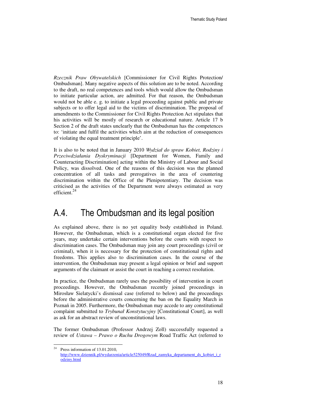*Rzecznik Praw Obywatelskich* [Commissioner for Civil Rights Protection/ Ombudsman]. Many negative aspects of this solution are to be noted. According to the draft, no real competences and tools which would allow the Ombudsman to initiate particular action, are admitted. For that reason, the Ombudsman would not be able e. g. to initiate a legal proceeding against public and private subjects or to offer legal aid to the victims of discrimination. The proposal of amendments to the Commissioner for Civil Rights Protection Act stipulates that his activities will be mostly of research or educational nature. Article 17 b Section 2 of the draft states unclearly that the Ombudsman has the competences to: 'initiate and fulfil the activities which aim at the reduction of consequences of violating the equal treatment principle'.

It is also to be noted that in January 2010 *Wydział do spraw Kobiet, Rodziny i Przeciwdziałania Dyskryminacji* [Department for Women, Family and Counteracting Discrimination] acting within the Ministry of Labour and Social Policy, was dissolved. One of the reasons of this decision was the planned concentration of all tasks and prerogatives in the area of countering discrimination within the Office of the Plenipotentiary. The decision was criticised as the activities of the Department were always estimated as very efficient $^{24}$ 

### A.4. The Ombudsman and its legal position

As explained above, there is no yet equality body established in Poland. However, the Ombudsman, which is a constitutional organ elected for five years, may undertake certain interventions before the courts with respect to discrimination cases. The Ombudsman may join any court proceedings (civil or criminal), when it is necessary for the protection of constitutional rights and freedoms. This applies also to discrimination cases. In the course of the intervention, the Ombudsman may present a legal opinion or brief and support arguments of the claimant or assist the court in reaching a correct resolution.

In practice, the Ombudsman rarely uses the possibility of intervention in court proceedings. However, the Ombudsman recently joined proceedings in Mirosław Sielatycki's dismissal case (referred to below) and the proceedings before the administrative courts concerning the ban on the Equality March in Poznań in 2005. Furthermore, the Ombudsman may accede to any constitutional complaint submitted to *Trybunał Konstytucyjny* [Constitutional Court], as well as ask for an abstract review of unconstitutional laws.

The former Ombudsman (Professor Andrzej Zoll) successfully requested a review of *Ustawa – Prawo o Ruchu Drogowym* Road Traffic Act (referred to

<sup>24</sup> Press information of 13.01.2010. http://www.dziennik.pl/wydarzenia/article525049/Rzad\_zamyka\_departament\_ds\_kobiet\_i\_r odziny.html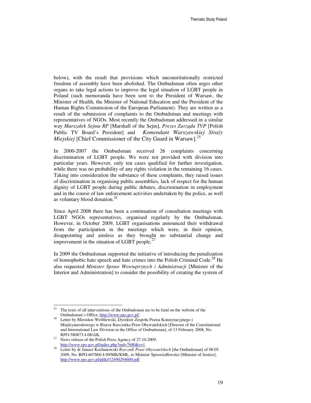below), with the result that provisions which unconstitutionally restricted freedom of assembly have been abolished. The Ombudsman often urges other organs to take legal actions to improve the legal situation of LGBT people in Poland (such memoranda have been sent to the President of Warsaw, the Minister of Health, the Minister of National Education and the President of the Human Rights Commission of the European Parliament). They are written as a result of the submission of complaints to the Ombudsman and meetings with representatives of NGOs. Most recently the Ombudsman addressed in a similar way *Marszałek Sejmu RP* [Marshall of the Sejm], *Prezes Zarz*ą*du TVP* [Polish Public TV Board's President] and *Komendant Warszawskiej Stra*ż*y Miejskiej* [Chief Commissioner of the City Guard in Warsaw].<sup>25</sup>

In 2000-2007 the Ombudsman received 26 complaints concerning discrimination of LGBT people. We were not provided with division into particular years. However, only ten cases qualified for further investigation, while there was no probability of any rights violation in the remaining 16 cases. Taking into consideration the substance of these complaints, they raised issues of discrimination in organising public assemblies, lack of respect for the human dignity of LGBT people during public debates, discrimination in employment and in the course of law enforcement activities undertaken by the police, as well as voluntary blood donation.<sup>26</sup>

Since April 2008 there has been a continuation of consultation meetings with LGBT NGOs representatives, organised regularly by the Ombudsman. However, in October 2009, LGBT organisations announced their withdrawal from the participation in the meetings which were, in their opinion, disappointing and aimless as they brought no substantial change and improvement in the situation of LGBT people. $<sup>2</sup>$ </sup>

In 2009 the Ombudsman supported the initiative of introducing the penalization of homophobic hate speech and hate crimes into the Polish Criminal Code.<sup>28</sup> He also requested *Minister Spraw Wewn*ę*trznych i Administracji* [Minister of the Interior and Administration] to consider the possibility of creating the system of

<sup>25</sup> The texts of all interventions of the Ombudsman are to be fund on the website of the Ombudsman's Office, http://www.rpo.gov.pl/

Letter by Mirosław Wróblewski, Dyrektor Zespołu Prawa Konstytucyjnego i Międzynarodowego w Biurze Rzecznika Praw Obywatelskich [Director of the Constitutional and International Law Division in the Office of Ombudsman], of 13 February 2008, No. RPO-580873-I-08/AK.

<sup>&</sup>lt;sup>27</sup> News release of the Polish Press Agency of 27.10.2009, http://www.rpo.gov.pl/index.php?md=7680&s=1

<sup>&</sup>lt;sup>28</sup> Letter by dr Janusz Kochanowski *Rzecznik Praw Obywatelskich* [the Ombudsman] of 08.05. 2009, No. RPO-607860-I-09/MK/KMŁ, to Minister Sprawiedliwości [Minister of Justice], http://www.rpo.gov.pl/pliki/12490294600.pdf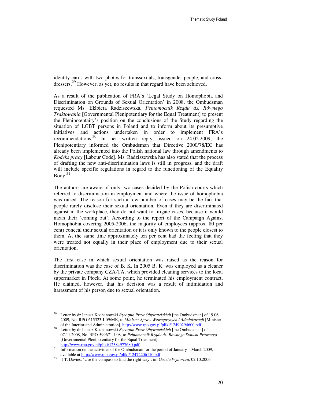identity cards with two photos for transsexuals, transgender people, and crossdressers.<sup>29</sup> However, as yet, no results in that regard have been achieved.

As a result of the publication of FRA's 'Legal Study on Homophobia and Discrimination on Grounds of Sexual Orientation' in 2008, the Ombudsman requested Ms. Elżbieta Radziszewska, *Pełnomocnik Rz*ą*du ds. Równego Traktowania* [Governmental Plenipotentiary for the Equal Treatment] to present the Plenipotentairy's position on the conclusions of the Study regarding the situation of LGBT persons in Poland and to inform about its presumptive initiatives and actions undertaken in order to implement FRA's recommendations.<sup>30</sup> In her written reply, issued on 24.02.2009, the Plenipotentiary informed the Ombudsman that Directive 2000/78/EC has already been implemented into the Polish national law through amendments to *Kodeks pracy* [Labour Code]. Ms. Radziszewska has also stated that the process of drafting the new anti-discrimination laws is still in progress, and the draft will include specific regulations in regard to the functioning of the Equality  $Body.<sup>31</sup>$ 

The authors are aware of only two cases decided by the Polish courts which referred to discrimination in employment and where the issue of homophobia was raised. The reason for such a low number of cases may be the fact that people rarely disclose their sexual orientation. Even if they are discriminated against in the workplace, they do not want to litigate cases, because it would mean their 'coming out'. According to the report of the Campaign Against Homophobia covering 2005-2006, the majority of employees (approx. 80 per cent) conceal their sexual orientation or it is only known to the people closest to them. At the same time approximately ten per cent had the feeling that they were treated not equally in their place of employment due to their sexual orientation.

The first case in which sexual orientation was raised as the reason for discrimination was the case of B. K. In 2005 B. K. was employed as a cleaner by the private company CZA-TA, which provided cleaning services to the local supermarket in Płock. At some point, he terminated his employment contract. He claimed, however, that his decision was a result of intimidation and harassment of his person due to sexual orientation.

<sup>29</sup> <sup>29</sup> Letter by dr Janusz Kochanowski *Rzecznik Praw Obywatelskich* [the Ombudsman] of 19.06. 2009, No. RPO-615323-I-09/MK, to *Minister Spraw Wewn*ę*trznych i Administracji* [Minister of the Interior and Administration], http://www.rpo.gov.pl/pliki/12490294600.pdf

<sup>30</sup> Letter by dr Janusz Kochanowski *Rzecznik Praw Obywatelskich* [the Ombudsman] of 07.11.2008, No. RPO-599671-I-08, to *Pełnomocnik Rz*ą*du ds. Równego Statusu Prawnego* [Governmental Plenipotentiary for the Equal Treatment], http://www.rpo.gov.pl/pliki/12384977680.pdf

 $\frac{31}{\text{Information on the activities of the Ombudsman for the period of January - March 2009, }$ available at http://www.rpo.gov.pl/pliki/12472206110.pdf

<sup>33</sup> f T. Davies, 'Use the compass to find the right way', in: *Gazeta Wyborcza*, 02.10.2006.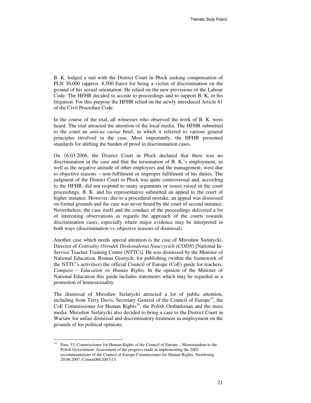B. K. lodged a suit with the District Court in Płock seeking compensation of PLN 30,000 (approx. 8,500 Euro) for being a victim of discrimination on the ground of his sexual orientation. He relied on the new provisions of the Labour Code. The HFHR decided to accede to proceedings and to support B. K. in his litigation. For this purpose the HFHR relied on the newly introduced Article 61 of the Civil Procedure Code.

In the course of the trial, all witnesses who observed the work of B. K. were heard. The trial attracted the attention of the local media. The HFHR submitted to the court an *amicus curiae* brief, in which it referred to various general principles involved in the case. Most importantly, the HFHR presented standards for shifting the burden of proof in discrimination cases.

On 16.03.2006, the District Court in Płock declared that there was no discrimination in the case and that the termination of B. K.'s employment, as well as the negative attitude of other employees and the management, were due to objective reasons – non-fulfilment or improper fulfilment of his duties. The judgment of the District Court in Płock was quite controversial and, according to the HFHR, did not respond to many arguments or issues raised in the court proceedings. B. K. and his representative submitted an appeal to the court of higher instance. However, due to a procedural mistake, an appeal was dismissed on formal grounds and the case was never heard by the court of second instance. Nevertheless, the case itself and the conduct of the proceedings delivered a lot of interesting observations as regards the approach of the courts towards discrimination cases, especially where major evidence may be interpreted in both ways (discrimination vs. objective reasons of dismissal).

Another case which needs special attention is the case of Mirosław Sielatycki, Director of *Centralny O*ś*rodek Doskonalenia Nauczycieli (CODN*) [National In-Service Teacher Training Centre (NTTC)]. He was dismissed by the Minister of National Education, Roman Giertych, for publishing (within the framework of the NTTC's activities) the official Council of Europe (CoE) guide for teachers, *Compass – Education on Human Rights*. In the opinion of the Minister of National Education this guide includes statements which may be regarded as a promotion of homosexuality.

The dismissal of Mirosław Sielatycki attracted a lot of public attention, including from Terry Davis, Secretary General of the Council of Europe<sup>33</sup>, the CoE Commissioner for Human Rights<sup>34</sup>, the Polish Ombudsman and the mass media. Mirosław Sielatycki also decided to bring a case to the District Court in Warsaw for unfair dismissal and discriminatory treatment in employment on the grounds of his political opinions.

Para. 53, Commissioner for Human Rights of the Council of Europe – Memorandum to the Polish Government. Assessment of the progress made in implementing the 2002 recommendations of the Council of Europe Commissioner for Human Rights, Strasbourg, 20.06.2007, CommDH(2007)13.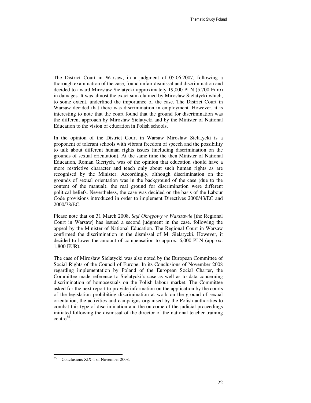The District Court in Warsaw, in a judgment of 05.06.2007, following a thorough examination of the case, found unfair dismissal and discrimination and decided to award Mirosław Sielatycki approximately 19,000 PLN (5,700 Euro) in damages. It was almost the exact sum claimed by Mirosław Sielatycki which, to some extent, underlined the importance of the case. The District Court in Warsaw decided that there was discrimination in employment. However, it is interesting to note that the court found that the ground for discrimination was the different approach by Mirosław Sielatycki and by the Minister of National Education to the vision of education in Polish schools.

In the opinion of the District Court in Warsaw Mirosław Sielatycki is a proponent of tolerant schools with vibrant freedom of speech and the possibility to talk about different human rights issues (including discrimination on the grounds of sexual orientation). At the same time the then Minister of National Education, Roman Giertych, was of the opinion that education should have a more restrictive character and teach only about such human rights as are recognised by the Minister. Accordingly, although discrimination on the grounds of sexual orientation was in the background of the case (due to the content of the manual), the real ground for discrimination were different political beliefs. Nevertheless, the case was decided on the basis of the Labour Code provisions introduced in order to implement Directives 2000/43/EC and 2000/78/EC.

Please note that on 31 March 2008, *S*ą*d Okr*ę*gowy w Warszawie* [the Regional Court in Warsaw] has issued a second judgment in the case, following the appeal by the Minister of National Education. The Regional Court in Warsaw confirmed the discrimination in the dismissal of M. Sielatycki. However, it decided to lower the amount of compensation to approx. 6,000 PLN (approx. 1,800 EUR).

The case of Mirosław Sielatycki was also noted by the European Committee of Social Rights of the Council of Europe. In its Conclusions of November 2008 regarding implementation by Poland of the European Social Charter, the Committee made reference to Sielatycki's case as well as to data concerning discrimination of homosexuals on the Polish labour market. The Committee asked for the next report to provide information on the application by the courts of the legislation prohibiting discrimination at work on the ground of sexual orientation, the activities and campaigns organised by the Polish authorities to combat this type of discrimination and the outcome of the judicial proceedings initiated following the dismissal of the director of the national teacher training centre<sup>35</sup>.

<sup>-</sup><sup>35</sup> Conclusions XIX-1 of November 2008.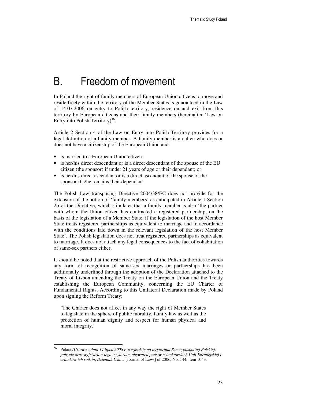# B. Freedom of movement

In Poland the right of family members of European Union citizens to move and reside freely within the territory of the Member States is guaranteed in the Law of 14.07.2006 on entry to Polish territory, residence on and exit from this territory by European citizens and their family members (hereinafter 'Law on Entry into Polish Territory) $36$ .

Article 2 Section 4 of the Law on Entry into Polish Territory provides for a legal definition of a family member. A family member is an alien who does or does not have a citizenship of the European Union and:

• is married to a European Union citizen;

 $\ddot{ }$ 

- is her/his direct descendant or is a direct descendant of the spouse of the EU citizen (the sponsor) if under 21 years of age or their dependant; or
- is her/his direct ascendant or is a direct ascendant of the spouse of the sponsor if s/he remains their dependant.

The Polish Law transposing Directive 2004/38/EC does not provide for the extension of the notion of 'family members' as anticipated in Article 1 Section 2b of the Directive, which stipulates that a family member is also 'the partner with whom the Union citizen has contracted a registered partnership, on the basis of the legislation of a Member State, if the legislation of the host Member State treats registered partnerships as equivalent to marriage and in accordance with the conditions laid down in the relevant legislation of the host Member State'. The Polish legislation does not treat registered partnerships as equivalent to marriage. It does not attach any legal consequences to the fact of cohabitation of same-sex partners either.

It should be noted that the restrictive approach of the Polish authorities towards any form of recognition of same-sex marriages or partnerships has been additionally underlined through the adoption of the Declaration attached to the Treaty of Lisbon amending the Treaty on the European Union and the Treaty establishing the European Community, concerning the EU Charter of Fundamental Rights. According to this Unilateral Declaration made by Poland upon signing the Reform Treaty:

'The Charter does not affect in any way the right of Member States to legislate in the sphere of public morality, family law as well as the protection of human dignity and respect for human physical and moral integrity.'

<sup>36</sup> Poland/*Ustawa z dnia 14 lipca 2006 r. o wje*ź*dzie na terytorium Rzeczypospolitej Polskiej, pobycie oraz wyje*ź*dzie z tego terytorium obywateli pa*ń*stw członkowskich Unii Europejskiej i członków ich rodzin*, *Dziennik Ustaw* [Journal of Laws] of 2006, No. 144, item 1043.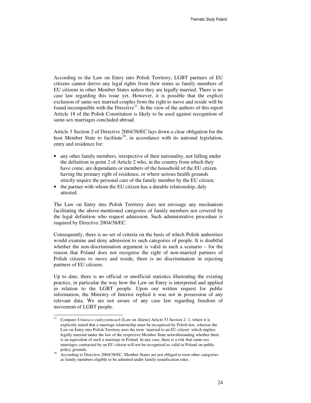According to the Law on Entry into Polish Territory, LGBT partners of EU citizens cannot derive any legal rights from their status as family members of EU citizens in other Member States unless they are legally married. There is no case law regarding this issue yet. However, it is possible that the explicit exclusion of same-sex married couples from the right to move and reside will be found incompatible with the Directive<sup>37</sup>. In the view of the authors of this report Article 18 of the Polish Constitution is likely to be used against recognition of same-sex marriages concluded abroad.

Article 3 Section 2 of Directive 2004/38/EC lays down a clear obligation for the host Member State to facilitate<sup>38</sup>, in accordance with its national legislation, entry and residence for:

- any other family members, irrespective of their nationality, not falling under the definition in point 2 of Article 2 who, in the country from which they have come, are dependants or members of the household of the EU citizen having the primary right of residence, or where serious health grounds strictly require the personal care of the family member by the EU citizen;
- the partner with whom the EU citizen has a durable relationship, duly attested.

The Law on Entry into Polish Territory does not envisage any mechanism facilitating the above-mentioned categories of family members not covered by the legal definition who request admission. Such administrative procedure is required by Directive 2004/38/EC.

Consequently, there is no set of criteria on the basis of which Polish authorities would examine and deny admission to such categories of people. It is doubtful whether the non-discrimination argument is valid in such a scenario – for the reason that Poland does not recognise the right of non-married partners of Polish citizens to move and reside, there is no discrimination in rejecting partners of EU citizens.

Up to date, there is no official or unofficial statistics illustrating the existing practice, in particular the way how the Law on Entry is interpreted and applied in relation to the LGBT people. Upon our written request for public information, the Ministry of Interior replied it was not in possession of any relevant data. We are not aware of any case law regarding freedom of movement of LGBT people.

<sup>37</sup> <sup>37</sup> Compare *Ustawa o cudzoziemcach* [Law on Aliens] Article 53 Section 2 -1, where it is explicitly stated that a marriage relationship must be recognised by Polish law, whereas the Law on Entry into Polish Territory uses the term 'married to an EU citizen' which implies legally married under the law of the respective Member State notwithstanding whether there is an equivalent of such a marriage in Poland. In any case, there is a risk that same-sex marriages contracted by an EU citizen will not be recognised as valid in Poland on public policy grounds.

<sup>38</sup> According to Directive 2004/38/EC, Member States are not obliged to treat other categories as family members eligible to be admitted under family reunification rules.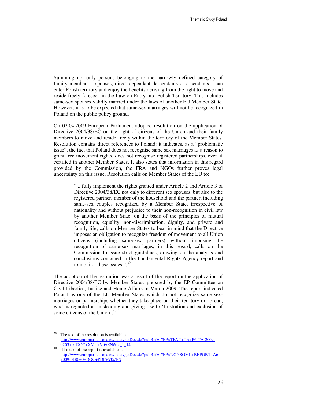Summing up, only persons belonging to the narrowly defined category of family members – spouses, direct dependant descendants or ascendants – can enter Polish territory and enjoy the benefits deriving from the right to move and reside freely foreseen in the Law on Entry into Polish Territory. This includes same-sex spouses validly married under the laws of another EU Member State. However, it is to be expected that same-sex marriages will not be recognized in Poland on the public policy ground.

On 02.04.2009 European Parliament adopted resolution on the application of Directive 2004/38/EC on the right of citizens of the Union and their family members to move and reside freely within the territory of the Member States. Resolution contains direct references to Poland: it indicates, as a "problematic issue", the fact that Poland does not recognise same sex marriages as a reason to grant free movement rights, does not recognise registered partnerships, even if certified in another Member States. It also states that information in this regard provided by the Commission, the FRA and NGOs further proves legal uncertainty on this issue. Resolution calls on Member States of the EU to:

> "... fully implement the rights granted under Article 2 and Article 3 of Directive 2004/38/EC not only to different sex spouses, but also to the registered partner, member of the household and the partner, including same-sex couples recognized by a Member State, irrespective of nationality and without prejudice to their non-recognition in civil law by another Member State, on the basis of the principles of mutual recognition, equality, non-discrimination, dignity, and private and family life; calls on Member States to bear in mind that the Directive imposes an obligation to recognize freedom of movement to all Union citizens (including same-sex partners) without imposing the recognition of same-sex marriages; in this regard, calls on the Commission to issue strict guidelines, drawing on the analysis and conclusions contained in the Fundamental Rights Agency report and to monitor these issues;".<sup>39</sup>

The adoption of the resolution was a result of the report on the application of Directive 2004/38/EC by Member States, prepared by the EP Committee on Civil Liberties, Justice and Home Affairs in March 2009. The report indicated Poland as one of the EU Member States which do not recognize same sexmarriages or partnerships whether they take place on their territory or abroad, what is regarded as misleading and giving rise to 'frustration and exclusion of some citizens of the Union'.<sup>40</sup>

<sup>39</sup> The text of the resolution is available at: http://www.europarl.europa.eu/sides/getDoc.do?pubRef=-//EP//TEXT+TA+P6-TA-2009- 0203+0+DOC+XML+V0//EN#ref\_1\_14

The text of the report is available at http://www.europarl.europa.eu/sides/getDoc.do?pubRef=-//EP//NONSGML+REPORT+A6- 2009-0186+0+DOC+PDF+V0//EN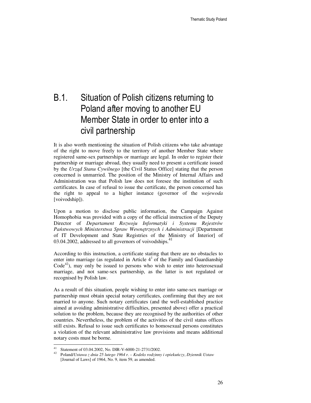# B.1. Situation of Polish citizens returning to Poland after moving to another EU Member State in order to enter into a civil partnership

It is also worth mentioning the situation of Polish citizens who take advantage of the right to move freely to the territory of another Member State where registered same-sex partnerships or marriage are legal. In order to register their partnership or marriage abroad, they usually need to present a certificate issued by the *Urz*ą*d Stanu Cywilnego* [the Civil Status Office] stating that the person concerned is unmarried. The position of the Ministry of Internal Affairs and Administration was that Polish law does not foresee the institution of such certificates. In case of refusal to issue the certificate, the person concerned has the right to appeal to a higher instance (governor of the *wojewoda* [voivodship]).

Upon a motion to disclose public information, the Campaign Against Homophobia was provided with a copy of the official instruction of the Deputy Director of *Departament Rozwoju Informatyki i Systemu Rejestrów Pa*ń*stwowych Ministerstwa Spraw Wewn*ę*trznych i Administracji* [Department of IT Development and State Registries of the Ministry of Interior] of 03.04.2002, addressed to all governors of voivodships.<sup>41</sup>

According to this instruction, a certificate stating that there are no obstacles to enter into marriage (as regulated in Article  $4<sup>1</sup>$  of the Family and Guardianship  $Code<sup>42</sup>$ , may only be issued to persons who wish to enter into heterosexual marriage, and not same-sex partnership, as the latter is not regulated or recognised by Polish law.

As a result of this situation, people wishing to enter into same-sex marriage or partnership must obtain special notary certificates, confirming that they are not married to anyone. Such notary certificates (and the well-established practice aimed at avoiding administrative difficulties, presented above) offer a practical solution to the problem, because they are recognised by the authorities of other countries. Nevertheless, the problem of the activities of the civil status offices still exists. Refusal to issue such certificates to homosexual persons constitutes a violation of the relevant administrative law provisions and means additional notary costs must be borne.

 $\ddot{ }$ Statement of 03.04.2002, No. DIR-V-6000-21-2731/2002.

<sup>42</sup> Poland/*Ustawa z dnia 25 lutego 1964 r. – Kodeks rodzinny i opieku*ń*czy*, *Dziennik Ustaw*  [Journal of Laws] of 1964, No. 9, item 59, as amended.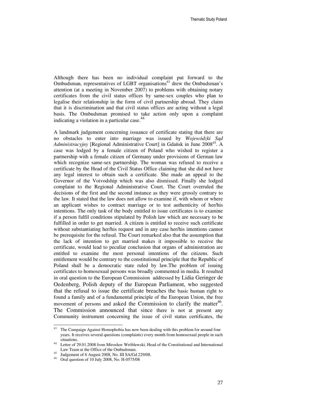Although there has been no individual complaint put forward to the Ombudsman, representatives of LGBT organisations $43$  drew the Ombudsman's attention (at a meeting in November 2007) to problems with obtaining notary certificates from the civil status offices by same-sex couples who plan to legalise their relationship in the form of civil partnership abroad. They claim that it is discrimination and that civil status offices are acting without a legal basis. The Ombudsman promised to take action only upon a complaint indicating a violation in a particular case.<sup>44</sup>

A landmark judgement concerning issuance of certificate stating that there are no obstacles to enter into marriage was issued by *Wojewódzki S*ą*d Administracyjny* [Regional Administrative Court] in Gdańsk in June 2008<sup>45</sup>. A case was lodged by a female citizen of Poland who wished to register a partnership with a female citizen of Germany under provisions of German law which recognize same-sex partnership. The woman was refused to receive a certificate by the Head of the Civil Status Office claiming that she did not have any legal interest to obtain such a certificate. She made an appeal to the Governor of the Voivodship which was also dismissed. Finally she lodged complaint to the Regional Administrative Court. The Court overruled the decisions of the first and the second instance as they were grossly contrary to the law. It stated that the law does not allow to examine if, with whom or where an applicant wishes to contract marriage or to test authenticity of her/his intentions. The only task of the body entitled to issue certificates is to examine if a person fulfil conditions stipulated by Polish law which are necessary to be fulfilled in order to get married. A citizen is entitled to receive such certificate without substantiating her/his request and in any case her/his intentions cannot be prerequisite for the refusal. The Court remarked also that the assumption that the lack of intention to get married makes it impossible to receive the certificate, would lead to peculiar conclusion that organs of administration are entitled to examine the most personal intentions of the citizens. Such entitlement would be contrary to the constitutional principle that the Republic of Poland shall be a democratic state ruled by law.The problem of issuing certificates to homosexual persons was broadly commented in media. It resulted in oral question to the European Commission addressed by Lidia Geringer de Oedenberg, Polish deputy of the European Parliament, who suggested that the refusal to issue the certificate breaches the basic human right to found a family and of a fundamental principle of the European Union, the free movement of persons and asked the Commission to clarify the matter<sup>46</sup>. The Commission announced that since there is not at present any Community instrument concerning the issue of civil status certificates, the

 $43\,$ The Campaign Against Homophobia has now been dealing with this problem for around four years. It receives several questions (complaints) every month from homosexual people in such situations.

<sup>44</sup> Letter of 29.01.2008 from Mirosław Wróblewski, Head of the Constitutional and International Law Team at the Office of the Ombudsman.

<sup>45</sup> Judgement of 6 August 2008, No. III SA/Gd 229/08.

<sup>46</sup> Oral question of 10 July 2008, No. H-0575/08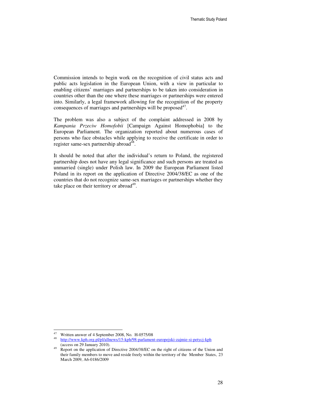Commission intends to begin work on the recognition of civil status acts and public acts legislation in the European Union, with a view in particular to enabling citizens' marriages and partnerships to be taken into consideration in countries other than the one where these marriages or partnerships were entered into. Similarly, a legal framework allowing for the recognition of the property consequences of marriages and partnerships will be proposed<sup>47</sup>.

The problem was also a subject of the complaint addressed in 2008 by *Kampania Przeciw Homofobii* [Campaign Against Homophobia] to the European Parliament. The organization reported about numerous cases of persons who face obstacles while applying to receive the certificate in order to register same-sex partnership abroad<sup>48</sup>.

It should be noted that after the individual's return to Poland, the registered partnership does not have any legal significance and such persons are treated as unmarried (single) under Polish law. In 2009 the European Parliament listed Poland in its report on the application of Directive 2004/38/EC as one of the countries that do not recognize same-sex marriages or partnerships whether they take place on their territory or abroad $49$ .

<sup>47</sup> <sup>47</sup> Written answer of 4 September 2008, No. H-0575/08

<sup>48</sup> http://www.kph.org.pl/pl/allnews/15-kph/98-parlament-europejski-zajmie-si-petycj-kph (access on 29 January 2010).

<sup>&</sup>lt;sup>49</sup> Report on the application of Directive 2004/38/EC on the right of citizens of the Union and their family members to move and reside freely within the territory of the Member States, 23 March 2009, A6-0186/2009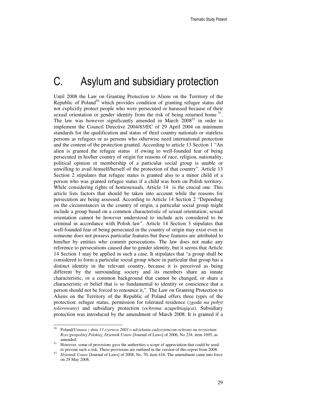# C. Asylum and subsidiary protection

Until 2008 the Law on Granting Protection to Aliens on the Territory of the Republic of Poland<sup>50</sup> which provides condition of granting refugee status did not explicitly protect people who were persecuted or harassed because of their sexual orientation or gender identity from the risk of being returned home  $51$ . The law was however significantly amended in March  $2008^{52}$  in order to implement the Council Directive 2004/83/EC of 29 April 2004 on minimum standards for the qualification and status of third country nationals or stateless persons as refugees or as persons who otherwise need international protection and the content of the protection granted. According to article 13 Section 1 "An alien is granted the refugee status if owing to well-founded fear of being persecuted in his/her country of origin for reasons of race, religion, nationality, political opinion or membership of a particular social group is unable or unwilling to avail himself/herself of the protection of that country". Article 13 Section 2 stipulates that refugee status is granted also to a minor child of a person who was granted refugee status if a child was born on Polish territory. While considering rights of homosexuals, Article 14 is the crucial one. This article lists factors that should be taken into account while the reasons for persecution are being assessed. According to Article 14 Section 2 "Depending on the circumstances in the country of origin, a particular social group might include a group based on a common characteristic of sexual orientation; sexual orientation cannot be however understood to include acts considered to be criminal in accordance with Polish law". Article 14 Section 3 stipulates that well-founded fear of being persecuted in the country of origin may exist even in someone does not possess particular features but these features are attributed to him/her by entities who commit persecutions. The law does not make any reference to persecutions caused due to gender identity, but it seems that Article 14 Section 1 may be applied in such a case. It stipulates that "a group shall be considered to form a particular social group where in particular that group has a distinct identity in the relevant country, because it is perceived as being different by the surrounding society and its members share an innate characteristic, or a common background that cannot be changed, or share a characteristic or belief that is so fundamental to identity or conscience that a person should not be forced to renounce it,". The Law on Granting Protection to Aliens on the Territory of the Republic of Poland offers three types of the protection: refugee status, permission for tolerated residence (*zgoda na pobyt tolerowany*) and subsidiary protection (*ochrona uzupełniaj*ą*ca*). Subsidiary protection was introduced by the amendment of March 2008. It is granted if a

<sup>50</sup> Poland/*Ustawa z dnia 13 czerwca 2003 o udzielaniu cudzoziemcom ochrony na terytorium Rzeczpospolitej Polskiej*, *Dziennik Ustaw* [Journal of Laws] of 2006, No 234, item 1695, as amended.

<sup>&</sup>lt;sup>51</sup> However, some of provisions gave the authorities a scope of appreciation that could be used to prevent such a risk. These provisions are outlined in the version of this report from 2008.

<sup>52</sup> *Dziennik Ustaw* [Journal of Laws] of 2008, No. 70, item 416. The amendment came into force on 29 May 2008.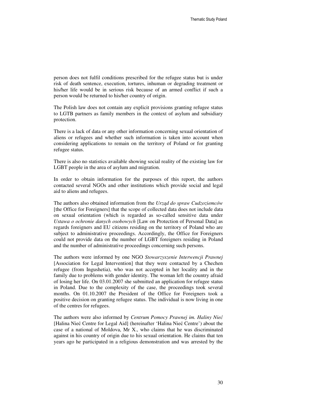person does not fulfil conditions prescribed for the refugee status but is under risk of death sentence, execution, tortures, inhuman or degrading treatment or his/her life would be in serious risk because of an armed conflict if such a person would be returned to his/her country of origin.

The Polish law does not contain any explicit provisions granting refugee status to LGTB partners as family members in the context of asylum and subsidiary protection.

There is a lack of data or any other information concerning sexual orientation of aliens or refugees and whether such information is taken into account when considering applications to remain on the territory of Poland or for granting refugee status.

There is also no statistics available showing social reality of the existing law for LGBT people in the area of asylum and migration.

In order to obtain information for the purposes of this report, the authors contacted several NGOs and other institutions which provide social and legal aid to aliens and refugees.

The authors also obtained information from the *Urz*ą*d do spraw Cudzoziemców* [the Office for Foreigners] that the scope of collected data does not include data on sexual orientation (which is regarded as so-called sensitive data under *Ustawa o ochronie danych osobowych* [Law on Protection of Personal Data] as regards foreigners and EU citizens residing on the territory of Poland who are subject to administrative proceedings. Accordingly, the Office for Foreigners could not provide data on the number of LGBT foreigners residing in Poland and the number of administrative proceedings concerning such persons.

The authors were informed by one NGO *Stowarzyszenie Interwencji Prawnej* [Association for Legal Intervention] that they were contacted by a Chechen refugee (from Ingushetia), who was not accepted in her locality and in the family due to problems with gender identity. The woman left the country afraid of losing her life. On 03.01.2007 she submitted an application for refugee status in Poland. Due to the complexity of the case, the proceedings took several months. On 01.10.2007 the President of the Office for Foreigners took a positive decision on granting refugee status. The individual is now living in one of the centres for refugees.

The authors were also informed by *Centrum Pomocy Prawnej im. Haliny Nie*ć [Halina Nieć Centre for Legal Aid] (hereinafter 'Halina Nieć Centre') about the case of a national of Moldova, Mr X., who claims that he was discriminated against in his country of origin due to his sexual orientation. He claims that ten years ago he participated in a religious demonstration and was arrested by the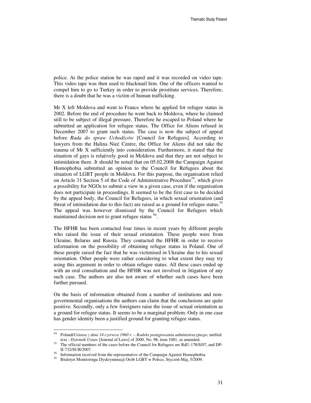police. At the police station he was raped and it was recorded on video tape. This video tape was then used to blackmail him. One of the officers wanted to compel him to go to Turkey in order to provide prostitute services. Therefore, there is a doubt that he was a victim of human trafficking.

Mr X left Moldova and went to France where he applied for refugee status in 2002. Before the end of procedure he went back to Moldova, where he claimed still to be subject of illegal pressure. Therefore he escaped to Poland where he submitted an application for refugee status. The Office for Aliens refused in December 2007 to grant such status. The case is now the subject of appeal before *Rada do spraw Uchod*ź*ców* [Council for Refugees]. According to lawyers from the Halina Nieć Centre, the Office for Aliens did not take the trauma of Mr X sufficiently into consideration. Furthermore, it stated that the situation of gays is relatively good in Moldova and that they are not subject to intimidation there. It should be noted that on 05.02.2008 the Campaign Against Homophobia submitted an opinion to the Council for Refugees about the situation of LGBT people in Moldova. For this purpose, the organisation relied on Article 31 Section 5 of the Code of Administrative Procedure<sup>54</sup>, which gives a possibility for NGOs to submit a view in a given case, even if the organisation does not participate in proceedings. It seemed to be the first case to be decided by the appeal body, the Council for Refugees, in which sexual orientation (and threat of intimidation due to this fact) are raised as a ground for refugee status.<sup>55</sup> The appeal was however dismissed by the Council for Refugees which maintained decision not to grant refugee status <sup>56</sup>.

The HFHR has been contacted four times in recent years by different people who raised the issue of their sexual orientation. These people were from Ukraine, Belarus and Russia. They contacted the HFHR in order to receive information on the possibility of obtaining refugee status in Poland. One of these people raised the fact that he was victimised in Ukraine due to his sexual orientation. Other people were rather considering to what extent they may try using this argument in order to obtain refugee status. All these cases ended up with an oral consultation and the HFHR was not involved in litigation of any such case. The authors are also not aware of whether such cases have been further pursued.

On the basis of information obtained from a number of institutions and nongovernmental organisations the authors can claim that the conclusions are quite positive. Secondly, only a few foreigners raise the issue of sexual orientation as a ground for refugee status. It seems to be a marginal problem. Only in one case has gender identity been a justified ground for granting refugee status.

<sup>54</sup> <sup>54</sup> Poland/*Ustawa z dnia 14 czerwca 1960 r. – Kodeks post*ę*powania administracyjnego*, unified text - *Dziennik Ustaw* [Journal of Laws] of 2000, No. 98, item 1081, as amended.

The official numbers of the cases before the Council for Refugees are RdU-178/S/07, and DP-II-732/SUB/2007.

Information received from the representative of the Campaign Against Homophobia.

<sup>58</sup> Biuletyn Monitoringu Dyskryminacji Osób LGBT w Polsce, Styczeń-Maj, 5/2009.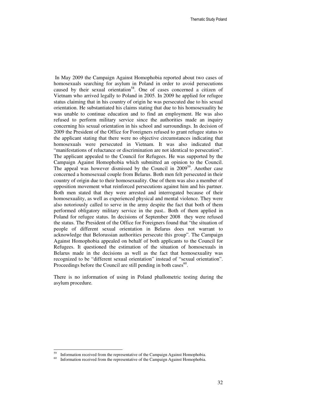In May 2009 the Campaign Against Homophobia reported about two cases of homosexuals searching for asylum in Poland in order to avoid persecutions caused by their sexual orientation<sup>58</sup>. One of cases concerned a citizen of Vietnam who arrived legally to Poland in 2005. In 2009 he applied for refugee status claiming that in his country of origin he was persecuted due to his sexual orientation. He substantiated his claims stating that due to his homosexuality he was unable to continue education and to find an employment. He was also refused to perform military service since the authorities made an inquiry concerning his sexual orientation in his school and surroundings. In decision of 2009 the President of the Office for Foreigners refused to grant refugee status to the applicant stating that there were no objective circumstances indicating that homosexuals were persecuted in Vietnam. It was also indicated that "manifestations of reluctance or discrimination are not identical to persecution". The applicant appealed to the Council for Refugees. He was supported by the Campaign Against Homophobia which submitted an opinion to the Council. The appeal was however dismissed by the Council in  $2009^{59}$ . Another case concerned a homosexual couple from Belarus. Both men felt persecuted in their country of origin due to their homosexuality. One of them was also a member of opposition movement what reinforced persecutions against him and his partner. Both men stated that they were arrested and interrogated because of their homosexuality, as well as experienced physical and mental violence. They were also notoriously called to serve in the army despite the fact that both of them performed obligatory military service in the past.. Both of them applied in Poland for refugee status. In decisions of September 2008 they were refused the status. The President of the Office for Foreigners found that "the situation of people of different sexual orientation in Belarus does not warrant to acknowledge that Belorussian authorities persecute this group". The Campaign Against Homophobia appealed on behalf of both applicants to the Council for Refugees. It questioned the estimation of the situation of homosexuals in Belarus made in the decisions as well as the fact that homosexuality was recognized to be "different sexual orientation" instead of "sexual orientation". Proceedings before the Council are still pending in both cases<sup>60</sup>.

There is no information of using in Poland phallometric testing during the asylum procedure.

Information received from the representative of the Campaign Against Homophobia.

Information received from the representative of the Campaign Against Homophobia.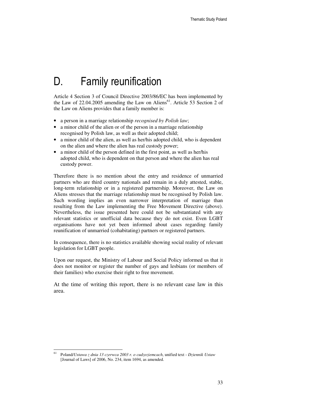# D. Family reunification

Article 4 Section 3 of Council Directive 2003/86/EC has been implemented by the Law of  $22.04.2005$  amending the Law on Aliens<sup>61</sup>. Article 53 Section 2 of the Law on Aliens provides that a family member is:

- a person in a marriage relationship *recognised by Polish law*;
- a minor child of the alien or of the person in a marriage relationship recognised by Polish law, as well as their adopted child;
- a minor child of the alien, as well as her/his adopted child, who is dependent on the alien and where the alien has real custody power;
- a minor child of the person defined in the first point, as well as her/his adopted child, who is dependent on that person and where the alien has real custody power.

Therefore there is no mention about the entry and residence of unmarried partners who are third country nationals and remain in a duly attested, stable, long-term relationship or in a registered partnership. Moreover, the Law on Aliens stresses that the marriage relationship must be recognised by Polish law. Such wording implies an even narrower interpretation of marriage than resulting from the Law implementing the Free Movement Directive (above). Nevertheless, the issue presented here could not be substantiated with any relevant statistics or unofficial data because they do not exist. Even LGBT organisations have not yet been informed about cases regarding family reunification of unmarried (cohabitating) partners or registered partners.

In consequence, there is no statistics available showing social reality of relevant legislation for LGBT people.

Upon our request, the Ministry of Labour and Social Policy informed us that it does not monitor or register the number of gays and lesbians (or members of their families) who exercise their right to free movement.

At the time of writing this report, there is no relevant case law in this area.

<sup>61</sup> Poland/*Ustawa z dnia 13 czerwca 2003 r. o cudzoziemcach*, unified text - *Dziennik Ustaw* [Journal of Laws] of 2006, No. 234, item 1694, as amended.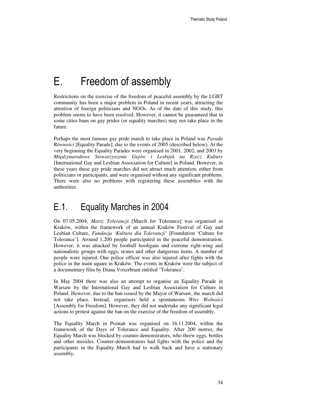# E. Freedom of assembly

Restrictions on the exercise of the freedom of peaceful assembly by the LGBT community has been a major problem in Poland in recent years, attracting the attention of foreign politicians and NGOs. As of the date of this study, this problem seems to have been resolved. However, it cannot be guaranteed that in some cities bans on gay prides (or equality marches) may not take place in the future.

Perhaps the most famous gay pride march to take place in Poland was *Parada Równo*ś*ci* [Equality Parade], due to the events of 2005 (described below). At the very beginning the Equality Parades were organised in 2001, 2002, and 2003 by *Mi*ę*dzynarodowe Stowarzyszenie Gejów i Lesbijek na Rzecz Kultury* [International Gay and Lesbian Association for Culture] in Poland. However, in these years these gay pride marches did not attract much attention, either from politicians or participants, and were organised without any significant problems. There were also no problems with registering these assemblies with the authorities.

### E.1. Equality Marches in 2004

On 07.05.2004, *Marsz Tolerancji* [March for Tolerance] was organised in Kraków, within the framework of an annual Kraków Festival of Gay and Lesbian Culture, *Fundacja 'Kultura dla Tolerancji'* [Foundation 'Culture for Tolerance']. Around 1,200 people participated in the peaceful demonstration. However, it was attacked by football hooligans and extreme right-wing and nationalistic groups with eggs, stones and other dangerous items. A number of people were injured. One police officer was also injured after fights with the police in the main square in Kraków. The events in Kraków were the subject of a documentary film by Diana Voxerbrant entitled 'Tolerance'.

In May 2004 there was also an attempt to organise an Equality Parade in Warsaw by the International Gay and Lesbian Association for Culture in Poland. However, due to the ban issued by the Mayor of Warsaw, the march did not take place. Instead, organisers held a spontaneous *Wiec Wolno*ś*ci*  [Assembly for Freedom]. However, they did not undertake any significant legal actions to protest against the ban on the exercise of the freedom of assembly.

The Equality March in Poznań was organised on 16.11.2004, within the framework of the Days of Tolerance and Equality. After 200 metres, the Equality March was blocked by counter-demonstrators, who threw eggs, bottles and other missiles. Counter-demonstrators had fights with the police and the participants in the Equality March had to walk back and have a stationary assembly.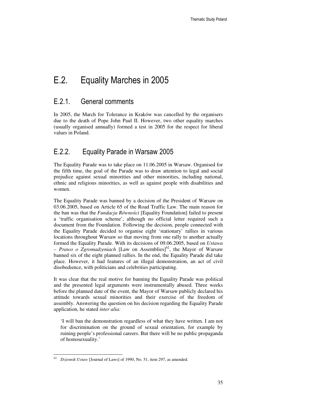# E.2. Equality Marches in 2005

#### E.2.1. General comments

In 2005, the March for Tolerance in Kraków was cancelled by the organisers due to the death of Pope John Paul II. However, two other equality marches (usually organised annually) formed a test in 2005 for the respect for liberal values in Poland.

#### E.2.2. Equality Parade in Warsaw 2005

The Equality Parade was to take place on 11.06.2005 in Warsaw. Organised for the fifth time, the goal of the Parade was to draw attention to legal and social prejudice against sexual minorities and other minorities, including national, ethnic and religious minorities, as well as against people with disabilities and women.

The Equality Parade was banned by a decision of the President of Warsaw on 03.06.2005, based on Article 65 of the Road Traffic Law. The main reason for the ban was that the *Fundacja Równo*ś*ci* [Equality Foundation] failed to present a 'traffic organisation scheme', although no official letter required such a document from the Foundation. Following the decision, people connected with the Equality Parade decided to organise eight 'stationary' rallies in various locations throughout Warsaw so that moving from one rally to another actually formed the Equality Parade. With its decisions of 09.06.2005, based on *Ustawa*   $P$ *- Prawo o Zgromadzeniach* [Law on Assemblies]<sup>62</sup>, the Mayor of Warsaw banned six of the eight planned rallies. In the end, the Equality Parade did take place. However, it had features of an illegal demonstration, an act of civil disobedience, with politicians and celebrities participating.

It was clear that the real motive for banning the Equality Parade was political and the presented legal arguments were instrumentally abused. Three weeks before the planned date of the event, the Mayor of Warsaw publicly declared his attitude towards sexual minorities and their exercise of the freedom of assembly. Answering the question on his decision regarding the Equality Parade application, he stated *inter alia:* 

'I will ban the demonstration regardless of what they have written. I am not for discrimination on the ground of sexual orientation, for example by ruining people's professional careers. But there will be no public propaganda of homosexuality.'

<sup>-</sup><sup>62</sup> *Dziennik Ustaw* [Journal of Laws] of 1990, No. 51, item 297, as amended.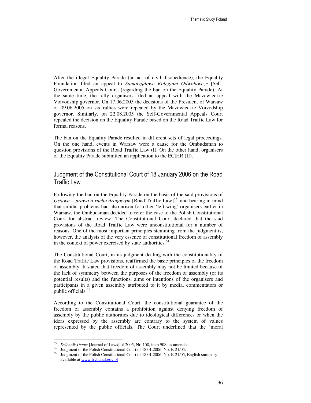After the illegal Equality Parade (an act of civil disobedience), the Equality Foundation filed an appeal to *Samorz*ą*dowe Kolegium Odwoławcze* [Self-Governmental Appeals Court] (regarding the ban on the Equality Parade). At the same time, the rally organisers filed an appeal with the Mazowieckie Voivodship governor. On 17.06.2005 the decisions of the President of Warsaw of 09.06.2005 on six rallies were repealed by the Mazowieckie Voivodship governor. Similarly, on 22.08.2005 the Self-Governmental Appeals Court repealed the decision on the Equality Parade based on the Road Traffic Law for formal reasons.

The ban on the Equality Parade resulted in different sets of legal proceedings. On the one hand, events in Warsaw were a cause for the Ombudsman to question provisions of the Road Traffic Law (I). On the other hand, organisers of the Equality Parade submitted an application to the ECtHR (II).

#### Judgment of the Constitutional Court of 18 January 2006 on the Road Traffic Law

Following the ban on the Equality Parade on the basis of the said provisions of *Ustawa – prawo o ruchu drogowym* [Road Traffic Law]<sup>63</sup>, and bearing in mind that similar problems had also arisen for other 'left-wing' organisers earlier in Warsaw, the Ombudsman decided to refer the case to the Polish Constitutional Court for abstract review. The Constitutional Court declared that the said provisions of the Road Traffic Law were unconstitutional for a number of reasons. One of the most important principles stemming from the judgment is, however, the analysis of the very essence of constitutional freedom of assembly in the context of power exercised by state authorities. $64$ 

The Constitutional Court, in its judgment dealing with the constitutionality of the Road Traffic Law provisions, reaffirmed the basic principles of the freedom of assembly. It stated that freedom of assembly may not be limited because of the lack of symmetry between the purposes of the freedom of assembly (or its potential results) and the functions, aims or intentions of the organisers and participants in a given assembly attributed to it by media, commentators or public officials.<sup>65</sup>

According to the Constitutional Court, the constitutional guarantee of the freedom of assembly contains a prohibition against denying freedom of assembly by the public authorities due to ideological differences or when the ideas expressed by the assembly are contrary to the system of values represented by the public officials. The Court underlined that the 'moral

 $\overline{a}$ 

<sup>63</sup> *Dziennik Ustaw* [Journal of Laws] of 2005, Nr. 108, item 908, as amended.

<sup>&</sup>lt;sup>64</sup> Judgment of the Polish Constitutional Court of 18.01.2006, No. K 21/05.

Judgment of the Polish Constitutional Court of 18.01.2006, No. K 21/05, English summary available at www.trybunal.gov.pl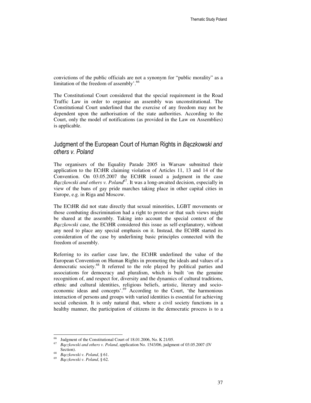convictions of the public officials are not a synonym for "public morality" as a limitation of the freedom of assembly'.<sup>66</sup>

The Constitutional Court considered that the special requirement in the Road Traffic Law in order to organise an assembly was unconstitutional. The Constitutional Court underlined that the exercise of any freedom may not be dependent upon the authorisation of the state authorities. According to the Court, only the model of notifications (as provided in the Law on Assemblies) is applicable.

#### Judgment of the European Court of Human Rights in Bączkowski and others v. Poland

The organisers of the Equality Parade 2005 in Warsaw submitted their application to the ECtHR claiming violation of Articles 11, 13 and 14 of the Convention. On 03.05.2007 the ECtHR issued a judgment in the case *B*ą*czkowski and others v. Poland*<sup>67</sup>. It was a long-awaited decision, especially in view of the bans of gay pride marches taking place in other capital cities in Europe, e.g. in Riga and Moscow.

The ECtHR did not state directly that sexual minorities, LGBT movements or those combating discrimination had a right to protest or that such views might be shared at the assembly. Taking into account the special context of the *B*ą*czkowski* case, the ECtHR considered this issue as self-explanatory, without any need to place any special emphasis on it. Instead, the ECtHR started its consideration of the case by underlining basic principles connected with the freedom of assembly.

Referring to its earlier case law, the ECtHR underlined the value of the European Convention on Human Rights in promoting the ideals and values of a democratic society.<sup>68</sup> It referred to the role played by political parties and associations for democracy and pluralism, which is built 'on the genuine recognition of, and respect for, diversity and the dynamics of cultural traditions, ethnic and cultural identities, religious beliefs, artistic, literary and socioeconomic ideas and concepts'.<sup>69</sup> According to the Court, 'the harmonious interaction of persons and groups with varied identities is essential for achieving social cohesion. It is only natural that, where a civil society functions in a healthy manner, the participation of citizens in the democratic process is to a

<sup>&</sup>lt;sup>66</sup> Judgment of the Constitutional Court of 18.01.2006, No. K 21/05.

<sup>67</sup> *B*ą*czkowski and others v. Poland*, application No. 1543/06, judgment of 03.05.2007 (IV Section).

<sup>68</sup> *B*ą*czkowski v. Poland*, § 61.

<sup>69</sup> *B*ą*czkowski v. Poland*, § 62.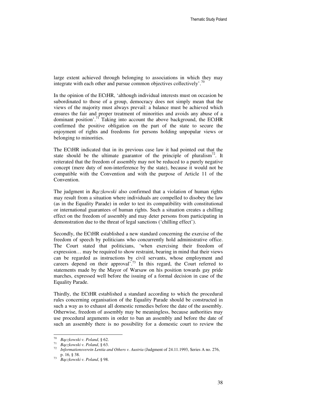large extent achieved through belonging to associations in which they may integrate with each other and pursue common objectives collectively'.<sup>70</sup>

In the opinion of the ECtHR, 'although individual interests must on occasion be subordinated to those of a group, democracy does not simply mean that the views of the majority must always prevail: a balance must be achieved which ensures the fair and proper treatment of minorities and avoids any abuse of a dominant position'.<sup>71</sup> Taking into account the above background, the ECtHR confirmed the positive obligation on the part of the state to secure the enjoyment of rights and freedoms for persons holding unpopular views or belonging to minorities.

The ECtHR indicated that in its previous case law it had pointed out that the state should be the ultimate guarantor of the principle of pluralism<sup>72</sup>. It reiterated that the freedom of assembly may not be reduced to a purely negative concept (mere duty of non-interference by the state), because it would not be compatible with the Convention and with the purpose of Article 11 of the Convention.

The judgment in *B*ą*czkowski* also confirmed that a violation of human rights may result from a situation where individuals are compelled to disobey the law (as in the Equality Parade) in order to test its compatibility with constitutional or international guarantees of human rights. Such a situation creates a chilling effect on the freedom of assembly and may deter persons from participating in demonstration due to the threat of legal sanctions ('chilling effect').

Secondly, the ECtHR established a new standard concerning the exercise of the freedom of speech by politicians who concurrently hold administrative office. The Court stated that politicians, 'when exercising their freedom of expression… may be required to show restraint, bearing in mind that their views can be regarded as instructions by civil servants, whose employment and careers depend on their approval<sup>7.73</sup> In this regard, the Court referred to statements made by the Mayor of Warsaw on his position towards gay pride marches, expressed well before the issuing of a formal decision in case of the Equality Parade.

Thirdly, the ECtHR established a standard according to which the procedural rules concerning organisation of the Equality Parade should be constructed in such a way as to exhaust all domestic remedies before the date of the assembly. Otherwise, freedom of assembly may be meaningless, because authorities may use procedural arguments in order to ban an assembly and before the date of such an assembly there is no possibility for a domestic court to review the

<sup>70</sup> *B*ą*czkowski v. Poland*, § 62.

<sup>71</sup> *B*ą*czkowski v. Poland*, § 63.

<sup>72</sup> *Informationsverein Lentia and Others v. Austria* (Judgment of 24.11.1993, Series A no. 276, p. 16, § 38.

<sup>73</sup> *B*ą*czkowski v. Poland*, § 98.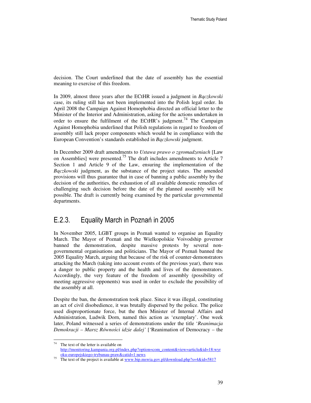decision. The Court underlined that the date of assembly has the essential meaning to exercise of this freedom.

In 2009, almost three years after the ECtHR issued a judgment in *B*ą*czkowski*  case, its ruling still has not been implemented into the Polish legal order. In April 2008 the Campaign Against Homophobia directed an official letter to the Minister of the Interior and Administration, asking for the actions undertaken in order to ensure the fulfilment of the ECtHR's judgment.<sup>74</sup> The Campaign Against Homophobia underlined that Polish regulations in regard to freedom of assembly still lack proper components which would be in compliance with the European Convention's standards established in *B*ą*czkowski* judgment.

In December 2009 draft amendments to *Ustawa prawo o zgromadzeniach* [Law on Assemblies] were presented.75 The draft includes amendments to Article 7 Section 1 and Article 9 of the Law, ensuring the implementation of the *B*ą*czkowski* judgment, as the substance of the project states. The amended provisions will thus guarantee that in case of banning a public assembly by the decision of the authorities, the exhaustion of all available domestic remedies of challenging such decision before the date of the planned assembly will be possible. The draft is currently being examined by the particular governmental departments.

#### E.2.3. Equality March in Poznań in 2005

In November 2005, LGBT groups in Poznań wanted to organise an Equality March. The Mayor of Poznań and the Wielkopolskie Voivodship governor banned the demonstration, despite massive protests by several nongovernmental organisations and politicians. The Mayor of Poznań banned the 2005 Equality March, arguing that because of the risk of counter-demonstrators attacking the March (taking into account events of the previous year), there was a danger to public property and the health and lives of the demonstrators. Accordingly, the very feature of the freedom of assembly (possibility of meeting aggressive opponents) was used in order to exclude the possibility of the assembly at all.

Despite the ban, the demonstration took place. Since it was illegal, constituting an act of civil disobedience, it was brutally dispersed by the police. The police used disproportionate force, but the then Minister of Internal Affairs and Administration, Ludwik Dorn, named this action as 'exemplary'. One week later, Poland witnessed a series of demonstrations under the title '*Reanimacja Demokracji – Marsz Równo*ś*ci idzie dalej'* ['Reanimation of Democracy – the

 $74$ The text of the letter is available on http://monitoring.kampania.org.pl/index.php?option=com\_content&view=article&id=18:wyr oku-europejskiego-trybunau-praw&catid=1:news

<sup>75</sup> The text of the project is available at www.bip.mswia.gov.pl/download.php?s=4&id=5817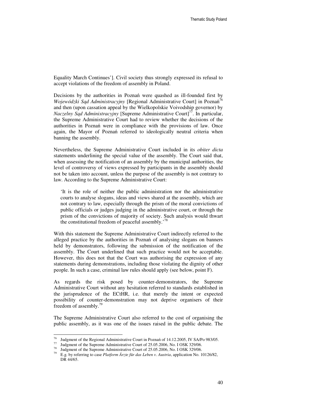Equality March Continues']. Civil society thus strongly expressed its refusal to accept violations of the freedom of assembly in Poland.

Decisions by the authorities in Poznań were quashed as ill-founded first by *Wojewódzki S*ą*d Administracyjny* [Regional Administrative Court] in Poznań 76 and then (upon cassation appeal by the Wielkopolskie Voivodship governor) by *Naczelny Sąd Administracyjny* [Supreme Administrative Court]<sup>77</sup>. In particular, the Supreme Administrative Court had to review whether the decisions of the authorities in Poznań were in compliance with the provisions of law. Once again, the Mayor of Poznań referred to ideologically neutral criteria when banning the assembly.

Nevertheless, the Supreme Administrative Court included in its *obiter dicta*  statements underlining the special value of the assembly. The Court said that, when assessing the notification of an assembly by the municipal authorities, the level of controversy of views expressed by participants in the assembly should not be taken into account, unless the purpose of the assembly is not contrary to law. According to the Supreme Administrative Court:

'It is the role of neither the public administration nor the administrative courts to analyse slogans, ideas and views shared at the assembly, which are not contrary to law, especially through the prism of the moral convictions of public officials or judges judging in the administrative court, or through the prism of the convictions of majority of society. Such analysis would thwart the constitutional freedom of peaceful assembly.<sup>78</sup>

With this statement the Supreme Administrative Court indirectly referred to the alleged practice by the authorities in Poznań of analysing slogans on banners held by demonstrators, following the submission of the notification of the assembly. The Court underlined that such practice would not be acceptable. However, this does not that the Court was authorising the expression of any statements during demonstrations, including those violating the dignity of other people. In such a case, criminal law rules should apply (see below, point F).

As regards the risk posed by counter-demonstrators, the Supreme Administrative Court without any hesitation referred to standards established in the jurisprudence of the ECtHR, i.e. that merely the intent or expected possibility of counter-demonstration may not deprive organisers of their freedom of assembly.<sup>79</sup>

The Supreme Administrative Court also referred to the cost of organising the public assembly, as it was one of the issues raised in the public debate. The

<sup>&</sup>lt;sup>76</sup> Judgment of the Regional Administrative Court in Poznań of 14.12.2005, IV SA/Po 983/05.<br><sup>77</sup> Judgment of the Suprame Administrative Court of 25.05.2006, No. J.OSK 220/06.

<sup>&</sup>lt;sup>77</sup> Judgment of the Supreme Administrative Court of 25.05.2006, No. I OSK 329/06.<br><sup>78</sup> Judgment of the Supreme Administrative Court of 25.05.2006, No. I OSK 320/06.

Judgment of the Supreme Administrative Court of 25.05.2006, No. I OSK 329/06.

<sup>79</sup> E.g. by referring to case *Platform Ärzte für das Leben v. Austria*, application No. 10126/82, DR 44/65.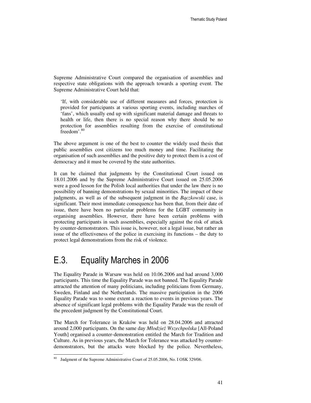Supreme Administrative Court compared the organisation of assemblies and respective state obligations with the approach towards a sporting event. The Supreme Administrative Court held that:

'If, with considerable use of different measures and forces, protection is provided for participants at various sporting events, including marches of 'fans', which usually end up with significant material damage and threats to health or life, then there is no special reason why there should be no protection for assemblies resulting from the exercise of constitutional freedom'. 80

The above argument is one of the best to counter the widely used thesis that public assemblies cost citizens too much money and time. Facilitating the organisation of such assemblies and the positive duty to protect them is a cost of democracy and it must be covered by the state authorities.

It can be claimed that judgments by the Constitutional Court issued on 18.01.2006 and by the Supreme Administrative Court issued on 25.05.2006 were a good lesson for the Polish local authorities that under the law there is no possibility of banning demonstrations by sexual minorities. The impact of these judgments, as well as of the subsequent judgment in the *B*ą*czkowski* case, is significant. Their most immediate consequence has been that, from their date of issue, there have been no particular problems for the LGBT community in organising assemblies. However, there have been certain problems with protecting participants in such assemblies, especially against the risk of attack by counter-demonstrators. This issue is, however, not a legal issue, but rather an issue of the effectiveness of the police in exercising its functions – the duty to protect legal demonstrations from the risk of violence.

## E.3. Equality Marches in 2006

The Equality Parade in Warsaw was held on 10.06.2006 and had around 3,000 participants. This time the Equality Parade was not banned. The Equality Parade attracted the attention of many politicians, including politicians from Germany, Sweden, Finland and the Netherlands. The massive participation in the 2006 Equality Parade was to some extent a reaction to events in previous years. The absence of significant legal problems with the Equality Parade was the result of the precedent judgment by the Constitutional Court.

The March for Tolerance in Kraków was held on 28.04.2006 and attracted around 2,000 participants. On the same day *Młodzie*ż *Wszechpolska* [All-Poland Youth] organised a counter-demonstration entitled the March for Tradition and Culture. As in previous years, the March for Tolerance was attacked by counterdemonstrators, but the attacks were blocked by the police. Nevertheless,

-

<sup>&</sup>lt;sup>80</sup> Judgment of the Supreme Administrative Court of 25.05.2006, No. I OSK 329/06.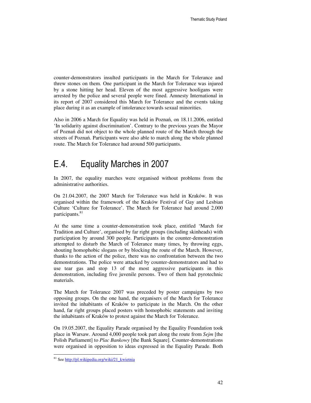counter-demonstrators insulted participants in the March for Tolerance and threw stones on them. One participant in the March for Tolerance was injured by a stone hitting her head. Eleven of the most aggressive hooligans were arrested by the police and several people were fined. Amnesty International in its report of 2007 considered this March for Tolerance and the events taking place during it as an example of intolerance towards sexual minorities.

Also in 2006 a March for Equality was held in Poznań, on 18.11.2006, entitled 'In solidarity against discrimination'. Contrary to the previous years the Mayor of Poznań did not object to the whole planned route of the March through the streets of Poznań. Participants were also able to march along the whole planned route. The March for Tolerance had around 500 participants.

## E.4. Equality Marches in 2007

In 2007, the equality marches were organised without problems from the administrative authorities.

On 21.04.2007, the 2007 March for Tolerance was held in Kraków. It was organised within the framework of the Kraków Festival of Gay and Lesbian Culture 'Culture for Tolerance'. The March for Tolerance had around 2,000 participants.<sup>81</sup>

At the same time a counter-demonstration took place, entitled 'March for Tradition and Culture', organised by far right groups (including skinheads) with participation by around 300 people. Participants in the counter-demonstration attempted to disturb the March of Tolerance many times, by throwing eggs, shouting homophobic slogans or by blocking the route of the March. However, thanks to the action of the police, there was no confrontation between the two demonstrations. The police were attacked by counter-demonstrators and had to use tear gas and stop 13 of the most aggressive participants in this demonstration, including five juvenile persons. Two of them had pyrotechnic materials.

The March for Tolerance 2007 was preceded by poster campaigns by two opposing groups. On the one hand, the organisers of the March for Tolerance invited the inhabitants of Kraków to participate in the March. On the other hand, far right groups placed posters with homophobic statements and inviting the inhabitants of Kraków to protest against the March for Tolerance.

On 19.05.2007, the Equality Parade organised by the Equality Foundation took place in Warsaw. Around 4,000 people took part along the route from *Sejm* [the Polish Parliament] to *Plac Bankowy* [the Bank Square]. Counter-demonstrations were organised in opposition to ideas expressed in the Equality Parade. Both

-

<sup>&</sup>lt;sup>81</sup> See http://pl.wikipedia.org/wiki/21 kwietnia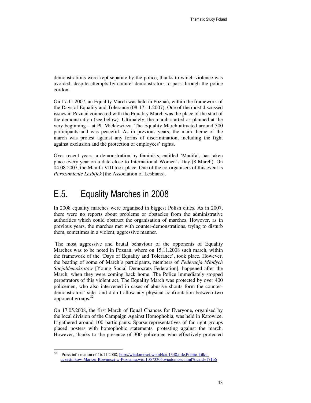demonstrations were kept separate by the police, thanks to which violence was avoided, despite attempts by counter-demonstrators to pass through the police cordon.

On 17.11.2007, an Equality March was held in Poznań, within the framework of the Days of Equality and Tolerance (08-17.11.2007). One of the most discussed issues in Poznań connected with the Equality March was the place of the start of the demonstration (see below). Ultimately, the march started as planned at the very beginning – at Pl. Mickiewicza. The Equality March attracted around 300 participants and was peaceful. As in previous years, the main theme of the march was protest against any forms of discrimination, including the fight against exclusion and the protection of employees' rights.

Over recent years, a demonstration by feminists, entitled 'Manifa', has taken place every year on a date close to International Women's Day (8 March). On 04.08.2007, the Manifa VIII took place. One of the co-organisers of this event is *Porozumienie Lesbijek* [the Association of Lesbians].

## E.5. Equality Marches in 2008

In 2008 equality marches were organised in biggest Polish cities. As in 2007, there were no reports about problems or obstacles from the administrative authorities which could obstruct the organisation of marches. However, as in previous years, the marches met with counter-demonstrations, trying to disturb them, sometimes in a violent, aggressive manner.

 The most aggressive and brutal behaviour of the opponents of Equality Marches was to be noted in Poznań, where on 15.11.2008 such march, within the framework of the 'Days of Equality and Tolerance', took place. However, the beating of some of March's participants, members of *Federacja Młodych Socjaldemokratów* [Young Social Democrats Federation], happened after the March, when they were coming back home. The Police immediately stopped perpetrators of this violent act. The Equality March was protected by over 400 policemen, who also intervened in cases of abusive shouts form the counterdemonstrators' side and didn't allow any physical confrontation between two opponent groups.<sup>82</sup>

On 17.05.2008, the first March of Equal Chances for Everyone, organised by the local division of the Campaign Against Homophobia, was held in Katowice. It gathered around 100 participants. Sparse representatives of far right groups placed posters with homophobic statements, protesting against the march. However, thanks to the presence of 300 policemen who effectively protected

 $\ddot{ }$ <sup>82</sup> Press information of 16.11.2008, http://wiadomosci.wp.pl/kat,1348,title,Pobito-kilkuuczestnikow-Marszu-Rownosci-w-Poznaniu,wid,10573305,wiadomosc.html?ticaid=171b6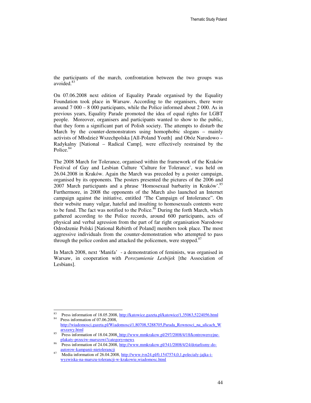the participants of the march, confrontation between the two groups was avoided.<sup>83</sup>

On 07.06.2008 next edition of Equality Parade organised by the Equality Foundation took place in Warsaw. According to the organisers, there were around 7 000 – 8 000 participants, while the Police informed about 2 000. As in previous years, Equality Parade promoted the idea of equal rights for LGBT people. Moreover, organisers and participants wanted to show to the public, that they form a significant part of Polish society. The attempts to disturb the March by the counter-demonstrators using homophobic slogans – mainly activists of Młodzież Wszechpolska [All-Poland Youth] and Obóz Narodowo – Radykalny [National – Radical Camp], were effectively restrained by the Police.<sup>84</sup>

The 2008 March for Tolerance, organised within the framework of the Kraków Festival of Gay and Lesbian Culture 'Culture for Tolerance', was held on 26.04.2008 in Kraków. Again the March was preceded by a poster campaign, organised by its opponents. The posters presented the pictures of the 2006 and 2007 March participants and a phrase 'Homosexual barbarity in Kraków'.<sup>85</sup> Furthermore, in 2008 the opponents of the March also launched an Internet campaign against the initiative, entitled 'The Campaign of Intolerance". On their website many vulgar, hateful and insulting to homosexuals contents were to be fund. The fact was notified to the Police. $86$  During the forth March, which gathered according to the Police records, around 600 participants, acts of physical and verbal agression from the part of far right organisation Narodowe Odrodzenie Polski [National Rebirth of Poland] members took place. The most aggressive individuals from the counter-demonstration who attempted to pass through the police cordon and attacked the policemen, were stopped. $87$ 

In March 2008, next 'Manifa' - a demonstration of feminists, was organised in Warsaw, in cooperation with *Porozumienie Lesbijek* [the Association of Lesbians].

 $83$ <sup>83</sup> Press information of 18.05.2008, http://katowice.gazeta.pl/katowice/1,35063,5224056.html

Press information of 07.06.2008, http://wiadomosci.gazeta.pl/Wiadomosci/1,80708,5288705,Parada\_Rownosci\_na\_ulicach\_W arszawy.html

Press information of 18.04.2008, http://www.mmkrakow.pl/297/2008/4/18/kontrowersyjneplakaty-przeciw-marszowi?category=news

<sup>86</sup> Press information of 24.04.2008, http://www.mmkrakow.pl/341/2008/4/24/dotarlismy-doautorow-kampanii-nietolerancji

Media information of 26.04.2008, http://www.tvn24.pl/0,1547574,0,1,polecialy-jajka-iwyzwiska-na-marszu-tolerancji-w-krakowie,wiadomosc.html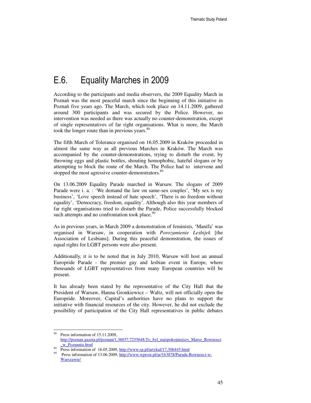# E.6. Equality Marches in 2009

According to the participants and media observers, the 2009 Equality March in Poznań was the most peaceful march since the beginning of this initiative in Poznań five years ago. The March, which took place on 14.11.2009, gathered around 300 participants and was secured by the Police. However, no intervention was needed as there was actually no counter-demonstration, except of single representatives of far right organisations. What is more, the March took the longer route than in previous years.<sup>88</sup>

The fifth March of Tolerance organised on 16.05.2009 in Kraków proceeded in almost the same way as all previous Marches in Kraków. The March was accompanied by the counter-demonstrations, trying to disturb the event, by throwing eggs and plastic bottles, shouting homophobic, hateful slogans or by attempting to block the route of the March. The Police had to intervene and stopped the most agressive counter-demonstrators.<sup>89</sup>

On 13.06.2009 Equality Parade marched in Warsaw. The slogans of 2009 Parade were i. a. : 'We demand the law on same-sex couples', 'My sex is my business', 'Love speech instead of hate speech', 'There is no freedom without equality', 'Democracy, freedom, equality'. Although also this year members of far right organisations tried to disturb the Parade, Police successfully blocked such attempts and no confrontation took place.<sup>90</sup>

As in previous years, in March 2009 a demonstration of feminists, 'Manifa' was organised in Warsaw, in cooperation with *Porozumienie Lesbijek* [the Association of Lesbians]. During this peaceful demonstration, the issues of equal rights for LGBT persons were also present.

Additionally, it is to be noted that in July 2010, Warsaw will host an annual Europride Parade - the premier gay and lesbian event in Europe, where thousands of LGBT representatives from many European countries will be present.

It has already been stated by the representative of the City Hall that the President of Warsaw, Hanna Gronkiewicz – Waltz, will not officially open the Europride. Moreover, Capital's authorities have no plans to support the initiative with financial resources of the city. However, he did not exclude the possibility of participation of the City Hall representatives in public debates

<sup>88</sup> Press information of 15.11.2009, http://poznan.gazeta.pl/poznan/1,36037,7255648,To\_byl\_najspokojniejszy\_Marsz\_Rownosci \_w\_Poznaniu.html

Press information of 16.05.2009, http://www.rp.pl/artykul/17,306445.html

<sup>90</sup> Press information of 13.06.2009, http://www.wprost.pl/ar/163878/Parada-Rownosci-w-Warszawie/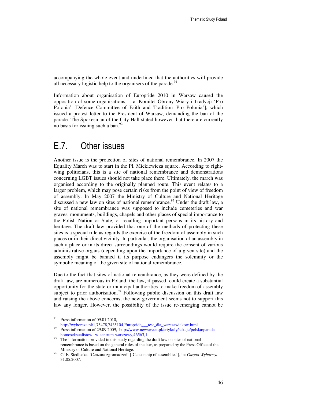accompanying the whole event and underlined that the authorities will provide all necessary logistic help to the organisers of the parade.<sup>91</sup>

Information about organisation of Europride 2010 in Warsaw caused the opposition of some organisations, i. a. Komitet Obrony Wiary i Tradycji 'Pro Polonia' [Defence Committee of Faith and Tradition 'Pro Polonia'], which issued a protest letter to the President of Warsaw, demanding the ban of the parade. The Spokesman of the City Hall stated however that there are currently no basis for issuing such a ban. $^{92}$ 

### E.7. Other issues

Another issue is the protection of sites of national remembrance. In 2007 the Equality March was to start in the Pl. Mickiewicza square. According to rightwing politicians, this is a site of national remembrance and demonstrations concerning LGBT issues should not take place there. Ultimately, the march was organised according to the originally planned route. This event relates to a larger problem, which may pose certain risks from the point of view of freedom of assembly. In May 2007 the Ministry of Culture and National Heritage discussed a new law on sites of national remembrance.<sup>93</sup> Under the draft law, a site of national remembrance was supposed to include cemeteries and war graves, monuments, buildings, chapels and other places of special importance to the Polish Nation or State, or recalling important persons in its history and heritage. The draft law provided that one of the methods of protecting these sites is a special rule as regards the exercise of the freedom of assembly in such places or in their direct vicinity. In particular, the organisation of an assembly in such a place or in its direct surroundings would require the consent of various administrative organs (depending upon the importance of a given site) and the assembly might be banned if its purpose endangers the solemnity or the symbolic meaning of the given site of national remembrance.

Due to the fact that sites of national remembrance, as they were defined by the draft law, are numerous in Poland, the law, if passed, could create a substantial opportunity for the state or municipal authorities to make freedom of assembly subject to prior authorisation.<sup>94</sup> Following public discussion on this draft law and raising the above concerns, the new government seems not to support this law any longer. However, the possibility of the issue re-emerging cannot be

http://wyborcza.pl/1,75478,7435104,Europride\_\_\_test\_dla\_warszawiakow.html 92 Press information of 29.09.2009, http://www.newsweek.pl/artykuly/sekcje/polska/parada-

<sup>91</sup> Press information of 09.01.2010,

homoseksualistow--w-centrum-warszawy,46563,1

The information provided in this study regarding the draft law on sites of national remembrance is based on the general rules of the law, as prepared by the Press Office of the Ministry of Culture and National Heritage.

<sup>94</sup> Cf E. Siedlecka, 'Cenzura zgromadzeń' ['Censorship of assemblies'], in: *Gazeta Wyborcza*, 31.05.2007.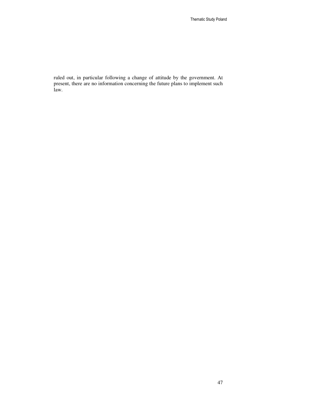ruled out, in particular following a change of attitude by the government. At present, there are no information concerning the future plans to implement such law.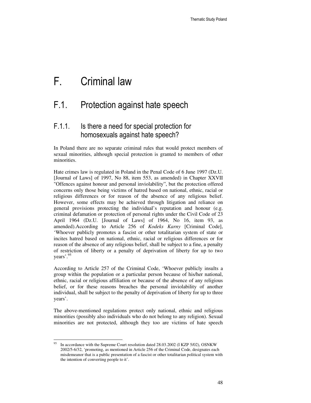# F. Criminal law

## F.1. Protection against hate speech

#### F.1.1. Is there a need for special protection for homosexuals against hate speech?

In Poland there are no separate criminal rules that would protect members of sexual minorities, although special protection is granted to members of other minorities.

Hate crimes law is regulated in Poland in the Penal Code of 6 June 1997 (Dz.U. [Journal of Laws] of 1997, No 88, item 553, as amended) in Chapter XXVII "Offences against honour and personal inviolability", but the protection offered concerns only those being victims of hatred based on national, ethnic, racial or religious differences or for reason of the absence of any religious belief. However, some effects may be achieved through litigation and reliance on general provisions protecting the individual's reputation and honour (e.g. criminal defamation or protection of personal rights under the Civil Code of 23 April 1964 (Dz.U. [Journal of Laws] of 1964, No 16, item 93, as amended).According to Article 256 of *Kodeks Karny* [Criminal Code], 'Whoever publicly promotes a fascist or other totalitarian system of state or incites hatred based on national, ethnic, racial or religious differences or for reason of the absence of any religious belief, shall be subject to a fine, a penalty of restriction of liberty or a penalty of deprivation of liberty for up to two years'.<sup>95</sup>

According to Article 257 of the Criminal Code, 'Whoever publicly insults a group within the population or a particular person because of his/her national, ethnic, racial or religious affiliation or because of the absence of any religious belief, or for these reasons breaches the personal inviolability of another individual, shall be subject to the penalty of deprivation of liberty for up to three years'.

The above-mentioned regulations protect only national, ethnic and religious minorities (possibly also individuals who do not belong to any religion). Sexual minorities are not protected, although they too are victims of hate speech

 $\ddot{ }$ <sup>95</sup> In accordance with the Supreme Court resolution dated 28.03.2002 (I KZP 5/02), OSNKW 2002/5-6/32, 'promoting, as mentioned in Article 256 of the Criminal Code, designates each misdemeanor that is a public presentation of a fascist or other totalitarian political system with the intention of converting people to it'.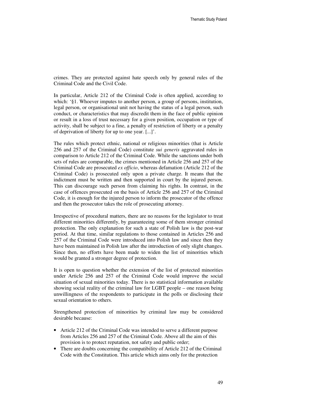crimes. They are protected against hate speech only by general rules of the Criminal Code and the Civil Code.

In particular, Article 212 of the Criminal Code is often applied, according to which: '§1. Whoever imputes to another person, a group of persons, institution, legal person, or organisational unit not having the status of a legal person, such conduct, or characteristics that may discredit them in the face of public opinion or result in a loss of trust necessary for a given position, occupation or type of activity, shall be subject to a fine, a penalty of restriction of liberty or a penalty of deprivation of liberty for up to one year. [...]'.

The rules which protect ethnic, national or religious minorities (that is Article 256 and 257 of the Criminal Code) constitute *sui generis* aggravated rules in comparison to Article 212 of the Criminal Code. While the sanctions under both sets of rules are comparable, the crimes mentioned in Article 256 and 257 of the Criminal Code are prosecuted *ex officio*, whereas defamation (Article 212 of the Criminal Code) is prosecuted only upon a private charge. It means that the indictment must be written and then supported in court by the injured person. This can discourage such person from claiming his rights. In contrast, in the case of offences prosecuted on the basis of Article 256 and 257 of the Criminal Code, it is enough for the injured person to inform the prosecutor of the offence and then the prosecutor takes the role of prosecuting attorney.

Irrespective of procedural matters, there are no reasons for the legislator to treat different minorities differently, by guaranteeing some of them stronger criminal protection. The only explanation for such a state of Polish law is the post-war period. At that time, similar regulations to those contained in Articles 256 and 257 of the Criminal Code were introduced into Polish law and since then they have been maintained in Polish law after the introduction of only slight changes. Since then, no efforts have been made to widen the list of minorities which would be granted a stronger degree of protection.

It is open to question whether the extension of the list of protected minorities under Article 256 and 257 of the Criminal Code would improve the social situation of sexual minorities today. There is no statistical information available showing social reality of the criminal law for LGBT people – one reason being unwillingness of the respondents to participate in the polls or disclosing their sexual orientation to others.

Strengthened protection of minorities by criminal law may be considered desirable because:

- Article 212 of the Criminal Code was intended to serve a different purpose from Articles 256 and 257 of the Criminal Code. Above all the aim of this provision is to protect reputation, not safety and public order;
- There are doubts concerning the compatibility of Article 212 of the Criminal Code with the Constitution. This article which aims only for the protection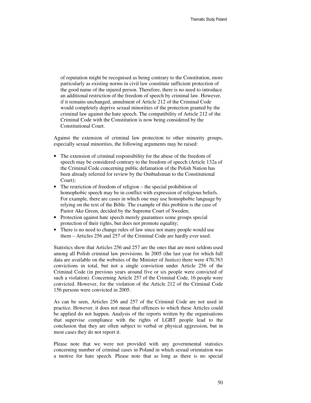of reputation might be recognised as being contrary to the Constitution, more particularly as existing norms in civil law constitute sufficient protection of the good name of the injured person. Therefore, there is no need to introduce an additional restriction of the freedom of speech by criminal law. However, if it remains unchanged, annulment of Article 212 of the Criminal Code would completely deprive sexual minorities of the protection granted by the criminal law against the hate speech. The compatibility of Article 212 of the Criminal Code with the Constitution is now being considered by the Constitutional Court.

Against the extension of criminal law protection to other minority groups, especially sexual minorities, the following arguments may be raised:

- The extension of criminal responsibility for the abuse of the freedom of speech may be considered contrary to the freedom of speech (Article 132a of the Criminal Code concerning public defamation of the Polish Nation has been already referred for review by the Ombudsman to the Constitutional Court);
- The restriction of freedom of religion the special prohibition of homophobic speech may be in conflict with expression of religious beliefs. For example, there are cases in which one may use homophobic language by relying on the text of the Bible. The example of this problem is the case of Pastor Ake Green, decided by the Supreme Court of Sweden;
- Protection against hate speech merely guarantees some groups special protection of their rights, but does not promote equality;
- There is no need to change rules of law since not many people would use them – Articles 256 and 257 of the Criminal Code are hardly ever used.

Statistics show that Articles 256 and 257 are the ones that are most seldom used among all Polish criminal law provisions. In 2005 (the last year for which full data are available on the websites of the Minister of Justice) there were 470,763 convictions in total, but not a single conviction under Article 256 of the Criminal Code (in previous years around five or six people were convicted of such a violation). Concerning Article 257 of the Criminal Code, 16 people were convicted. However, for the violation of the Article 212 of the Criminal Code 156 persons were convicted in 2005.

As can be seen, Articles 256 and 257 of the Criminal Code are not used in practice. However, it does not mean that offences to which these Articles could be applied do not happen. Analysis of the reports written by the organisations that supervise compliance with the rights of LGBT people lead to the conclusion that they are often subject to verbal or physical aggression, but in most cases they do not report it.

Please note that we were not provided with any governmental statistics concerning number of criminal cases in Poland in which sexual orientation was a motive for hate speech. Please note that as long as there is no special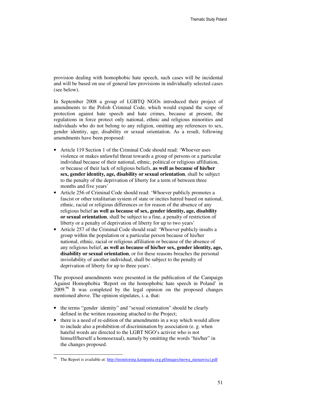provision dealing with homophobic hate speech, such cases will be incidental and will be based on use of general law provisions in individually selected cases (see below).

In September 2008 a group of LGBTQ NGOs introduced their project of amendments to the Polish Criminal Code, which would expand the scope of protection against hate speech and hate crimes, because at present, the regulations in force protect only national, ethnic and religious minorities and individuals who do not belong to any religion, omitting any references to sex, gender identity, age, disability or sexual orientation. As a result, following amendments have been proposed:

- Article 119 Section 1 of the Criminal Code should read: 'Whoever uses violence or makes unlawful threat towards a group of persons or a particular individual because of their national, ethnic, political or religious affiliation, or because of their lack of religious beliefs, **as well as because of his/her sex, gender identity, age, disability or sexual orientation**, shall be subject to the penalty of the deprivation of liberty for a term of between three months and five years'
- Article 256 of Criminal Code should read: 'Whoever publicly promotes a fascist or other totalitarian system of state or incites hatred based on national, ethnic, racial or religious differences or for reason of the absence of any religious belief **as well as because of sex, gender identity, age, disability or sexual orientation**, shall be subject to a fine, a penalty of restriction of liberty or a penalty of deprivation of liberty for up to two years'
- Article 257 of the Criminal Code should read: 'Whoever publicly insults a group within the population or a particular person because of his/her national, ethnic, racial or religious affiliation or because of the absence of any religious belief, **as well as because of his/her sex, gender identity, age, disability or sexual orientation**, or for these reasons breaches the personal inviolability of another individual, shall be subject to the penalty of deprivation of liberty for up to three years'.

The proposed amendments were presented in the publication of the Campaign Against Homophobia 'Report on the homophobic hate speech in Poland' in 2009.<sup>96</sup> It was completed by the legal opinion on the proposed changes mentioned above. The opinion stipulates, i. a. that:

- the terms "gender identity" and "sexual orientation" should be clearly defined in the written reasoning attached to the Project;
- there is a need of re-edition of the amendments in a way which would allow to include also a prohibition of discrimination by association (e. g. when hateful words are directed to the LGBT NGO's activist who is not himself/herself a homosexual), namely by omitting the words "his/her" in the changes proposed.

-

The Report is available at: http://monitoring.kampania.org.pl/images/mowa\_nienawisci.pdf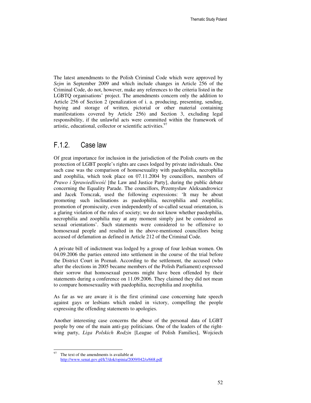The latest amendments to the Polish Criminal Code which were approved by *Sejm* in September 2009 and which include changes in Article 256 of the Criminal Code, do not, however, make any references to the criteria listed in the LGBTQ organisations' project. The amendments concern only the addition to Article 256 of Section 2 (penalization of i. a. producing, presenting, sending, buying and storage of written, pictorial or other material containing manifestations covered by Article 256) and Section 3, excluding legal responsibility, if the unlawful acts were committed within the framework of artistic, educational, collector or scientific activities.<sup>97</sup>

#### F.1.2. Case law

Of great importance for inclusion in the jurisdiction of the Polish courts on the protection of LGBT people's rights are cases lodged by private individuals. One such case was the comparison of homosexuality with paedophilia, necrophilia and zoophilia, which took place on 07.11.2004 by councillors, members of *Prawo i Sprawiedliwo*ść [the Law and Justice Party], during the public debate concerning the Equality Parade. The councillors, Przemysław Aleksandrowicz and Jacek Tomczak, used the following expressions: 'It may be about promoting such inclinations as paedophilia, necrophilia and zoophilia; promotion of promiscuity, even independently of so-called sexual orientation, is a glaring violation of the rules of society; we do not know whether paedophilia, necrophilia and zoophilia may at any moment simply just be considered as sexual orientations'. Such statements were considered to be offensive to homosexual people and resulted in the above-mentioned councillors being accused of defamation as defined in Article 212 of the Criminal Code.

A private bill of indictment was lodged by a group of four lesbian women. On 04.09.2006 the parties entered into settlement in the course of the trial before the District Court in Poznań. According to the settlement, the accused (who after the elections in 2005 became members of the Polish Parliament) expressed their sorrow that homosexual persons might have been offended by their statements during a conference on 11.09.2006. They claimed they did not mean to compare homosexuality with paedophilia, necrophilia and zoophilia.

As far as we are aware it is the first criminal case concerning hate speech against gays or lesbians which ended in victory, compelling the people expressing the offending statements to apologies.

Another interesting case concerns the abuse of the personal data of LGBT people by one of the main anti-gay politicians. One of the leaders of the rightwing party, *Liga Polskich Rodzin* [League of Polish Families], Wojciech

 $\ddot{ }$ The text of the amendments is available at http://www.senat.gov.pl/k7/dok/opinia/2009/042/o/668.pdf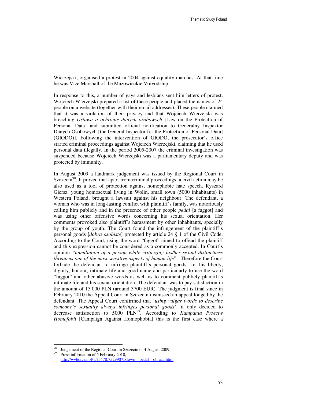Wierzejski, organised a protest in 2004 against equality marches. At that time he was Vice Marshall of the Mazowieckie Voivodship.

In response to this, a number of gays and lesbians sent him letters of protest. Wojciech Wierzejski prepared a list of these people and placed the names of 24 people on a website (together with their email addresses). These people claimed that it was a violation of their privacy and that Wojciech Wierzejski was breaching *Ustawa o ochronie danych osobowych* [Law on the Protection of Personal Data] and submitted official notification to Generalny Inspektor Danych Osobowych [the General Inspector for the Protection of Personal Data] (GIODO)]. Following the intervention of GIODO, the prosecutor's office started criminal proceedings against Wojciech Wierzejski, claiming that he used personal data illegally. In the period 2005-2007 the criminal investigation was suspended because Wojciech Wierzejski was a parliamentary deputy and was protected by immunity.

In August 2009 a landmark judgement was issued by the Regional Court in Szczecin<sup>98</sup>. It proved that apart from criminal proceedings, a civil action may be also used as a tool of protection against homophobic hate speech. Ryszard Giersz, young homosexual living in Wolin, small town (5000 inhabitants) in Western Poland, brought a lawsuit against his neighbour. The defendant, a woman who was in long-lasting conflict with plaintiff's family, was notoriously calling him publicly and in the presence of other people *pedał* [a faggot] and was using other offensive words concerning his sexual orientation. Her comments provoked also plaintiff's harassment by other inhabitants, specially by the group of youth. The Court found the infringement of the plaintiff's personal goods [*dobra osobiste*] protected by article 24 § 1 of the Civil Code. According to the Court, using the word "faggot" aimed to offend the plaintiff and this expression cannot be considered as a commonly accepted. In Court's opinion *"humiliation of a person while criticizing his/her sexual distinctness threatens one of the most sensitive aspects of human life*". Therefore the Court forbade the defendant to infringe plaintiff's personal goods, i.e. his liberty, dignity, honour, intimate life and good name and particularly to use the word "faggot" and other abusive words as well as to comment publicly plaintiff's intimate life and his sexual orientation. The defendant was to pay satisfaction in the amount of 15 000 PLN (around 3700 EUR). The judgment is final since in February 2010 the Appeal Court in Szczecin dismissed an appeal lodged by the defendant. The Appeal Court confirmed that '*using vulgar words to describe someone's sexuality always infringes personal goods*', it only decided to decrease satisfaction to 5000 PLN<sup>99</sup>. According to *Kampania Przeciw Homofobii* [Campaign Against Homophobia] this is the first case where a

Judgement of the Regional Court in Szczecin of 4 August 2009.

Press information of 5 February 2010, http://wyborcza.pl/1,75478,7529907,Slowo\_\_pedal\_\_obraza.html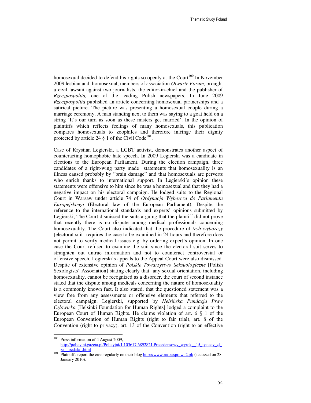homosexual decided to defend his rights so openly at the Court<sup>100</sup>. In November 2009 lesbian and homosexual, members of association *Otwarte Forum*, brought a civil lawsuit against two journalists, the editor-in-chief and the publisher of *Rzeczpospolita,* one of the leading Polish newspapers. In June 2009 *Rzeczpospolita* published an article concerning homosexual partnerships and a satirical picture. The picture was presenting a homosexual couple during a marriage ceremony. A man standing next to them was saying to a goat held on a string 'It's our turn as soon as these misters get married'. In the opinion of plaintiffs which reflects feelings of many homosexuals, this publication compares homosexuals to zoophiles and therefore infringe their dignity protected by article 24  $\S$  1 of the Civil Code<sup>101</sup>.

Case of Krystian Legierski, a LGBT activist, demonstrates another aspect of counteracting homophobic hate speech. In 2009 Legierski was a candidate in elections to the European Parliament. During the election campaign, three candidates of a right-wing party made statements that homosexuality is an illness caused probably by "brain damage" and that homosexuals are perverts who enrich thanks to international support. In Legierski's opinion these statements were offensive to him since he was a homosexual and that they had a negative impact on his electoral campaign. He lodged suits to the Regional Court in Warsaw under article 74 of *Ordynacja Wyborcza do Parlamentu Europejskiego* (Electoral law of the European Parliament). Despite the reference to the international standards and experts' opinions submitted by Legierski, The Court dismissed the suits arguing that the plaintiff did not prove that recently there is no dispute among medical professionals concerning homosexuality. The Court also indicated that the procedure of *tryb wyborczy* [electoral suit] requires the case to be examined in 24 hours and therefore does not permit to verify medical issues e.g. by ordering expert's opinion. In one case the Court refused to examine the suit since the electoral suit serves to straighten out untrue information and not to counteract controversial or offensive speech. Legierski's appeals to the Appeal Court were also dismissed. Despite of extensive opinion of *Polskie Towarzystwo Seksuologiczne* [Polish Sexologists' Association] stating clearly that any sexual orientation, including homosexuality, cannot be recognized as a disorder, the court of second instance stated that the dispute among medicals concerning the nature of homosexuality is a commonly known fact. It also stated, that the questioned statement was a view free from any assessments or offensive elements that referred to the electoral campaign. Legierski, supported by *Helsi*ń*ska Fundacja Praw Człowieka* [Helsinki Foundation for Human Rights] lodged a complaint to the European Court of Human Rights. He claims violation of art. 6 § 1 of the European Convention of Human Rights (right to fair trial), art. 8 of the Convention (right to privacy), art. 13 of the Convention (right to an effective

<sup>&</sup>lt;sup>100</sup> Press information of 4 August 2009, http://policyjni.gazeta.pl/Policyjni/1,103617,6892821,Precedensowy\_wyrok\_15\_tysiecy\_zl\_ za\_\_pedala\_.html

<sup>&</sup>lt;sup>101</sup> Plaintiffs report the case regularly on their blog http://www.naszasprawa2.pl/ (accessed on 28 January 2010).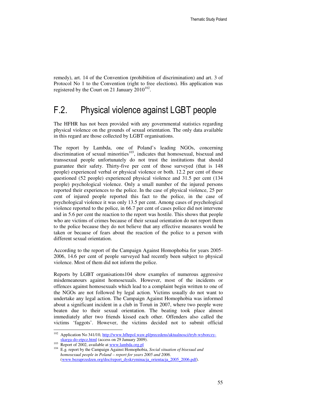remedy), art. 14 of the Convention (prohibition of discrimination) and art. 3 of Protocol No 1 to the Convention (right to free elections). His application was registered by the Court on 21 January  $2010^{102}$ .

### F.2. Physical violence against LGBT people

The HFHR has not been provided with any governmental statistics regarding physical violence on the grounds of sexual orientation. The only data available in this regard are those collected by LGBT organisations.

The report by Lambda, one of Poland's leading NGOs, concerning discrimination of sexual minorities $103$ , indicates that homosexual, bisexual and transsexual people unfortunately do not trust the institutions that should guarantee their safety. Thirty-five per cent of those surveyed (that is 148 people) experienced verbal or physical violence or both. 12.2 per cent of those questioned (52 people) experienced physical violence and 31.5 per cent (134 people) psychological violence. Only a small number of the injured persons reported their experiences to the police. In the case of physical violence, 25 per cent of injured people reported this fact to the police, in the case of psychological violence it was only 13.5 per cent. Among cases of psychological violence reported to the police, in 66.7 per cent of cases police did not intervene and in 5.6 per cent the reaction to the report was hostile. This shows that people who are victims of crimes because of their sexual orientation do not report them to the police because they do not believe that any effective measures would be taken or because of fears about the reaction of the police to a person with different sexual orientation.

According to the report of the Campaign Against Homophobia for years 2005- 2006, 14.6 per cent of people surveyed had recently been subject to physical violence. Most of them did not inform the police.

Reports by LGBT organisations104 show examples of numerous aggressive misdemeanours against homosexuals. However, most of the incidents or offences against homosexuals which lead to a complaint begin written to one of the NGOs are not followed by legal action. Victims usually do not want to undertake any legal action. The Campaign Against Homophobia was informed about a significant incident in a club in Toruń in 2007, where two people were beaten due to their sexual orientation. The beating took place almost immediately after two friends kissed each other. Offenders also called the victims 'faggots'. However, the victims decided not to submit official

<sup>102</sup> <sup>102</sup> Application No 341/10, http://www.hfhrpol.waw.pl/precedens/aktualnosci/tryb-wyborczyskarga-do-etpcz.html (access on 29 January 2009).

 $103$  Report of 2002, available at  $\frac{\text{www.lambda.org.pl}}{}$ 

<sup>104</sup> E.g. report by the Campaign Against Homophobia, *Social situation of bisexual and homosexual people in Poland – report for years 2005 and 2006*. (www.bezuprzedzen.org/doc/report\_dyskryminacja\_orientacja\_2005\_2006.pdf).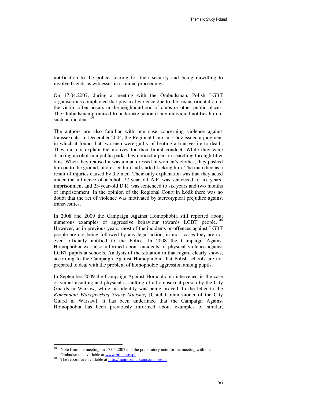notification to the police, fearing for their security and being unwilling to involve friends as witnesses in criminal proceedings.

On 17.04.2007, during a meeting with the Ombudsman, Polish LGBT organisations complained that physical violence due to the sexual orientation of the victim often occurs in the neighbourhood of clubs or other public places. The Ombudsman promised to undertake action if any individual notifies him of such an incident. $105$ 

The authors are also familiar with one case concerning violence against transsexuals. In December 2004, the Regional Court in Łódź issued a judgment in which it found that two men were guilty of beating a transvestite to death. They did not explain the motives for their brutal conduct. While they were drinking alcohol in a public park, they noticed a person searching through litter bins. When they realised it was a man dressed in women's clothes, they pushed him on to the ground, undressed him and started kicking him. The man died as a result of injuries caused by the men. Their only explanation was that they acted under the influence of alcohol. 27-year-old A.F. was sentenced to six years' imprisonment and 23-year-old D.R. was sentenced to six years and two months of imprisonment. In the opinion of the Regional Court in Łódź there was no doubt that the act of violence was motivated by stereotypical prejudice against transvestites.

In 2008 and 2009 the Campaign Against Homophobia still reported about numerous examples of aggressive behaviour towards LGBT people.<sup>106</sup> However, as in previous years, most of the incidents or offences against LGBT people are not being followed by any legal action, in most cases they are not even officially notified to the Police. In 2008 the Campaign Against Homophobia was also informed about incidents of physical violence against LGBT pupils at schools. Analysis of the situation in that regard clearly shows, according to the Campaign Against Homophobia, that Polish schools are not prepared to deal with the problem of homophobic aggression among pupils.

In September 2009 the Campaign Against Homophobia intervened in the case of verbal insulting and physical assaulting of a homosexual person by the City Guards in Warsaw, while his identity was being proved. In the letter to the *Komendant Warszawskiej Stra*ż*y Miejskiej* [Chief Commissioner of the City Guard in Warsaw], it has been underlined that the Campaign Against Homophobia has been previously informed about examples of similar,

<sup>&</sup>lt;sup>105</sup> Note from the meeting on 17.04.2007 and the preparatory note for the meeting with the Ombudsman, available at www.brpo.gov.pl

<sup>&</sup>lt;sup>106</sup> The reports are available at http://monitoring.kampania.org.pl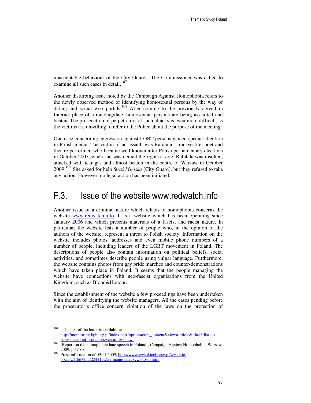unacceptable behaviour of the City Guards. The Commissioner was called to examine all such cases in detail.<sup>107</sup>

Another disturbing issue noted by the Campaign Against Homophobia refers to the newly observed method of identifying homosexual persons by the way of dating and social web portals.<sup>108</sup> After coming to the previously agreed in Internet place of a meeting/date, homosexual persons are being assaulted and beaten. The prosecution of perpetrators of such attacks is even more difficult, as the victims are unwilling to refer to the Police about the purpose of the meeting.

One case concerning aggression against LGBT persons gained special attention in Polish media. The victim of an assault was Rafalala - transvestite, poet and theatre performer, who became well known after Polish parliamentary elections in October 2007, when she was denied the right to vote. Rafalala was insulted, attacked with tear gas and almost beaten in the centre of Warsaw in October 2009.109 She asked for help *Stra*ż *Miejska* [City Guard], but they refused to take any action. However, no legal action has been initiated.

### F.3. Issue of the website www.redwatch.info

Another issue of a criminal nature which relates to homophobia concerns the website www.redwatch.info. It is a website which has been operating since January 2006 and which presents materials of a fascist and racist nature. In particular, the website lists a number of people who, in the opinion of the authors of the website, represent a threat to Polish society. Information on the website includes photos, addresses and even mobile phone numbers of a number of people, including leaders of the LGBT movement in Poland. The descriptions of people also contain information on political beliefs, social activities, and sometimes describe people using vulgar language. Furthermore, the website contains photos from gay pride marches and counter-demonstrations which have taken place in Poland. It seems that the people managing the website have connections with neo-fascist organisations from the United Kingdom, such as Blood&Honour.

Since the establishment of the website a few proceedings have been undertaken with the aim of identifying the website managers. All the cases pending before the prosecutor's office concern violation of the laws on the protection of

<sup>107</sup> The text of the letter is available at http://monitoring.kph.org.pl/index.php?option=com\_content&view=article&id=93:list-dostray-miejskiej-o-przemocy&catid=1:news

<sup>&</sup>lt;sup>108</sup> 'Report on the homophobic hate speech in Poland', Campaign Against Homophobia, Warsaw 2009, p.67-68.

Press information of 09.11.2009, http://www.wysokieobcasy.pl/wysokieobcasy/1,66725,7224415,Zaklinanie\_rzeczywistosci.html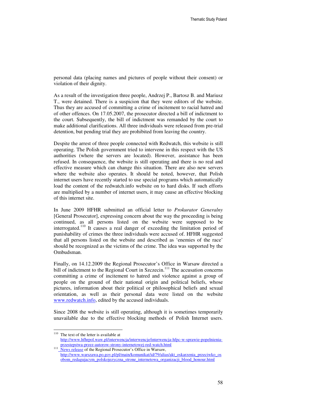personal data (placing names and pictures of people without their consent) or violation of their dignity.

As a result of the investigation three people, Andrzej P., Bartosz B. and Mariusz T., were detained. There is a suspicion that they were editors of the website. Thus they are accused of committing a crime of incitement to racial hatred and of other offences. On 17.05.2007, the prosecutor directed a bill of indictment to the court. Subsequently, the bill of indictment was remanded by the court to make additional clarifications. All three individuals were released from pre-trial detention, but pending trial they are prohibited from leaving the country.

Despite the arrest of three people connected with Redwatch, this website is still operating. The Polish government tried to intervene in this respect with the US authorities (where the servers are located). However, assistance has been refused. In consequence, the website is still operating and there is no real and effective measure which can change this situation. There are also new servers where the website also operates. It should be noted, however, that Polish internet users have recently started to use special programs which automatically load the content of the redwatch.info website on to hard disks. If such efforts are multiplied by a number of internet users, it may cause an effective blocking of this internet site.

In June 2009 HFHR submitted an official letter to *Prokurator Generalny*  [General Prosecutor], expressing concern about the way the proceeding is being continued, as all persons listed on the website were supposed to be interrogated.<sup>110</sup> It causes a real danger of exceeding the limitation period of punishability of crimes the three individuals were accused of. HFHR suggested that all persons listed on the website and described as 'enemies of the race' should be recognized as the victims of the crime. The idea was supported by the Ombudsman.

Finally, on 14.12.2009 the Regional Prosecutor's Office in Warsaw directed a bill of indictment to the Regional Court in Szczecin.<sup>111</sup> The accusation concerns committing a crime of incitement to hatred and violence against a group of people on the ground of their national origin and political beliefs, whose pictures, information about their political or philosophical beliefs and sexual orientation, as well as their personal data were listed on the website www.redwatch.info, edited by the accused individuals.

Since 2008 the website is still operating, although it is sometimes temporarily unavailable due to the effective blocking methods of Polish Internet users.

<sup>&</sup>lt;sup>110</sup> The text of the letter is available at

http://www.hfhrpol.waw.pl/interwencja/interwencje/interwencja-hfpc-w-sprawie-popelnieniaprzestepstwa-przez-autorow-strony-internetowej-red-watch.html

<sup>&</sup>lt;sup>111</sup> News release of the Regional Prosecutor's Office in Warsaw, http://www.warszawa.po.gov.pl/pl/main/komunikat/id/79/alias/akt\_oskarzenia\_przeciwko\_os obom\_redagujacym\_polskojezyczna\_strone\_internetowa\_organizacji\_blood\_honour.html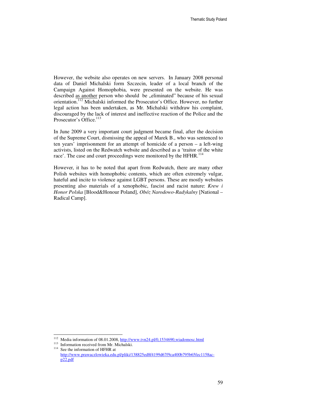However, the website also operates on new servers. In January 2008 personal data of Daniel Michalski form Szczecin, leader of a local branch of the Campaign Against Homophobia, were presented on the website. He was described as another person who should be "eliminated" because of his sexual orientation.<sup>112</sup> Michalski informed the Prosecutor's Office. However, no further legal action has been undertaken, as Mr. Michalski withdraw his complaint, discouraged by the lack of interest and ineffective reaction of the Police and the Prosecutor's Office.<sup>113</sup>

In June 2009 a very important court judgment became final, after the decision of the Supreme Court, dismissing the appeal of Marek B., who was sentenced to ten years' imprisonment for an attempt of homicide of a person – a left-wing activists, listed on the Redwatch website and described as a 'traitor of the white race'. The case and court proceedings were monitored by the HFHR.<sup>114</sup>

However, it has to be noted that apart from Redwatch, there are many other Polish websites with homophobic contents, which are often extremely vulgar, hateful and incite to violence against LGBT persons. These are mostly websites presenting also materials of a xenophobic, fascist and racist nature: *Krew i Honor Polska* [Blood&Honour Poland], *Obóz Narodowo-Radykalny* [National – Radical Camp].

<sup>&</sup>lt;sup>112</sup> Media information of 08.01.2008, http://www.tvn24.pl/0,1534690,wiadomosc.html

<sup>&</sup>lt;sup>113</sup> Information received from Mr. Michalski. <sup>114</sup> See the information of HFHR at

http://www.prawaczlowieka.edu.pl/pliki/138825ed8f4199d67f9ca400b795b65fec1158acp22.pdf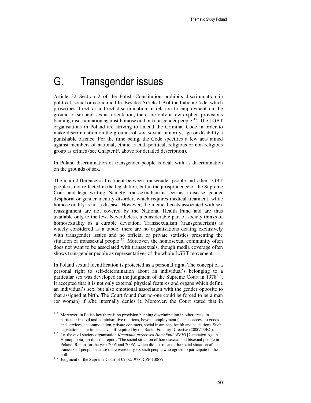# G. Transgender issues

Article 32 Section 2 of the Polish Constitution prohibits discrimination in political, social or economic life. Besides Article 11³ of the Labour Code, which proscribes direct or indirect discrimination in relation to employment on the ground of sex and sexual orientation, there are only a few explicit provisions banning discrimination against homosexual or transgender people<sup>115</sup>. The LGBT organisations in Poland are striving to amend the Criminal Code in order to make discrimination on the grounds of sex, sexual minority, age or disability a punishable offence. For the time being, the Code specifies a few acts aimed against members of national, ethnic, racial, political, religious or non-religious group as crimes (see Chapter F. above for detailed description).

In Poland discrimination of transgender people is dealt with as discrimination on the grounds of sex.

The main difference of treatment between transgender people and other LGBT people is not reflected in the legislation, but in the jurisprudence of the Supreme Court and legal writing. Namely, transsexualism is seen as a disease, gender dysphoria or gender identity disorder, which requires medical treatment, while homosexuality is not a disease. However, the medical costs associated with sex reassignment are not covered by the National Health Fund and are thus available only to the few. Nevertheless, a considerable part of society thinks of homosexuality as a curable deviation. Transsexualism (transgenderism) is widely considered as a taboo, there are no organisations dealing exclusively with transgender issues and no official or private statistics presenting the situation of transsexual people $^{116}$ . Moreover, the homosexual community often does not want to be associated with transsexuals, though media coverage often shows transgender people as representatives of the whole LGBT movement.

In Poland sexual identification is protected as a personal right. The concept of a personal right to self-determination about an individual's belonging to a particular sex was developed in the judgment of the Supreme Court in 1978<sup>117</sup>. It accepted that it is not only external physical features and organs which define an individual's sex, but also emotional association with the gender opposite to that assigned at birth. The Court found that no-one could be forced to be a man (or woman) if s/he internally denies it. Moreover, the Court stated that in

-

<sup>&</sup>lt;sup>115</sup> Moreover, in Polish law there is no provision banning discrimination in other areas, in particular in civil and administrative relations, beyond employment (such as access to goods and services, accommodation, private contracts, social insurance, health and education). Such legislation is not in place even if required by the Racial Equality Directive (2000/43/EC).

<sup>116</sup> I.e. the civil society organisation *Kampania przeciwko Homofobii (KPH)* [Campaign Against Homophobia] produced a report, 'The social situation of homosexual and bisexual people in Poland. Report for the year 2005 and 2006', which did not refer to the social situation of transsexual people because there were only six such people who agreed to participate in the poll.

<sup>&</sup>lt;sup>117</sup> Judgment of the Supreme Court of 02.02.1978, CZP 100/77.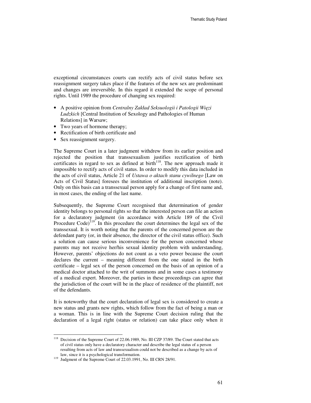exceptional circumstances courts can rectify acts of civil status before sex reassignment surgery takes place if the features of the new sex are predominant and changes are irreversible. In this regard it extended the scope of personal rights. Until 1989 the procedure of changing sex required:

- A positive opinion from *Centralny Zakład Seksuologii i Patologii Wi*ę*zi Ludzkich* [Central Institution of Sexology and Pathologies of Human Relations] in Warsaw;
- Two years of hormone therapy;
- Rectification of birth certificate and
- Sex reassignment surgery.

The Supreme Court in a later judgment withdrew from its earlier position and rejected the position that transsexualism justifies rectification of birth certificates in regard to sex as defined at  $\text{birth}^{118}$ . The new approach made it impossible to rectify acts of civil status. In order to modify this data included in the acts of civil status, Article 21 of *Ustawa o aktach stanu cywilnego* [Law on Acts of Civil Status] foresees the institution of additional inscription (note). Only on this basis can a transsexual person apply for a change of first name and, in most cases, the ending of the last name.

Subsequently, the Supreme Court recognised that determination of gender identity belongs to personal rights so that the interested person can file an action for a declaratory judgment (in accordance with Article 189 of the Civil Procedure Code)<sup>119</sup>. In this procedure the court determines the legal sex of the transsexual. It is worth noting that the parents of the concerned person are the defendant party (or, in their absence, the director of the civil status office). Such a solution can cause serious inconvenience for the person concerned whose parents may not receive her/his sexual identity problem with understanding, However, parents' objections do not count as a veto power because the court declares the current – meaning different from the one stated in the birth certificate – legal sex of the person concerned on the basis of an opinion of a medical doctor attached to the writ of summons and in some cases a testimony of a medical expert. Moreover, the parties in these proceedings can agree that the jurisdiction of the court will be in the place of residence of the plaintiff, not of the defendants.

It is noteworthy that the court declaration of legal sex is considered to create a new status and grants new rights, which follow from the fact of being a man or a woman. This is in line with the Supreme Court decision ruling that the declaration of a legal right (status or relation) can take place only when it

 $1\,18$ Decision of the Supreme Court of 22.06.1989, No. III CZP 37/89. The Court stated that acts of civil status only have a declaratory character and describe the legal status of a person resulting from acts of law and transsexualism could not be described as a change by acts of law, since it is a psychological transformation.

<sup>&</sup>lt;sup>119</sup> Judgment of the Supreme Court of 22.03.1991, No. III CRN 28/91.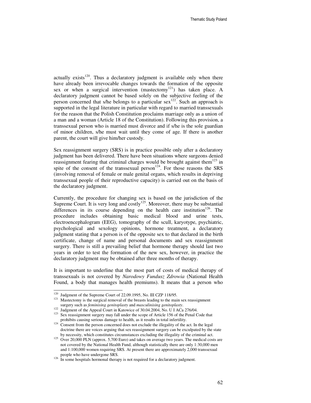actually exists<sup>120</sup>. Thus a declaratory judgment is available only when there have already been irrevocable changes towards the formation of the opposite sex or when a surgical intervention (mastectomy<sup>121</sup>) has taken place. A declaratory judgment cannot be based solely on the subjective feeling of the person concerned that s/he belongs to a particular sex<sup>122</sup>. Such an approach is supported in the legal literature in particular with regard to married transsexuals for the reason that the Polish Constitution proclaims marriage only as a union of a man and a woman (Article 18 of the Constitution). Following this provision, a transsexual person who is married must divorce and if s/he is the sole guardian of minor children, s/he must wait until they come of age. If there is another parent, the court will give him/her custody.

Sex reassignment surgery (SRS) is in practice possible only after a declaratory judgment has been delivered. There have been situations where surgeons denied reassignment fearing that criminal charges would be brought against them<sup>123</sup> in spite of the consent of the transsexual person<sup>124</sup>. For those reasons the SRS (involving removal of female or male genital organs, which results in depriving transsexual people of their reproductive capacity) is carried out on the basis of the declaratory judgment.

Currently, the procedure for changing sex is based on the jurisdiction of the Supreme Court. It is very long and  $\overline{\text{costly}}^{125}$ . Moreover, there may be substantial differences in its course depending on the health care institution<sup>126</sup>. The procedure includes obtaining basic medical blood and urine tests, electroencephalogram (EEG), tomography of the scull, karyotype, psychiatric, psychological and sexology opinions, hormone treatment, a declaratory judgment stating that a person is of the opposite sex to that declared in the birth certificate, change of name and personal documents and sex reassignment surgery. There is still a prevailing belief that hormone therapy should last two years in order to test the formation of the new sex, however, in practice the declaratory judgment may be obtained after three months of therapy.

It is important to underline that the most part of costs of medical therapy of transsexuals is not covered by *Narodowy Fundusz Zdrowia* (National Health Found, a body that manages health premiums). It means that a person who

-

<sup>&</sup>lt;sup>120</sup> Judgment of the Supreme Court of 22.09.1995, No. III CZP 118/95.

<sup>&</sup>lt;sup>121</sup> Mastectomy is the surgical removal of the breasts leading to the main sex reassignment surgery such as *feminising genitoplasty* and *masculinising genitoplasty*.

<sup>&</sup>lt;sup>122</sup> Judgment of the Appeal Court in Katowice of 30.04.2004, No. U I ACa 276/04.

<sup>&</sup>lt;sup>123</sup> Sex reassignment surgery may fall under the scope of Article 156 of the Penal Code that prohibits causing serious damage to health, as it results in total infertility.

<sup>&</sup>lt;sup>124</sup> Consent from the person concerned does not exclude the illegality of the act. In the legal doctrine there are voices arguing that sex reassignment surgery can be exculpated by the state by necessity, which constitutes circumstances excluding the illegality of the criminal act.

 $125$  Over 20,000 PLN (approx. 5,700 Euro) and takes on average two years. The medical costs are not covered by the National Health Fund, although statistically there are only 1:30,000 men and 1:100,000 women requiring SRS. At present there are approximately 2,000 transsexual people who have undergone SRS.

<sup>&</sup>lt;sup>126</sup> In some hospitals hormonal therapy is not required for a declaratory judgment.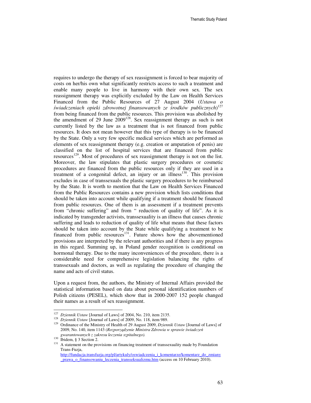requires to undergo the therapy of sex reassignment is forced to bear majority of costs on her/his own what significantly restricts access to such a treatment and enable many people to live in harmony with their own sex. The sex reassignment therapy was explicitly excluded by the Law on Health Services Financed from the Public Resources of 27 August 2004 (*Ustawa o*  ś*wiadczeniach opieki zdrowotnej finansowanych ze* ś*rodków publicznych*) 127 from being financed from the public resources. This provision was abolished by the amendment of 29 June  $2009^{128}$ . Sex reassignment therapy as such is not currently listed by the law as a treatment that is not financed from public resources. It does not mean however that this type of therapy is to be financed by the State. Only a very few specific medical services which are performed as elements of sex reassignment therapy (e.g. creation or amputation of penis) are classified on the list of hospital services that are financed from public resources<sup>129</sup>. Most of procedures of sex reassignment therapy is not on the list. Moreover, the law stipulates that plastic surgery procedures or cosmetic procedures are financed from the public resources only if they are used in a treatment of a congenital defect, an injury or an illness<sup>130</sup>. This provision excludes in case of transsexuals the plastic surgery procedures to be reimbursed by the State. It is worth to mention that the Law on Health Services Financed from the Public Resources contains a new provision which lists conditions that should be taken into account while qualifying if a treatment should be financed from public resources. One of them is an assessment if a treatment prevents from "chronic suffering" and from " reduction of quality of life". As it is indicated by transgender activists, transsexuality is an illness that causes chronic suffering and leads to reduction of quality of life what means that these factors should be taken into account by the State while qualifying a treatment to be financed from public resources $131$ . Future shows how the abovementioned provisions are interpreted by the relevant authorities and if there is any progress in this regard. Summing up, in Poland gender recognition is conditional on hormonal therapy. Due to the many inconveniences of the procedure, there is a considerable need for comprehensive legislation balancing the rights of transsexuals and doctors, as well as regulating the procedure of changing the name and acts of civil status.

Upon a request from, the authors, the Ministry of Internal Affairs provided the statistical information based on data about personal identification numbers of Polish citizens (PESEL), which show that in 2000-2007 152 people changed their names as a result of sex reassignment.

-

<sup>127</sup> *Dziennik Ustaw* [Journal of Laws] of 2004, No. 210, item 2135.

<sup>128</sup> *Dziennik Ustaw* [Journal of Laws] of 2009, No. 118, item 989.

<sup>129</sup> Ordinance of the Ministry of Health of 29 August 2009, *Dziennik Ustaw* [Journal of Laws] of 2009, No. 140, item 1143 (*Rozporz*ą*dzenie Ministra Zdrowia w sprawie* ś*wiadcze*ń *gwarantowanych z zakresu leczenia szpitalnego).* 

<sup>130</sup> Ibidem, § 3 Section 2.

<sup>&</sup>lt;sup>131</sup> A statement on the provisions on financing treatment of transsexuality made by Foundation Trans-Fuzja,

http://fundacja.transfuzja.org/pl/artykuly/oswiadczenia\_i\_komentarze/komentarz\_do\_zmiany \_prawa\_o\_finansowaniu\_leczenia\_transseksualizmu.htm (access on 10 February 2010).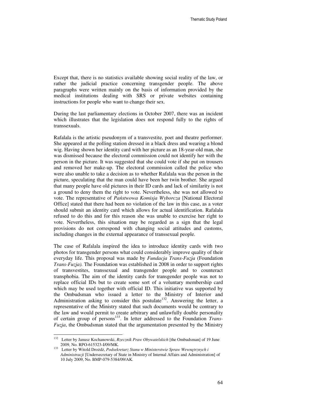Except that, there is no statistics available showing social reality of the law, or rather the judicial practice concerning transgender people. The above paragraphs were written mainly on the basis of information provided by the medical institutions dealing with SRS or private websites containing instructions for people who want to change their sex.

During the last parliamentary elections in October 2007, there was an incident which illustrates that the legislation does not respond fully to the rights of transsexuals.

Rafalala is the artistic pseudonym of a transvestite, poet and theatre performer. She appeared at the polling station dressed in a black dress and wearing a blond wig. Having shown her identity card with her picture as an 18-year-old man, she was dismissed because the electoral commission could not identify her with the person in the picture. It was suggested that she could vote if she put on trousers and removed her make-up. The electoral commission called the police who were also unable to take a decision as to whether Rafalala was the person in the picture, speculating that the man could have been her twin brother. She argued that many people have old pictures in their ID cards and lack of similarity is not a ground to deny them the right to vote. Nevertheless, she was not allowed to vote. The representative of *Pa*ń*stwowa Komisja Wyborcza* [National Electoral Office] stated that there had been no violation of the law in this case, as a voter should submit an identity card which allows for actual identification. Rafalala refused to do this and for this reason she was unable to exercise her right to vote. Nevertheless, this situation may be regarded as a sign that the legal provisions do not correspond with changing social attitudes and customs, including changes in the external appearance of transsexual people.

The case of Rafalala inspired the idea to introduce identity cards with two photos for transgender persons what could considerably improve quality of their everyday life. This proposal was made by *Fundacja Trans-Fuzja* (Foundation *Trans-Fuzja).* The Foundation was established in 2008 in order to support rights of transvestites, transsexual and transgender people and to counteract transphobia. The aim of the identity cards for transgender people was not to replace official IDs but to create some sort of a voluntary membership card which may be used together with official ID. This initiative was supported by the Ombudsman who issued a letter to the Ministry of Interior and Administration asking to consider this postulate<sup>132</sup>. Answering the letter, a representative of the Ministry stated that such documents would be contrary to the law and would permit to create arbitrary and unlawfully double personality of certain group of persons<sup>133</sup>. In letter addressed to the Foundation *Trans-Fuzja*, the Ombudsman stated that the argumentation presented by the Ministry

<sup>132</sup> <sup>132</sup> Letter by Janusz Kochanowski, *Rzecznik Praw Obywatelskich* [the Ombudsman] of 19 June 2009, No. RPO-615323-I/09/MK.

<sup>133</sup> Letter by Witold Drożdż, *Podsekretarz Stanu w Ministerstwie Spraw Wewn*ę*trznych i Administracji* [Undersecretary of State in Ministry of Internal Affairs and Administration] of 10 July 2009, No. BMP-079-5384/09/AK.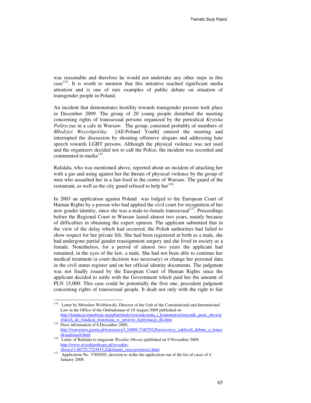was reasonable and therefore he would not undertake any other steps in this case<sup>134</sup>. It is worth to mention that this initiative reached significant media attention and is one of rare examples of public debate on situation of transgender people in Poland.

An incident that demonstrates hostility towards transgender persons took place in December 2009. The group of 20 young people disturbed the meeting concerning rights of transsexual persons organized by the periodical *Krytyka Polityczna* in a cafe in Warsaw. The group, consisted probably of members of *Młodzie*ż *Wszechpolska* [All-Poland Youth] entered the meeting and interrupted the discussion by shouting offensive slogans and addressing hate speech towards LGBT persons. Although the physical violence was not used and the organizers decided not to call the Police, the incident was recorded and commented in media<sup>135</sup>.

Rafalala, who was mentioned above, reported about an incident of attacking her with a gas and using against her the threats of physical violence by the group of men who assaulted her in a fast-food in the centre of Warsaw. The guard of the restaurant, as well as the city guard refused to help her<sup>136</sup>.

In 2003 an application against Poland was lodged to the European Court of Human Rights by a person who had applied the civil court for recognition of her new gender identity, since she was a male-to-female transsexual  $137$ . Proceedings before the Regional Court in Warsaw lasted almost two years, mainly because of difficulties in obtaining the expert opinion. The applicant submitted that in the view of the delay which had occurred, the Polish authorities had failed to show respect for her private life. She had been registered at birth as a male, she had undergone partial gender reassignment surgery and she lived in society as a female. Nonetheless, for a period of almost two years the applicant had remained, in the eyes of the law, a male. She had not been able to continue her medical treatment (a court decision was necessary) or change her personal data in the civil status register and on her official identity documents. The judgment was not finally issued by the European Court of Human Rights since the applicant decided to settle with the Government which paid her the amount of PLN 15,000. This case could be potentially the first one, precedent judgment concerning rights of transsexual people. It dealt not only with the right to fair

<sup>134</sup> Letter by Mirosław Wróblewski, Director of the Unit of the Constitutional and International Law in the Office of the Ombudsman of 10 August 2009 published on http://fundacja.transfuzja.org/pl/artykuly/oswiadczenia\_i\_komentarze/rzecznik\_praw\_obywat

elskich\_do\_fundacji\_transfuzja\_w\_sprawie\_legitymacji\_dla.htm <sup>135</sup> Press information of 8 December 2009, http://warszawa.gazeta.pl/warszawa/1,34889,7340792,Prawicowcy\_zaklocili\_debate\_o\_transs eksualistach.html

<sup>136</sup> Letter of Rafalala to magazine *Wysokie Obcasy* published on 9 November 2009, http://www.wysokieobcasy.pl/wysokieobcasy/1,66725,7224415,Zaklinanie\_rzeczywistosci.html

 $137$  Application No. 37850/03, decision to strike the application out of the list of cases of 4 January 2008.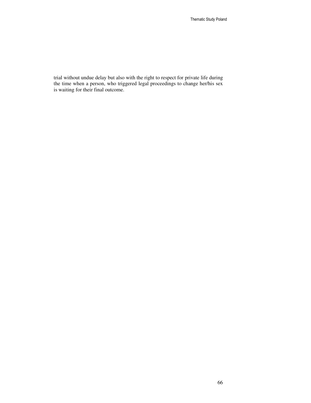trial without undue delay but also with the right to respect for private life during the time when a person, who triggered legal proceedings to change her/his sex is waiting for their final outcome.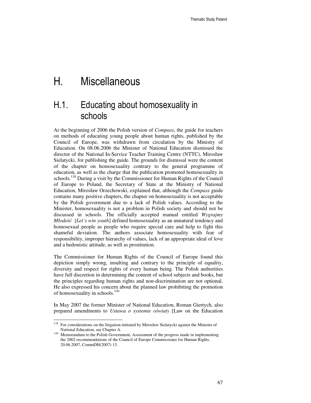# H. Miscellaneous

# H.1. Educating about homosexuality in schools

At the beginning of 2006 the Polish version of *Compass*, the guide for teachers on methods of educating young people about human rights, published by the Council of Europe, was withdrawn from circulation by the Ministry of Education. On 08.06.2006 the Minister of National Education dismissed the director of the National In-Service Teacher Training Centre (NTTC), Mirosław Sielatycki, for publishing the guide. The grounds for dismissal were the content of the chapter on homosexuality contrary to the general programme of education, as well as the charge that the publication promoted homosexuality in schools.<sup>138</sup> During a visit by the Commissioner for Human Rights of the Council of Europe to Poland, the Secretary of State at the Ministry of National Education, Mirosław Orzechowski, explained that, although the *Compass* guide contains many positive chapters, the chapter on homosexuality is not acceptable by the Polish government due to a lack of Polish values. According to the Minister, homosexuality is not a problem in Polish society and should not be discussed in schools. The officially accepted manual entitled *Wygrajmy Młodo*ść [*Let's win youth*] defined homosexuality as an unnatural tendency and homosexual people as people who require special care and help to fight this shameful deviation. The authors associate homosexuality with fear of responsibility, improper hierarchy of values, lack of an appropriate ideal of love and a hedonistic attitude, as well as prostitution.

The Commissioner for Human Rights of the Council of Europe found this depiction simply wrong, insulting and contrary to the principle of equality, diversity and respect for rights of every human being. The Polish authorities have full discretion in determining the content of school subjects and books, but the principles regarding human rights and non-discrimination are not optional. He also expressed his concern about the planned law prohibiting the promotion of homosexuality in schools. $140$ 

In May 2007 the former Minister of National Education, Roman Giertych, also prepared amendments to *Ustawa o systemie o*ś*wiaty* [Law on the Education

<sup>&</sup>lt;sup>138</sup> For considerations on the litigation initiated by Mirosław Sielatycki against the Minister of National Education, see Chapter A.

<sup>&</sup>lt;sup>140</sup> Memorandum to the Polish Government, Assessment of the progress made in implementing the 2002 recommendations of the Council of Europe Commissioner for Human Rights, 20.06.2007, CommDH(2007) 13.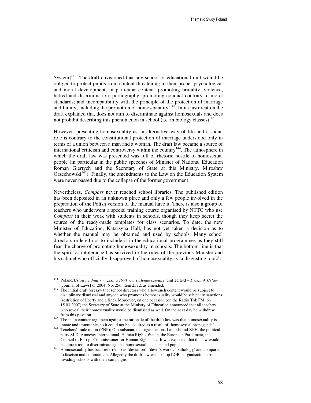System $]^{141}$ . The draft envisioned that any school or educational unit would be obliged to protect pupils from content threatening to their proper psychological and moral development, in particular content 'promoting brutality, violence, hatred and discrimination; pornography; promoting conduct contrary to moral standards; and incompatibility with the principle of the protection of marriage and family, including the promotion of homosexuality'<sup>142</sup>. In its justification the draft explained that does not aim to discriminate against homosexuals and does not prohibit describing this phenomenon in school (i.e. in biology classes) $^{143}$ .

However, presenting homosexuality as an alternative way of life and a social role is contrary to the constitutional protection of marriage understood only in terms of a union between a man and a woman. The draft law became a source of international criticism and controversy within the country<sup>144</sup>. The atmosphere in which the draft law was presented was full of rhetoric hostile to homosexual people (in particular in the public speeches of Minister of National Education Roman Giertych and the Secretary of State at this Ministry, Mirosław Orzechowski<sup>145</sup>). Finally, the amendments to the Law on the Education System were never passed due to the collapse of the former government.

Nevertheless, *Compass* never reached school libraries. The published edition has been deposited in an unknown place and only a few people involved in the preparation of the Polish version of the manual have it. There is also a group of teachers who underwent a special training course organised by NTTC who use *Compass* in their work with students in schools, though they keep secret the source of the ready-made templates for class scenarios. To date, the new Minister of Education, Katarzyna Hall, has not yet taken a decision as to whether the manual may be obtained and used by schools. Many school directors ordered not to include it in the educational programmes as they still fear the charge of promoting homosexuality in schools. The bottom line is that the spirit of intolerance has survived in the rules of the previous Minister and his cabinet who officially disapproved of homosexuality as 'a disgusting topic'.

<sup>141</sup> <sup>141</sup> Poland/*Ustawa z dnia 7 wrze*ś*nia 1991 r. o systemie o*ś*wiaty*, unified text – *Dziennik Ustaw*  [Journal of Laws] of 2004, No. 256, item 2572, as amended.

<sup>&</sup>lt;sup>142</sup> The initial draft foresaw that school directors who allow such content would be subject to disciplinary dismissal and anyone who promotes homosexuality would be subject to sanctions (restriction of liberty and a fine). Moreover, on one occasion (on the Radio Tok FM, on 15.03.2007) the Secretary of State at the Ministry of Education announced that all teachers who reveal their homosexuality would be dismissed as well. On the next day he withdrew from this position.

<sup>&</sup>lt;sup>143</sup> The main counter argument against the rationale of the draft law was that homosexuality is innate and immutable, so it could not be acquired as a result of 'homosexual propaganda'.

<sup>&</sup>lt;sup>144</sup> Teachers' trade union (ZNP); Ombudsman, the organisations Lambda and KPH, the political party SLD, Amnesty International, Human Rights Watch, the European Parliament, the Council of Europe Commissioner for Human Rights, etc. It was expected that the law would become a tool to discriminate against homosexual teachers and pupils.

<sup>&</sup>lt;sup>145</sup> Homosexuality has been referred to as 'deviation', 'devil's work', 'pathology' and compared to fascism and communism. Allegedly the draft law was to stop LGBT organisations from invading schools with their campaigns.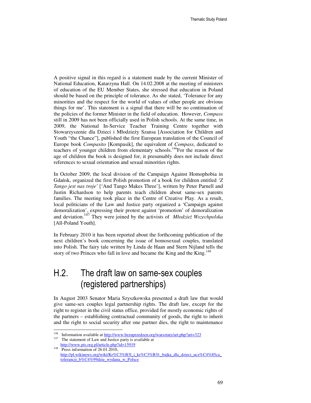A positive signal in this regard is a statement made by the current Minister of National Education, Katarzyna Hall. On 14.02.2008 at the meeting of ministers of education of the EU Member States, she stressed that education in Poland should be based on the principle of tolerance. As she stated, 'Tolerance for any minorities and the respect for the world of values of other people are obvious things for me'. This statement is a signal that there will be no continuation of the policies of the former Minister in the field of education. However, *Compass*  still in 2009 has not been officially used in Polish schools. At the same time, in 2009, the National In-Service Teacher Training Centre together with Stowarzyszenie dla Dzieci i Młodzieży Szansa [Association for Children and Youth "the Chance"], published the first European translation of the Council of Europe book *Compasito* [Kompasik], the equivalent of *Compass*, dedicated to teachers of younger children from elementary schools.<sup>146</sup>For the reason of the age of children the book is designed for, it presumably does not include direct references to sexual orientation and sexual minorities rights.

In October 2009, the local division of the Campaign Against Homophobia in Gdańsk, organized the first Polish promotion of a book for children entitled *'Z Tango jest nas troje'* ['And Tango Makes Three'], written by Peter Parnell and Justin Richardson to help parents teach children about same-sex parents families. The meeting took place in the Centre of Creative Play. As a result, local politicians of the Law and Justice party organized a 'Campaign against demoralization', expressing their protest against 'promotion' of demoralization and deviation.147 They were joined by the activists of *Młodzie*ż *Wszechpolska*  [All-Poland Youth].

In February 2010 it has been reported about the forthcoming publication of the next children's book concerning the issue of homosexual couples, translated into Polish. The fairy tale written by Linda de Haan and Stern Nijland tells the story of two Princes who fall in love and became the King and the King.<sup>148</sup>

# H.2. The draft law on same-sex couples (registered partnerships)

In August 2003 Senator Maria Szyszkowska presented a draft law that would give same-sex couples legal partnership rights. The draft law, except for the right to register in the civil status office, provided for mostly economic rights of the partners – establishing contractual community of goods, the right to inherit and the right to social security after one partner dies, the right to maintenance

<sup>146</sup> <sup>146</sup> Information available at  $\frac{http://www.bezuprzedzen.org/warsztaty/art.php?art=323}{http://www.bezuprzedzen.org/warsztaty/art.php?art=323}$ The statement of Law and Justice party is available at

http://www.pis.org.pl/article.php?id=15919

<sup>&</sup>lt;sup>148</sup> Press information of  $26.01.2010$ , http://pl.wikinews.org/wiki/Kr%C3%B3l\_i\_kr%C3%B3l:\_bajka\_dla\_dzieci\_ucz%C4%85ca tolerancji b%C4%99dzie wydana w Polsce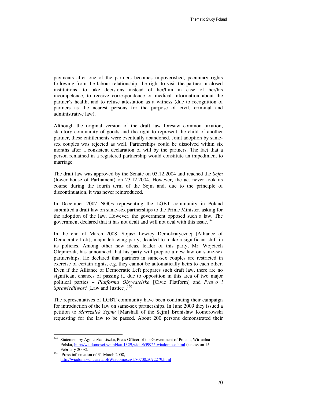payments after one of the partners becomes impoverished, pecuniary rights following from the labour relationship, the right to visit the partner in closed institutions, to take decisions instead of her/him in case of her/his incompetence, to receive correspondence or medical information about the partner's health, and to refuse attestation as a witness (due to recognition of partners as the nearest persons for the purpose of civil, criminal and administrative law).

Although the original version of the draft law foresaw common taxation, statutory community of goods and the right to represent the child of another partner, these entitlements were eventually abandoned. Joint adoption by samesex couples was rejected as well. Partnerships could be dissolved within six months after a consistent declaration of will by the partners. The fact that a person remained in a registered partnership would constitute an impediment to marriage.

The draft law was approved by the Senate on 03.12.2004 and reached the *Sejm*  (lower house of Parliament) on 23.12.2004. However, the act never took its course during the fourth term of the Sejm and, due to the principle of discontinuation, it was never reintroduced.

In December 2007 NGOs representing the LGBT community in Poland submitted a draft law on same-sex partnerships to the Prime Minister, asking for the adoption of the law. However, the government opposed such a law. The government declared that it has not dealt and will not deal with this issue.<sup>149</sup>

In the end of March 2008, Sojusz Lewicy Demokratycznej [Alliance of Democratic Left], major left-wing party, decided to make a significant shift in its policies. Among other new ideas, leader of this party, Mr. Wojciech Olejniczak, has announced that his party will prepare a new law on same-sex partnerships. He declared that partners in same-sex couples are restricted in exercise of certain rights, e.g. they cannot be automatically heirs to each other. Even if the Alliance of Democratic Left prepares such draft law, there are no significant chances of passing it, due to opposition in this area of two major political parties – *Platforma Obywatelska* [Civic Platform] and *Prawo i Sprawiedliwość* [Law and Justice].<sup>150</sup>

The representatives of LGBT community have been continuing their campaign for introduction of the law on same-sex partnerships. In June 2009 they issued a petition to *Marszałek Sejmu* [Marshall of the Sejm] Bronisław Komorowski requesting for the law to be passed. About 200 persons demonstrated their

<sup>149</sup> Statement by Agnieszka Liszka, Press Officer of the Government of Poland, Wirtualna Polska, http://wiadomosci.wp.pl/kat,1329,wid,9659925,wiadomosc.html (access on 15 February 2008).

<sup>&</sup>lt;sup>150</sup> Press information of 31 March 2008, http://wiadomosci.gazeta.pl/Wiadomosci/1,80708,5072279.html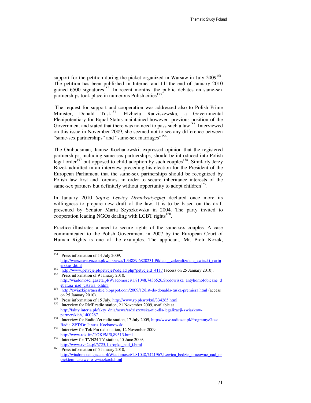support for the petition during the picket organized in Warsaw in July  $2009^{151}$ . The petition has been published in Internet and till the end of January 2010 gained  $6500$  signatures<sup>152</sup>. In recent months, the public debates on same-sex partnerships took place in numerous Polish cities<sup>153</sup> .

 The request for support and cooperation was addressed also to Polish Prime Minister, Donald Tusk<sup>154</sup>. Elżbieta Radziszewska, a Governmental Plenipotentiary for Equal Status maintained however previous position of the Government and stated that there was no need to pass such a  $law<sup>155</sup>$ . Interviewed on this issue in November 2009, she seemed not to see any difference between "same-sex partnerships" and "same-sex marriages"<sup>156</sup>.

The Ombudsman, Janusz Kochanowski, expressed opinion that the registered partnerships, including same-sex partnerships, should be introduced into Polish legal order<sup>157</sup> but opposed to child adoption by such couples<sup>158</sup>. Similarly Jerzy Buzek admitted in an interview preceding his election for the President of the European Parliament that the same-sex partnerships should be recognized by Polish law first and foremost in order to secure inheritance interests of the same-sex partners but definitely without opportunity to adopt children<sup>159</sup>.

In January 2010 *Sojusz Lewicy Demokratycznej* declared once more its willingness to prepare new draft of the law. It is to be based on the draft presented by Senator Maria Szyszkowska in 2004. The party invited to cooperation leading NGOs dealing with LGBT rights<sup>160</sup>.

Practice illustrates a need to secure rights of the same-sex couples. A case communicated to the Polish Government in 2007 by the European Court of Human Rights is one of the examples. The applicant, Mr. Piotr Kozak,

<sup>151</sup> Press information of 14 July 2009, http://warszawa.gazeta.pl/warszawa/1,34889,6820231,Pikieta\_\_zalegalizujcie\_zwiazki\_partn erskie\_.html

<sup>152</sup> http://www.petycje.pl/petycjePodglad.php?petycjeid=4117 (access on 25 January 2010).

<sup>153</sup> Press information of 9 January 2010, http://wiadomosci.gazeta.pl/Wiadomosci/1,81048,7436526,Srodowiska\_antyhomofobiczne\_d ebatuja\_nad\_ustawa\_o.html

<sup>&</sup>lt;sup>154</sup> http://zwiazkipartnerskie.blogspot.com/2009/12/list-do-donalda-tuska-premiera.html (access on 25 January 2010).

<sup>&</sup>lt;sup>155</sup> Press information of 15 July,  $\frac{http://www.rp.pl/artykul/334265.html}{http://www.rp.pl/artykul/334265.html}$ <sup>156</sup> Interview for RMF radio station, 21 November 2009, available at

http://fakty.interia.pl/fakty\_dnia/news/radziszewska-nie-dla-legalizacji-zwiazkowpartnerskich,1400267 <sup>157</sup> Interview for Radio Zet radio station, 17 July 2009, <u>http://www.radiozet.pl/Programy/Gosc-</u>

Radia-ZET/Dr-Janusz-Kochanowski

<sup>158</sup> Interview for Tok Fm rado station, 12 November 2009, http://www.tok.fm/TOKFM/0,89513.html

<sup>&</sup>lt;sup>159</sup> Interview for TVN24 TV station, 15 June 2009, http://www.tvn24.pl/6725,1,kropka\_nad\_i.html

 $160$  Press information of 5 January 2010, http://wiadomosci.gazeta.pl/Wiadomosci/1,81048,7421967,Lewica\_bedzie\_pracowac\_nad\_pr ojektem\_ustawy\_o\_zwiazkach.html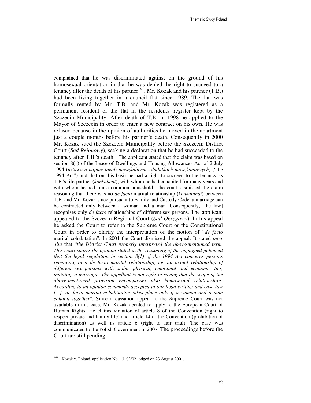complained that he was discriminated against on the ground of his homosexual orientation in that he was denied the right to succeed to a tenancy after the death of his partner<sup>161</sup>. Mr. Kozak and his partner  $(T.B.)$ had been living together in a council flat since 1989. The flat was formally rented by Mr. T.B. and Mr. Kozak was registered as a permanent resident of the flat in the residents' register kept by the Szczecin Municipality. After death of T.B. in 1998 he applied to the Mayor of Szczecin in order to enter a new contract on his own. He was refused because in the opinion of authorities he moved in the apartment just a couple months before his partner's death. Consequently in 2000 Mr. Kozak sued the Szczecin Municipality before the Szczecin District Court (*S*ą*d Rejonowy*), seeking a declaration that he had succeeded to the tenancy after T.B.'s death. The applicant stated that the claim was based on section 8(1) of the Lease of Dwellings and Housing Allowances Act of 2 July 1994 (*ustawa o najmie lokali mieszkalnych i dodatkach mieszkaniowych)* ("the 1994 Act") and that on this basis he had a right to succeed to the tenancy as T.B.'s life-partner (*konkubent*), with whom he had cohabited for many years and with whom he had run a common household. The court dismissed the claim reasoning that there was no *de facto* marital relationship (*konkubinat*) between T.B. and Mr. Kozak since pursuant to Family and Custody Code, a marriage can be contracted only between a woman and a man. Consequently, [the law] recognises only *de facto* relationships of different-sex persons. The applicant appealed to the Szczecin Regional Court (*S*ą*d Okr*ę*gowy*). In his appeal he asked the Court to refer to the Supreme Court or the Constitutional Court in order to clarify the interpretation of the notion of "*de facto* marital cohabitation". In 2001 the Court dismissed the appeal. It stated *inter alia* that "*the District Court properly interpreted the above-mentioned term. This court shares the opinion stated in the reasoning of the impugned judgment that the legal regulation in section 8(1) of the 1994 Act concerns persons remaining in a de facto marital relationship, i.e. an actual relationship of different sex persons with stable physical, emotional and economic ties, imitating a marriage. The appellant is not right in saying that the scope of the above-mentioned provision encompasses also homosexual relationships. According to an opinion commonly accepted in our legal writing and case-law [...], de facto marital cohabitation takes place only if a woman and a man cohabit together*". Since a cassation appeal to the Supreme Court was not available in this case, Mr. Kozak decided to apply to the European Court of Human Rights. He claims violation of article 8 of the Convention (right to respect private and family life) and article 14 of the Convention (prohibition of discrimination) as well as article 6 (right to fair trial). The case was communicated to the Polish Government in 2007. The proceedings before the Court are still pending.

<sup>161</sup> Kozak v. Poland, application No. 13102/02 lodged on 23 August 2001.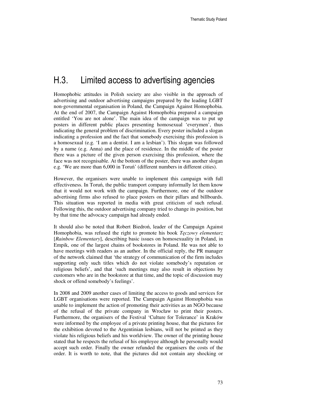# H.3. Limited access to advertising agencies

Homophobic attitudes in Polish society are also visible in the approach of advertising and outdoor advertising campaigns prepared by the leading LGBT non-governmental organisation in Poland, the Campaign Against Homophobia. At the end of 2007, the Campaign Against Homophobia prepared a campaign entitled 'You are not alone'. The main idea of the campaign was to put up posters in different public places presenting homosexual 'everymen', thus indicating the general problem of discrimination. Every poster included a slogan indicating a profession and the fact that somebody exercising this profession is a homosexual (e.g. 'I am a dentist. I am a lesbian'). This slogan was followed by a name (e.g. Anna) and the place of residence. In the middle of the poster there was a picture of the given person exercising this profession, where the face was not recognisable. At the bottom of the poster, there was another slogan e.g. 'We are more than 6,000 in Toruń' (different numbers in different cities).

However, the organisers were unable to implement this campaign with full effectiveness. In Toruń, the public transport company informally let them know that it would not work with the campaign. Furthermore, one of the outdoor advertising firms also refused to place posters on their pillars and billboards. This situation was reported in media with great criticism of such refusal. Following this, the outdoor advertising company tried to change its position, but by that time the advocacy campaign had already ended.

It should also be noted that Robert Biedroń, leader of the Campaign Against Homophobia, was refused the right to promote his book *T*ę*czowy elementarz* [*Rainbow Elementary*], describing basic issues on homosexuality in Poland, in Empik, one of the largest chains of bookstores in Poland. He was not able to have meetings with readers as an author. In the official reply, the PR manager of the network claimed that 'the strategy of communication of the firm includes supporting only such titles which do not violate somebody's reputation or religious beliefs', and that 'such meetings may also result in objections by customers who are in the bookstore at that time, and the topic of discussion may shock or offend somebody's feelings'.

In 2008 and 2009 another cases of limiting the access to goods and services for LGBT organisations were reported. The Campaign Against Homophobia was unable to implement the action of promoting their activities as an NGO because of the refusal of the private company in Wrocław to print their posters. Furthermore, the organisers of the Festival 'Culture for Tolerance' in Kraków were informed by the employee of a private printing house, that the pictures for the exhibition devoted to the Argentinian lesbians, will not be printed as they violate his religious beliefs and his worldview. The owner of the printing house stated that he respects the refusal of his employee although he personally would accept such order. Finally the owner refunded the organisers the costs of the order. It is worth to note, that the pictures did not contain any shocking or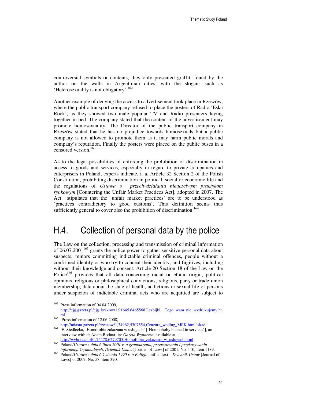controversial symbols or contents, they only presented graffiti found by the author on the walls in Argentinian cities, with the slogans such as 'Heterosexuality is not obligatory'.<sup>162</sup>

Another example of denying the access to advertisement took place in Rzeszów, where the public transport company refused to place the posters of Radio 'Eska Rock', as they showed two male popular TV and Radio presenters laying together in bed. The company stated that the content of the advertisement may promote homosexuality. The Director of the public transport company in Rzeszów stated that he has no prejudice towards homosexuals but a public company is not allowed to promote them as it may harm public morals and company's reputation. Finally the posters were placed on the public buses in a censored version.<sup>163</sup>

As to the legal possibilities of enforcing the prohibition of discrimination in access to goods and services, especially in regard to private companies and enterprisers in Poland, experts indicate, i. a. Article 32 Section 2 of the Polish Constitution, prohibiting discrimination in political, social or economic life and the regulations of *Ustawa o przeciwdziałaniu nieuczciwym praktykom rynkowym* [Countering the Unfair Market Practices Act], adopted in 2007. The Act stipulates that the 'unfair market practices' are to be understood as 'practices contradictory to good customs'. This definition seems thus sufficiently general to cover also the prohibition of discrimination.<sup>164</sup>

## H.4. Collection of personal data by the police

The Law on the collection, processing and transmission of criminal information of  $06.07.2001<sup>165</sup>$  grants the police power to gather sensitive personal data about suspects, minors committing indictable criminal offences, people without a confirmed identity or who try to conceal their identity, and fugitives, including without their knowledge and consent. Article 20 Section 18 of the Law on the Police<sup>166</sup> provides that all data concerning racial or ethnic origin, political opinions, religious or philosophical convictions, religious, party or trade union membership, data about the state of health, addictions or sexual life of persons under suspicion of indictable criminal acts who are acquitted are subject to

<sup>162</sup> Press information of 04.04.2009, http://cjg.gazeta.pl/cjg\_krakow/1,91645,6465568,Lesbijki\_\_Tego\_wam\_nie\_wydrukujemy.ht ml

<sup>&</sup>lt;sup>163</sup> Press information of 12.06.2008,

http://miasta.gazeta.pl/rzeszow/1,34962,5307554,Cenzura\_wedlug\_MPK.html?skad <sup>164</sup> E. Siedlecka, 'Homofobia zakazana w usługach' ['Homophoby banned in services'], an interview with dr Adam Bodnar, in: *Gazeta Wyborcza*, available at

http://wyborcza.pl/1,75478,6279705,Homofobia\_zakazana\_w\_uslugach.html

<sup>165</sup> Poland/*Ustawa z dnia 6 lipca 2001 r. o gromadzeniu, przetwarzaniu i przekazywaniu informacji kryminalnych*, *Dziennik Ustaw* [Journal of Laws] of 2001, No. 110, item 1189.

<sup>166</sup> Poland/*Ustawa z dnia 6 kwietnia 1990 r. o Policji*, unified text – *Dziennik Ustaw* [Journal of Laws] of 2007, No. 57, item 390.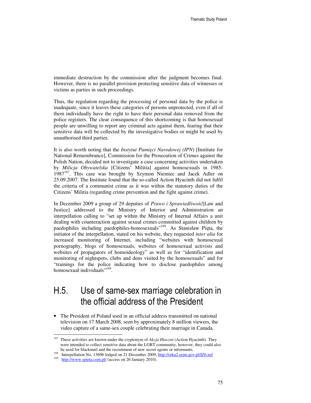immediate destruction by the commission after the judgment becomes final. However, there is no parallel provision protecting sensitive data of witnesses or victims as parties in such proceedings.

Thus, the regulation regarding the processing of personal data by the police is inadequate, since it leaves these categories of persons unprotected, even if all of them individually have the right to have their personal data removed from the police registers. The clear consequence of this shortcoming is that homosexual people are unwilling to report any criminal acts against them, fearing that their sensitive data will be collected by the investigative bodies or might be used by unauthorised third parties.

It is also worth noting that the *Instytut Pami*ę*ci Narodowej (IPN)* [Institute for National Remembrance], Commission for the Prosecution of Crimes against the Polish Nation, decided not to investigate a case concerning activities undertaken by *Milicja Obywatelska* [Citizens' Militia] against homosexuals in 1985-  $1987<sup>167</sup>$ . This case was brought by Szymon Niemiec and Jacek Adler on 25.09.2007. The Institute found that the so-called Action Hyacinth did not fulfil the criteria of a communist crime as it was within the statutory duties of the Citizens' Militia (regarding crime prevention and the fight against crime).

In December 2009 a group of 29 deputies of *Prawo i Sprawiedliwo*ść[Law and Justice] addressed to the Ministry of Interior and Administration an interpellation calling to "set up within the Ministry of Internal Affairs a unit dealing with counteraction against sexual crimes committed against children by paedophiles including paedophiles-homosexuals"<sup>168</sup>. As Stanisław Pięta, the initiator of the interpellation, stated on his website, they requested *inter alia* for increased monitoring of Internet, including "websites with homosexual pornography, blogs of homosexuals, websites of homosexual activists and websites of propagators of homoideology" as well as for "identification and monitoring of nightspots, clubs and dens visited by the homosexuals" and for "trainings for the police indicating how to disclose paedophiles among homosexual individuals"<sup>169</sup>.

# H.5. Use of same-sex marriage celebration in the official address of the President

• The President of Poland used in an official address transmitted on national television on 17 March 2008, seen by approximately 8 million viewers, the video capture of a same-sex couple celebrating their marriage in Canada.

<sup>167</sup> <sup>167</sup> These activities are known under the cryptonym of *Akcja Hiacynt* (Action Hyacinth). They were intended to collect sensitive data about the LGBT community, however, they could also be used for blackmail and the recruitment of new secret agents or informants.

<sup>168</sup> Interpellation No. 13696 lodged on 21 December 2009, http://orka2.sejm.gov.pl/IZ6.nsf

<sup>169</sup> http://www.spieta.com.pl/ (access on 26 January 2010).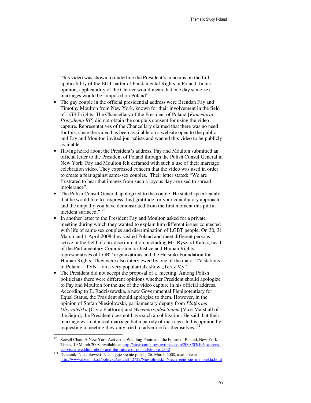This video was shown to underline the President's concerns on the full applicability of the EU Charter of Fundamental Rights in Poland. In his opinion, applicability of the Charter would mean that one day same-sex marriages would be "imposed on Poland".

- The gay couple in the official presidential address were Brendan Fay and Timothy Moulton from New York, known for their involvement in the field of LGBT rights. The Chancellary of the President of Poland [*Kancelaria Prezydenta RP*] did not obtain the couple's consent for using the video capture. Representatives of the Chancellary claimed that there was no need for this, since the video has been available on a website open to the public and Fay and Moulton invited journalists and wanted this video to be publicly available.
- Having heard about the President's address, Fay and Moulton submitted an official letter to the President of Poland through the Polish Consul General in New York. Fay and Moulton felt defamed with such a use of their marriage celebration video. They expressed concern that the video was used in order to create a fear against same-sex couples. Their letter stated: "We are frustrated to hear that images from such a joyous day are used to spread intolerance".
- The Polish Consul General apologized to the couple. He stated specificalaly that he would like to "express [his] gratitude for your conciliatory approach and the empathy you have demonstrated from the first moment this pitiful incident surfaced."<sup>170</sup>
- In another letter to the President Fay and Moulton asked for a private meeting during which they wanted to explain him different issues connected with life of same-sex couples and discrimination of LGBT people. On 30, 31 March and 1 April 2008 they visited Poland and meet different persons active in the field of anti-discrimination, including Mr. Ryszard Kalisz, head of the Parliamentary Commission on Justice and Human Rights, representatives of LGBT organizations and the Helsinki Foundation for Human Rights. They were also interviewed by one of the major TV stations in Poland – TVN – on a very popular talk show "Teraz My".
- The President did not accept the proposal of a meeting. Among Polish politicians there were different opinions whether President should apologize to Fay and Moulton for the use of the video capture in his official address. According to E. Radziszewska, a new Governmental Plenipotentiary for Equal Status, the President should apologize to them. However, in the opinion of Stefan Niesiołowski, parliamentary deputy from *Platforma Obywatelska* [Civic Platform] and *Wicemarszałek Sejmu* [Vice-Marshall of the Sejm], the President does not have such an obligation. He said that their marriage was not a real marriage but a parody of marriage. In his opinion by requesting a meeting they only tried to advertise for themselves.<sup>171</sup>

 $\ddot{ }$ 

Sewell Chan, A New York Activist, a Wedding Photo and the Future of Poland, New York Times, 19 March 2008, available at http://cityroom.blogs.nytimes.com/2008/03/19/a-queensactivist-a-wedding-photo-and-the-future-of-poland/#more-2342

Dziennik, Niesiołowski: Niech geje się nie pieklą, 26. March 2008, available at http://www.dziennik.pl/polityka/article142722/Niesiolowski\_Niech\_geje\_sie\_nie\_piekla.html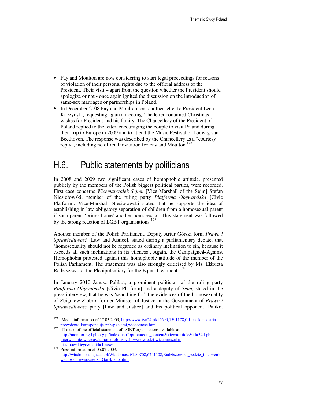- Fay and Moulton are now considering to start legal proceedings for reasons of violation of their personal rights due to the official address of the President. Their visit – apart from the question whether the President should apologize or not - once again ignited the discussion on the introduction of same-sex marriages or partnerships in Poland.
- In December 2008 Fay and Moulton sent another letter to President Lech Kaczyński, requesting again a meeting. The letter contained Christmas wishes for President and his family. The Chancellery of the President of Poland replied to the letter, encouraging the couple to visit Poland during their trip to Europe in 2009 and to attend the Music Festival of Ludwig van Beethoven. The response was described by the Chancellery as a "courtesy reply", including no official invitation for Fay and Moulton. $172$

# H.6. Public statements by politicians

In 2008 and 2009 two significant cases of homophobic attitude, presented publicly by the members of the Polish biggest political parties, were recorded. First case concerns *Wicemarszałek Sejmu* [Vice-Marshall of the Sejm] Stefan Niesiołowski, member of the ruling party *Platforma Obywatelska* [Civic Platform]. Vice-Marshall Niesiołowski stated that he supports the idea of establishing in law obligatory separation of children from a homosexual parent if such parent 'brings home' another homosexual. This statement was followed by the strong reaction of LGBT organisations.<sup>173</sup>

Another member of the Polish Parliament, Deputy Artur Górski form *Prawo i Sprawiedliwo*ść [Law and Justice], stated during a parliamentary debate, that 'homosexuality should not be regarded as ordinary inclination to sin, because it exceeds all such inclinations in its vileness'. Again, the Campaigned-Against Homophobia protested against this homophobic attitude of the member of the Polish Parliament. The statement was also strongly criticised by Ms. Elżbieta Radziszewska, the Plenipotentiary for the Equal Treatment.<sup>174</sup>

In January 2010 Janusz Palikot, a prominent politician of the ruling party *Platforma Obywatelska* [Civic Platform] and a deputy of *Sejm*, stated in the press interview, that he was 'searching for" the evidences of the homosexuality of Zbigniew Ziobro, former Minister of Justice in the Government of *Prawo i Sprawiedliwo*ść party [Law and Justice] and his political opponent. Palikot

<sup>172</sup> <sup>172</sup> Media information of 17.03.2009, http://www.tvn24.pl/12690,1591178,0,1,jak-kancelariaprezydenta-koresponduje-znbspgejami,wiadomosc.html

<sup>&</sup>lt;sup>173</sup> The text of the official statement of LGBT organisations available at http://monitoring.kph.org.pl/index.php?option=com\_content&view=article&id=34:kphinterweniuje-w-sprawie-homofobicznych-wypowiedzi-wicemarszakaniesioowskiego&catid=1:news

 $174$  Press information of 05.02.2009. http://wiadomosci.gazeta.pl/Wiadomosci/1,80708,6241108,Radziszewska\_bedzie\_interwenio wac\_ws\_wypowiedzi\_Gorskiego.html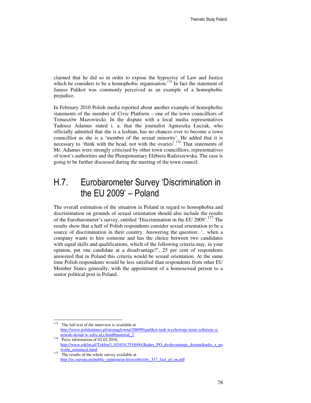claimed that he did so in order to expose the hypocrisy of Law and Justice which he considers to be a homophobic organisation.<sup>175</sup> In fact the statement of Janusz Palikot was commonly perceived as an example of a homophobic prejudice.

In February 2010 Polish media reported about another example of homophobic statements of the member of Civic Platform – one of the town councilliors of Tomaszów Mazowiecki. In the dispute with a local media representatives Tadeusz Adamus stated i. a. that the journalist Agnieszka Łuczak, who officially admitted that she is a lesbian, has no chances ever to become a town councillior as she is a 'member of the sexual minority'. He added that it is necessary to 'think with the head, not with the ovaries'.<sup>176</sup> That statements of Mr. Adamus were strongly criticised by other town councilliors, representatives of town's authorities and the Plenipotentiary Elżbieta Radziszewska. The case is going to be further discussed during the meeting of the town council.

# H.7. Eurobarometer Survey 'Discrimination in the EU 2009' – Poland

The overall estimation of the situation in Poland in regard to homophobia and discrimination on grounds of sexual orientation should also include the results of the Eurobarometer's survey, entitled 'Discrimination in the EU 2009'.<sup>177</sup> The results show that a half of Polish respondents consider sexual orientation to be a source of discrimination in their country. Answering the question: '.. when a company wants to hire someone and has the choice between two candidates with equal skills and qualifications, which of the following criteria may, in your opinion, put one candidate at a disadvantage?', 25 per cent of respondents answered that in Poland this criteria would be sexual orientation. At the same time Polish respondents would be less satisfied than respondents from other EU Member States generally, with the appointment of a homosexual person to a senior political post in Poland.

 $\ddot{ }$  $175$  The full text of the interview is available at http://www.polskatimes.pl/stronaglowna/206990,palikot-tusk-wychowuje-teraz-schetyne-anowak-dostal-w-zeby,id,t.html#material\_2

 $176$  Press information of 02.02.2010, http://www.tokfm.pl/Tokfm/1,103454,7518494,Radny\_PO\_dyskryminuje\_dziennikarke\_z\_po wodu\_orientacji.html

The results of the whole survey available at http://ec.europa.eu/public\_opinion/archives/ebs/ebs\_317\_fact\_pl\_en.pdf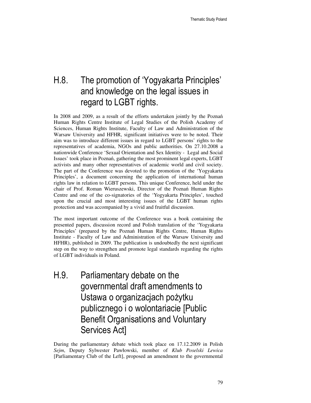# H.8. The promotion of 'Yogyakarta Principles' and knowledge on the legal issues in regard to LGBT rights.

In 2008 and 2009, as a result of the efforts undertaken jointly by the Poznań Human Rights Centre Institute of Legal Studies of the Polish Academy of Sciences, Human Rights Institute, Faculty of Law and Administration of the Warsaw University and HFHR, significant initiatives were to be noted. Their aim was to introduce different issues in regard to LGBT persons' rights to the representatives of academia, NGOs and public authorities. On 27.10.2008 a nationwide Conference 'Sexual Orientation and Sex Identity - Legal and Social Issues' took place in Poznań, gathering the most prominent legal experts, LGBT activists and many other representatives of academic world and civil society. The part of the Conference was devoted to the promotion of the 'Yogyakarta Principles', a document concerning the application of international human rights law in relation to LGBT persons. This unique Conference, held under the chair of Prof. Roman Wieruszewski, Director of the Poznań Human Rights Centre and one of the co-signatories of the 'Yogyakarta Principles', touched upon the crucial and most interesting issues of the LGBT human rights protection and was accompanied by a vivid and fruitful discussion.

The most important outcome of the Conference was a book containing the presented papers, discussion record and Polish translation of the 'Yogyakarta Principles' (prepared by the Poznań Human Rights Centre, Human Rights Institute - Faculty of Law and Administration of the Warsaw University and HFHR), published in 2009. The publication is undoubtedly the next significant step on the way to strengthen and promote legal standards regarding the rights of LGBT individuals in Poland.

H.9. Parliamentary debate on the governmental draft amendments to Ustawa o organizacjach pożytku publicznego i o wolontariacie [Public Benefit Organisations and Voluntary Services Act]

During the parliamentary debate which took place on 17.12.2009 in Polish *Sejm*, Deputy Sylwester Pawłowski, member of *Klub Poselski Lewica* [Parliamentary Club of the Left], proposed an amendment to the governmental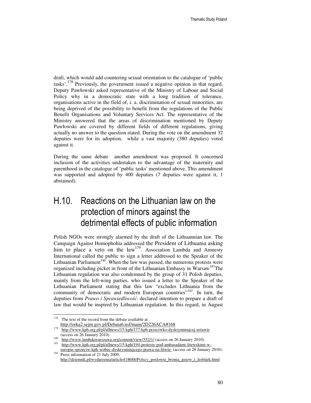draft, which would add countering sexual orientation to the catalogue of 'public tasks'.<sup>178</sup> Previously, the government issued a negative opinion in that regard. Deputy Pawłowski asked representative of the Ministry of Labour and Social Policy why in a democratic state with a long tradition of tolerance, organisations active in the field of, i. a. discrimination of sexual minorities, are being deprived of the possibility to benefit from the regulations of the Public Benefit Organisations and Voluntary Services Act. The representative of the Ministry answered that the areas of discrimination mentioned by Deputy Pawłowski are covered by different fields of different regulations, giving actually no answer to the question stated. During the vote on the amendment 32 deputies were for its adoption, while a vast majority (380 deputies) voted against it.

During the same debate another amendment was proposed. It concerned inclusion of the activities undertaken to the advantage of the maternity and parenthood in the catalogue of 'public tasks' mentioned above. This amendment was supported and adopted by 400 deputies (7 deputies were against it, 1 abstained).

# H.10. Reactions on the Lithuanian law on the protection of minors against the detrimental effects of public information

Polish NGOs were strongly alarmed by the draft of the Lithuannian law. The Campaign Against Homophobia addressed the President of Lithuania asking him to place a veto on the  $law^{179}$ . Association Lambda and Amnesty International called the public to sign a letter addressed to the Speaker of the Lithuanian Parliament<sup>180</sup>. When the law was passed, the numerous protests were organized including picket in front of the Lithuanian Embassy in Warsaw<sup>181</sup>The Lithuanian regulation was also condemned by the group of 31 Polish deputies, mainly from the left-wing parties, who issued a letter to the Speaker of the Lithuanian Parliament stating that this law "excludes Lithuania from the community of democratic and modern European countries<sup>"182</sup>. In turn, the deputies from *Prawo i Sprawiedliwo*ść. declared intention to prepare a draft of law that would be inspired by Lithuanian regulation. In this regard, in August

<sup>178</sup> The text of the record from the debate available at http://orka2.sejm.gov.pl/Debata6.nsf/main/2D226ACA#168

<sup>179</sup> http://www.kph.org.pl/pl/allnews/15-kph/177-kph-przeciwko-dyskryminujcej-ustawie (access on 26 January 2010).

 $\frac{180}{180}$  http://www.lambdawarszawa.org/content/view/352/1/ (access on 26 January 2010).

http://www.kph.org.pl/pl/allnews/15-kph/194-protesty-pod-ambasadami-litewskimi-weuropie-sprzeciw-kph-wobec-dyskryminujcego-prawa-na-litwie- (access on 26 January 2010). <sup>182</sup> Press information of 21 July 2009,

http://dziennik.pl/wydarzenia/article418688/Polscy\_poslowie\_bronia\_gejow\_i\_lesbijek.html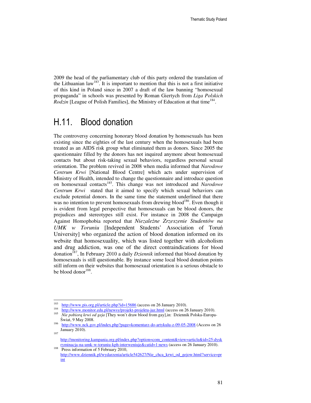2009 the head of the parliamentary club of this party ordered the translation of the Lithuanian  $law^{183}$ . It is important to mention that this is not a first initiative of this kind in Poland since in 2007 a draft of the law banning "homosexual propaganda" in schools was presented by Roman Giertych from *Liga Polskich*  Rodzin [League of Polish Families], the Ministry of Education at that time<sup>184</sup>.

## H.11. Blood donation

The controversy concerning honorary blood donation by homosexuals has been existing since the eighties of the last century when the homosexuals had been treated as an AIDS risk group what eliminated them as donors. Since 2005 the questionnaire filled by the donors has not inquired anymore about homosexual contacts but about risk-taking sexual behaviors, regardless personal sexual orientation. The problem revived in 2008 when media informed that *Narodowe Centrum Krwi* [National Blood Centre] which acts under supervision of Ministry of Health, intended to change the questionnaire and introduce question on homosexual contacts<sup>185</sup>. This change was not introduced and *Narodowe Centrum Krwi* stated that it aimed to specify which sexual behaviors can exclude potential donors. In the same time the statement underlined that there was no intention to prevent homosexuals from drewing blood<sup>186</sup>. Even though it is evident from legal perspective that homosexuals can be blood donors, the prejudices and stereotypes still exist. For instance in 2008 the Campaign Against Homophobia reported that *Niezale*ż*ne Zrzeszenie Studentów na UMK w Toruniu* [Independent Students' Association of Toruń University] who organized the action of blood donation informed on its website that homosexuality, which was listed together with alcoholism and drug addiction, was one of the direct contraindications for blood donation<sup>187</sup>, In February 2010 a daily *Dziennik* informed that blood donation by homosexuals is still questionable. By instance some local blood donation points still inform on their websites that homosexual orientation is a serious obstacle to be blood donor<sup>188</sup>.

 183 http://www.pis.org.pl/article.php?id=15686 (access on 26 January 2010).

<sup>184</sup> http://www.monitor.edu.pl/newsy/projekt-projektu-juz.html (access on 26 January 2010). 185 *Nie pobior*ą *krwi od geja* [They won't draw blood from gay],in: Dziennik Polska-Europa-Świat, 9 May 2008.

<sup>186</sup> http://www.nck.gov.pl/index.php?page=komentarz-do-artykulu-z-09-05-2008 (Access on 26 January 2010). 187

http://monitoring.kampania.org.pl/index.php?option=com\_content&view=article&id=25:dysk ryminacja-na-umk-w-toruniu-kph-interweniuje&catid=1:news (access on 26 January 2010).

<sup>&</sup>lt;sup>188</sup> Press information of 5 February 2010, http://www.dziennik.pl/wydarzenia/article542627/Nie\_chca\_krwi\_od\_gejow.html?service=pr int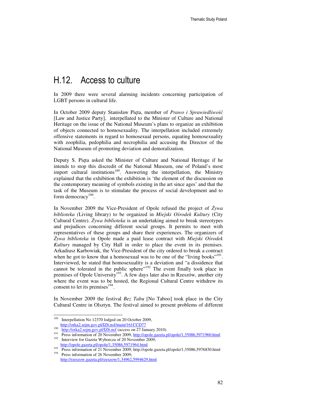# H.12. Access to culture

In 2009 there were several alarming incidents concerning participation of LGBT persons in cultural life.

In October 2009 deputy Stanisław Pięta, member of *Prawo i Sprawiedliwo*ść [Law and Justice Party], interpellated to the Minister of Culture and National Heritage on the issue of the National Museum's plans to organize an exhibition of objects connected to homosexuality. The interpellation included extremely offensive statements in regard to homosexual persons, equating homosexuality with zoophilia, pedophilia and necrophilia and accusing the Director of the National Museum of promoting deviation and demoralization.

Deputy S. Pięta asked the Minister of Culture and National Heritage if he intends to stop this discredit of the National Museum, one of Poland's most import cultural institutions<sup>189</sup>. Answering the interpellation, the Ministry explained that the exhibition the exhibition is 'the element of the discussion on the contemporary meaning of symbols existing in the art since ages' and that the task of the Museum is to stimulate the process of social development and to form democracy<sup>190</sup>.

In November 2009 the Vice-President of Opole refused the project of Ż*ywa biblioteka (*Living library) to be organized in *Miejski O*ś*rodek Kultury* (City Cultural Centre). Ż*ywa biblioteka* is an undertaking aimed to break stereotypes and prejudices concerning different social groups. It permits to meet with representatives of these groups and share their experiences. The organizers of Ż*ywa biblioteka* in Opole made a paid lease contract with *Miejski O*ś*rodek Kultury* managed by City Hall in order to place the event in its premises. Arkadiusz Karbowiak, the Vice-President of the city ordered to break a contract when he got to know that a homosexual was to be one of the "living books"<sup>191</sup>. Interviewed, he stated that homosexuality is a deviation and "a dissidence that cannot be tolerated in the public sphere"<sup>192</sup> The event finally took place in premises of Opole University<sup>193</sup>. A few days later also in Rzeszów, another city where the event was to be hosted, the Regional Cultural Centre withdrew its consent to let its premises<sup>194</sup> .

In November 2009 the festival *Bez Tabu* [No Taboo] took place in the City Cultural Centre in Olsztyn. The festival aimed to present problems of different

<sup>189</sup> Interpellation No 12370 lodged on 20 October 2009, http://orka2.sejm.gov.pl/IZ6.nsf/main/161CCD77 190

 $\frac{190}{h} \frac{http://orka2.sejm.gov.pl/IZ6.nsf}{h}$  (access on 27 January 2010).

<sup>&</sup>lt;sup>191</sup> Press information of 20 November 2009, <u>http://opole.gazeta.pl/opole/1,35086,5971960.html</u><br><sup>192</sup> Integration: for Gazeta Witherage of 20 November 2000. Interview for Gazeta Wyborcza of 20 November 2009;

http://opole.gazeta.pl/opole/1,35086,5971964.html

<sup>&</sup>lt;sup>193</sup> Press information of 21 November 2009; http://opole.gazeta.pl/opole/1,35086,5976830.html<br><sup>194</sup> Press information of 26 November 2000;

Press information of 26 November 2009; http://rzeszow.gazeta.pl/rzeszow/1,34962,5994629.html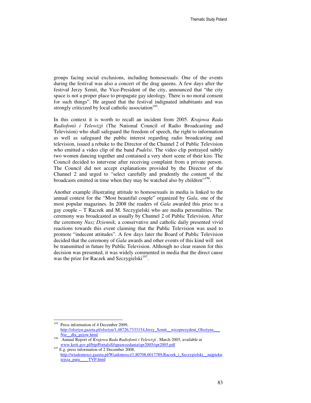groups facing social exclusions, including homosexuals. One of the events during the festival was also a concert of the drag queens. A few days after the festival Jerzy Szmit, the Vice-President of the city, announced that "the city space is not a proper place to propagate gay ideology. There is no moral consent for such things". He argued that the festival indignated inhabitants and was strongly criticized by local catholic association<sup>195</sup>.

In this context it is worth to recall an incident from 2005. *Krajowa Rada Radiofonii i Telewizji* (The National Council of Radio Broadcasting and Television) who shall safeguard the freedom of speech, the right to information as well as safeguard the public interest regarding radio broadcasting and television, issued a rebuke to the Director of the Channel 2 of Public Television who emitted a video clip of the band *Pudelsi*. The video clip portrayed subtly two women dancing together and contained a very short scene of their kiss. The Council decided to intervene after receiving complaint from a private person. The Council did not accept explanations provided by the Director of the Channel 2 and urged to "select carefully and prudently the content of the broadcasts emitted in time when they may be watched also by children"<sup>196</sup>.

Another example illustrating attitude to homosexuals in media is linked to the annual contest for the "Most beautiful couple" organized by *Gala*, one of the most popular magazines. In 2008 the readers of *Gala* awarded this prize to a gay couple – T Raczek and M. Szczygielski who are media personalities. The ceremony was broadcasted as usually by Channel 2 of Public Television. After the ceremony *Nasz Dziennik,* a conservative and catholic daily presented vivid reactions towards this event claiming that the Public Television was used to promote "indecent attitudes". A few days later the Board of Public Television decided that the ceremony of *Gala* awards and other events of this kind will not be transmitted in future by Public Television. Although no clear reason for this decision was presented, it was widely commented in media that the direct cause was the prize for Raczek and Szczygielski<sup>197</sup>.

 $\ddot{ }$ 

<sup>&</sup>lt;sup>195</sup> Press information of 4 December 2009, http://olsztyn.gazeta.pl/olsztyn/1,48726,7333154,Jerzy\_Szmit\_\_wiceprezydent\_Olsztyna\_\_\_ Nie\_\_dla\_gejow.html

<sup>196</sup> Annual Report of *Krajowa Rada Radiofonii i Telewizji ,* March 2005, available at www.krrit.gov.pl/bip/Portals/0/sprawozdania/spr2005/spr2005.pdf

<sup>197</sup> E.g. press information of 2 December 2008, http://wiadomosci.gazeta.pl/Wiadomosci/1,80708,6017789,Raczek\_i\_Szczygielski\_\_najpiekn iejsza\_para\_\_\_\_TVP.html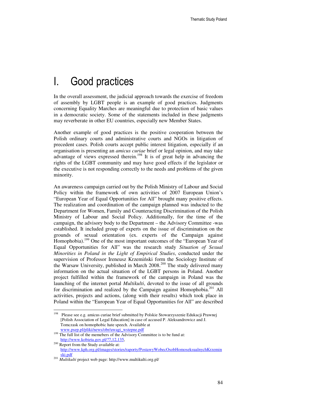# I. Good practices

In the overall assessment, the judicial approach towards the exercise of freedom of assembly by LGBT people is an example of good practices. Judgments concerning Equality Marches are meaningful due to protection of basic values in a democratic society. Some of the statements included in these judgments may reverberate in other EU countries, especially new Member States.

Another example of good practices is the positive cooperation between the Polish ordinary courts and administrative courts and NGOs in litigation of precedent cases. Polish courts accept public interest litigation, especially if an organisation is presenting an *amicus curiae* brief or legal opinion, and may take advantage of views expressed therein.<sup>198</sup> It is of great help in advancing the rights of the LGBT community and may have good effects if the legislator or the executive is not responding correctly to the needs and problems of the given minority.

An awareness campaign carried out by the Polish Ministry of Labour and Social Policy within the framework of own activities of 2007 European Union's "European Year of Equal Opportunities for All" brought many positive effects. The realization and coordination of the campaign planned was inducted to the Department for Women, Family and Counteracting Discrimination of the Polish Ministry of Labour and Social Policy. Additionally, for the time of the campaign, the advisory body to the Department – the Advisory Committee -was established. It included group of experts on the issue of discrimination on the grounds of sexual orientation (ex. experts of the Campaign against Homophobia).<sup>199</sup> One of the most important outcomes of the "European Year of Equal Opportunities for All" was the research study *Situation of Sexual Minorities in Poland in the Light of Empirical Studies*, conducted under the supervision of Professor Ireneusz Krzemiński form the Sociology Institute of the Warsaw University, published in March 2008.<sup>200</sup> The study delivered many information on the actual situation of the LGBT persons in Poland. Another project fulfilled within the framework of the campaign in Poland was the launching of the internet portal *Multikulti*, devoted to the issue of all grounds for discrimination and realized by the Campaign against Homophobia.<sup>201</sup> All activities, projects and actions, (along with their results) which took place in Poland within the "European Year of Equal Opportunities for All" are described

<sup>198</sup> <sup>198</sup> Please see e.g. amicus curiae brief submitted by Polskie Stowarzyszenie Edukacji Prawnej [Polish Association of Legal Education] in case of accused P. Aleksandrowicz and J. Tomczask on homophobic hate speech. Available at www.psep.pl/pliki/news/obr/uwagi\_wstepne.pdf

<sup>&</sup>lt;sup>199</sup> The full list of the memebers of the Advisory Committee is to be fund at: http://www.kobieta.gov.pl/?7,12,135,

<sup>200</sup> Report from the Study available at: http://www.kph.org.pl/images/stories/raporty/PostawyWobecOsobHomoseksualnychKrzemin ski.pdf

<sup>201</sup> *Multikulti* project web page: http://www.multikulti.org.pl/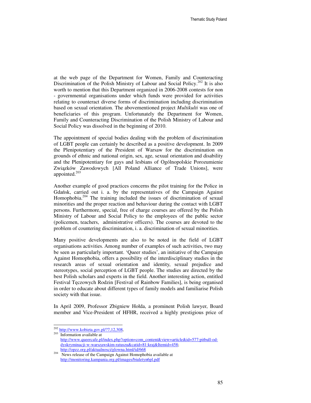at the web page of the Department for Women, Family and Counteracting Discrimination of the Polish Ministry of Labour and Social Policy.<sup>202</sup> It is also worth to mention that this Department organized in 2006-2008 contests for non - governmental organisations under which funds were provided for activities relating to counteract diverse forms of discrimination including discrimination based on sexual orientation. The abovementioned project *Multikulti* was one of beneficiaries of this program. Unfortunately the Department for Women, Family and Counteracting Discrimination of the Polish Ministry of Labour and Social Policy was dissolved in the beginning of 2010.

The appointment of special bodies dealing with the problem of discrimination of LGBT people can certainly be described as a positive development. In 2009 the Plenipotentiary of the President of Warsaw for the discrimination on grounds of ethnic and national origin, sex, age, sexual orientation and disability and the Plenipotentiary for gays and lesbians of Ogólnopolskie Porozumienie Związków Zawodowych [All Poland Alliance of Trade Unions], were appointed.<sup>203</sup>

Another example of good practices concerns the pilot training for the Police in Gdańsk, carried out i. a. by the representatives of the Campaign Against Homophobia.<sup>204</sup> The training included the issues of discrimination of sexual minorities and the proper reaction and behaviour during the contact with LGBT persons. Furthermore, special, free of charge courses are offered by the Polish Ministry of Labour and Social Policy to the employees of the public sector (policemen, teachers, administrative officers). The courses are devoted to the problem of countering discrimination, i. a. discrimination of sexual minorities.

Many positive developments are also to be noted in the field of LGBT organisations activities. Among number of examples of such activities, two may be seen as particularly important. 'Queer studies', an initiative of the Campaign Against Homophobia, offers a possibility of the interdisciplinary studies in the research areas of sexual orientation and identity, sexual prejudice and stereotypes, social perception of LGBT people. The studies are directed by the best Polish scholars and experts in the field. Another interesting action, entitled Festival Tęczowych Rodzin [Festival of Rainbow Families], is being organised in order to educate about different types of family models and familiarise Polish society with that issue.

In April 2009, Professor Zbigniew Hołda, a prominent Polish lawyer, Board member and Vice-President of HFHR, received a highly prestigious price of

 $\ddot{ }$ 

<sup>&</sup>lt;sup>202</sup> http://www.kobieta.gov.pl/?7,12,308,

<sup>203</sup> Information available at

http://www.queercafe.pl/index.php?option=com\_content&view=article&id=577:pitbull-oddyskryminacji-w-warszawskim-ratuszu&catid=81:kraj&Itemid=458; http://opzz.org.pl/aktualnosci/glowna.html/id/668

<sup>&</sup>lt;sup>204</sup> News release of the Campaign Against Homophobia available at http://monitoring.kampania.org.pl/images/biuletyn6pl.pdf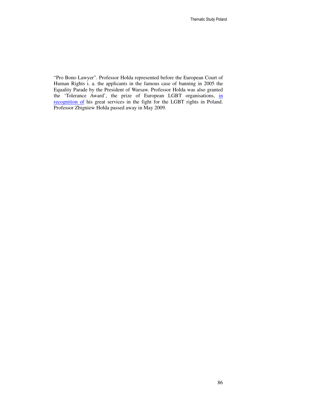"Pro Bono Lawyer". Professor Hołda represented before the European Court of Human Rights i. a. the applicants in the famous case of banning in 2005 the Equality Parade by the President of Warsaw. Professor Hołda was also granted the 'Tolerance Award', the prize of European LGBT organisations, in recognition of his great services in the fight for the LGBT rights in Poland. Professor Zbigniew Hołda passed away in May 2009.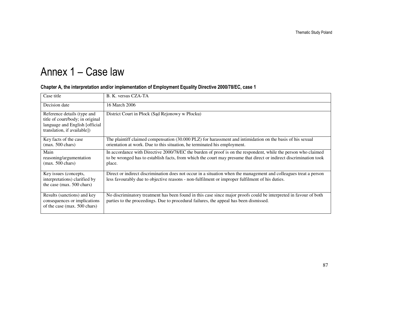# Annex 1 – Case law

| Case title                                                                                                                       | B. K. versus CZA-TA                                                                                                                                                                                                                            |
|----------------------------------------------------------------------------------------------------------------------------------|------------------------------------------------------------------------------------------------------------------------------------------------------------------------------------------------------------------------------------------------|
| Decision date                                                                                                                    | 16 March 2006                                                                                                                                                                                                                                  |
| Reference details (type and<br>title of court/body; in original<br>language and English [official<br>translation, if available]) | District Court in Płock (Sąd Rejonowy w Płocku)                                                                                                                                                                                                |
| Key facts of the case<br>$(max. 500 \text{ chars})$                                                                              | The plaintiff claimed compensation (30.000 PLZ) for harassment and intimidation on the basis of his sexual<br>orientation at work. Due to this situation, he terminated his employment.                                                        |
| Main<br>reasoning/argumentation<br>$(max. 500 \text{ chars})$                                                                    | In accordance with Directive 2000/78/EC the burden of proof is on the respondent, while the person who claimed<br>to be wronged has to establish facts, from which the court may presume that direct or indirect discrimination took<br>place. |
| Key issues (concepts,<br>interpretations) clarified by<br>the case (max. 500 chars)                                              | Direct or indirect discrimination does not occur in a situation when the management and colleagues treat a person<br>less favourably due to objective reasons - non-fulfilment or improper fulfilment of his duties.                           |
| Results (sanctions) and key<br>consequences or implications<br>of the case (max. 500 chars)                                      | No discriminatory treatment has been found in this case since major proofs could be interpreted in favour of both<br>parties to the proceedings. Due to procedural failures, the appeal has been dismissed.                                    |

#### Chapter A, the interpretation and/or implementation of Employment Equality Directive 2000/78/EC, case 1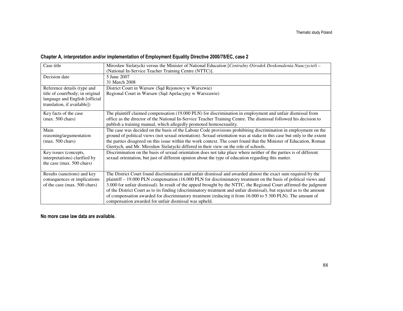## Chapter A, interpretation and/or implementation of Employment Equality Directive 2000/78/EC, case 2

| Case title                                                                                                                       | Mirosław Sielatycki versus the Minister of National Education [Centralny Ośrodek Doskonalenia Nauczycieli -<br>(National In-Service Teacher Training Centre (NTTC)].                                                                                                                                                                                                                                                                                                                                                                                                                                                                                     |
|----------------------------------------------------------------------------------------------------------------------------------|----------------------------------------------------------------------------------------------------------------------------------------------------------------------------------------------------------------------------------------------------------------------------------------------------------------------------------------------------------------------------------------------------------------------------------------------------------------------------------------------------------------------------------------------------------------------------------------------------------------------------------------------------------|
| Decision date                                                                                                                    | 5 June 2007<br>31 March 2008                                                                                                                                                                                                                                                                                                                                                                                                                                                                                                                                                                                                                             |
| Reference details (type and<br>title of court/body; in original<br>language and English [official<br>translation, if available]) | District Court in Warsaw (Sąd Rejonowy w Warszwie)<br>Regional Court in Warsaw (Sad Apelacyjny w Warszawie)                                                                                                                                                                                                                                                                                                                                                                                                                                                                                                                                              |
| Key facts of the case<br>$(max. 500 \text{ chars})$                                                                              | The plaintiff claimed compensation (19.000 PLN) for discrimination in employment and unfair dismissal from<br>office as the director of the National In-Service Teacher Training Centre. The dismissal followed his decision to<br>publish a training manual, which allegedly promoted homosexuality.                                                                                                                                                                                                                                                                                                                                                    |
| Main<br>reasoning/argumentation<br>$(max. 500 \text{ chars})$                                                                    | The case was decided on the basis of the Labour Code provisions prohibiting discrimination in employment on the<br>ground of political views (not sexual orientation). Sexual orientation was at stake in this case but only to the extent<br>the parties disagreed on this issue within the work context. The court found that the Minister of Education, Roman<br>Giertych, and Mr. Mirosław Sielatycki differed in their view on the role of schools.                                                                                                                                                                                                 |
| Key issues (concepts,<br>interpretations) clarified by<br>the case (max. 500 chars)                                              | Discrimination on the basis of sexual orientation does not take place where neither of the parties is of different<br>sexual orientation, but just of different opinion about the type of education regarding this matter.                                                                                                                                                                                                                                                                                                                                                                                                                               |
| Results (sanctions) and key<br>consequences or implications<br>of the case (max. 500 chars)                                      | The District Court found discrimination and unfair dismissal and awarded almost the exact sum required by the<br>plaintiff - 19.000 PLN compensation (16.000 PLN for discriminatory treatment on the basis of political views and<br>3.000 for unfair dismissal). In result of the appeal brought by the NTTC, the Regional Court affirmed the judgment<br>of the District Court as to its finding (discriminatory treatment and unfair dismissal), but rejected as to the amount<br>of compensation awarded for discriminatory treatment (reducing it from 16.000 to 5 300 PLN). The amount of<br>compensation awarded for unfair dismissal was upheld. |

No more case law data are available.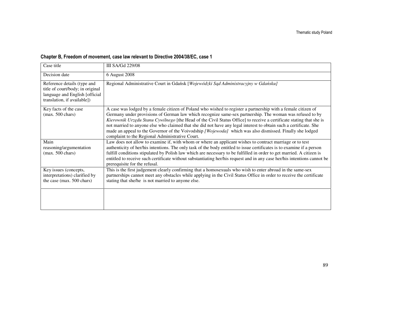## Chapter B, Freedom of movement, case law relevant to Directive 2004/38/EC, case 1

| Case title                                                                                                                       | <b>III SA/Gd 229/08</b>                                                                                                                                                                                                                                                                                                                                                                                                                                                                                                                                                                                                              |
|----------------------------------------------------------------------------------------------------------------------------------|--------------------------------------------------------------------------------------------------------------------------------------------------------------------------------------------------------------------------------------------------------------------------------------------------------------------------------------------------------------------------------------------------------------------------------------------------------------------------------------------------------------------------------------------------------------------------------------------------------------------------------------|
| Decision date                                                                                                                    | 6 August 2008                                                                                                                                                                                                                                                                                                                                                                                                                                                                                                                                                                                                                        |
| Reference details (type and<br>title of court/body; in original<br>language and English [official<br>translation, if available]) | Regional Administrative Court in Gdańsk [Wojewódzki Sąd Administracyjny w Gdańsku]                                                                                                                                                                                                                                                                                                                                                                                                                                                                                                                                                   |
| Key facts of the case<br>$(max. 500 \text{ chars})$                                                                              | A case was lodged by a female citizen of Poland who wished to register a partnership with a female citizen of<br>Germany under provisions of German law which recognize same-sex partnership. The woman was refused to by<br>Kierownik Urzędu Stanu Cywilnego [the Head of the Civil Status Office] to receive a certificate stating that she is<br>not married to anyone else who claimed that she did not have any legal interest to obtain such a certificate. She<br>made an appeal to the Governor of the Voivodship [Wojewoda] which was also dismissed. Finally she lodged<br>complaint to the Regional Administrative Court. |
| Main<br>reasoning/argumentation<br>$(max. 500 \text{ chars})$                                                                    | Law does not allow to examine if, with whom or where an applicant wishes to contract marriage or to test<br>authenticity of her/his intentions. The only task of the body entitled to issue certificates is to examine if a person<br>fulfill conditions stipulated by Polish law which are necessary to be fulfilled in order to get married. A citizen is<br>entitled to receive such certificate without substantiating her/his request and in any case her/his intentions cannot be<br>prerequisite for the refusal.                                                                                                             |
| Key issues (concepts,<br>interpretations) clarified by<br>the case (max. 500 chars)                                              | This is the first judgement clearly confirming that a homosexuals who wish to enter abroad in the same-sex<br>partnerships cannot meet any obstacles while applying in the Civil Status Office in order to receive the certificate<br>stating that she/he is not married to anyone else.                                                                                                                                                                                                                                                                                                                                             |
|                                                                                                                                  |                                                                                                                                                                                                                                                                                                                                                                                                                                                                                                                                                                                                                                      |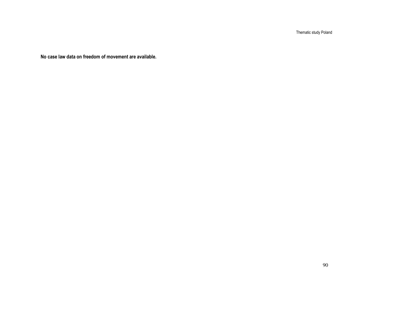Thematic study Poland

No case law data on freedom of movement are available.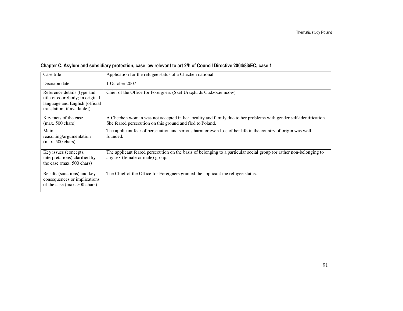| Case title                                                                                                                       | Application for the refugee status of a Chechen national                                                                                                                      |
|----------------------------------------------------------------------------------------------------------------------------------|-------------------------------------------------------------------------------------------------------------------------------------------------------------------------------|
| Decision date                                                                                                                    | 1 October 2007                                                                                                                                                                |
| Reference details (type and<br>title of court/body; in original<br>language and English [official<br>translation, if available]) | Chief of the Office for Foreigners (Szef Urzędu ds Cudzoziemców)                                                                                                              |
| Key facts of the case<br>$(max. 500 \text{ chars})$                                                                              | A Chechen woman was not accepted in her locality and family due to her problems with gender self-identification.<br>She feared persecution on this ground and fled to Poland. |
| Main<br>reasoning/argumentation<br>$(max. 500 \text{ chars})$                                                                    | The applicant fear of persecution and serious harm or even loss of her life in the country of origin was well-<br>founded.                                                    |
| Key issues (concepts,<br>interpretations) clarified by<br>the case (max. 500 chars)                                              | The applicant feared persecution on the basis of belonging to a particular social group (or rather non-belonging to<br>any sex (female or male) group.                        |
| Results (sanctions) and key<br>consequences or implications<br>of the case (max. 500 chars)                                      | The Chief of the Office for Foreigners granted the applicant the refugee status.                                                                                              |

## Chapter C, Asylum and subsidiary protection, case law relevant to art 2/h of Council Directive 2004/83/EC, case 1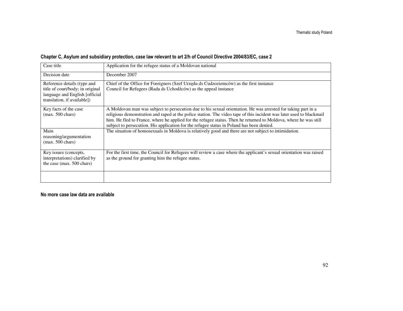|  |  |  |  |  |  | Chapter C, Asylum and subsidiary protection, case law relevant to art 2/h of Council Directive 2004/83/EC, case 2 |  |
|--|--|--|--|--|--|-------------------------------------------------------------------------------------------------------------------|--|
|  |  |  |  |  |  |                                                                                                                   |  |

| Case title                                                                                                                       | Application for the refugee status of a Moldovan national                                                                                                                                                                                                                                                                                                                                                                                              |
|----------------------------------------------------------------------------------------------------------------------------------|--------------------------------------------------------------------------------------------------------------------------------------------------------------------------------------------------------------------------------------------------------------------------------------------------------------------------------------------------------------------------------------------------------------------------------------------------------|
| Decision date                                                                                                                    | December 2007                                                                                                                                                                                                                                                                                                                                                                                                                                          |
| Reference details (type and<br>title of court/body; in original<br>language and English [official<br>translation, if available]) | Chief of the Office for Foreigners (Szef Urzędu ds Cudzoziemców) as the first instance<br>Council for Refugees (Rada ds Uchodźców) as the appeal instance                                                                                                                                                                                                                                                                                              |
| Key facts of the case<br>$(max. 500 \text{ chars})$                                                                              | A Moldovan man was subject to persecution due to his sexual orientation. He was arrested for taking part in a<br>religious demonstration and raped at the police station. The video tape of this incident was later used to blackmail<br>him. He fled to France, where he applied for the refugee status. Then he returned to Moldova, where he was still<br>subject to persecution. His application for the refugee status in Poland has been denied. |
| Main<br>reasoning/argumentation<br>$(max. 500 \text{ chars})$                                                                    | The situation of homosexuals in Moldova is relatively good and there are not subject to intimidation.                                                                                                                                                                                                                                                                                                                                                  |
| Key issues (concepts,<br>interpretations) clarified by<br>the case (max. 500 chars)                                              | For the first time, the Council for Refugees will review a case where the applicant's sexual orientation was raised<br>as the ground for granting him the refugee status.                                                                                                                                                                                                                                                                              |
|                                                                                                                                  |                                                                                                                                                                                                                                                                                                                                                                                                                                                        |

No more case law data are available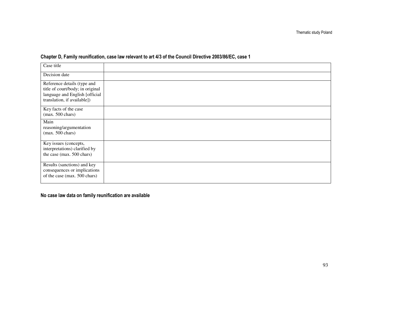| Case title                                                                                                                       |  |
|----------------------------------------------------------------------------------------------------------------------------------|--|
| Decision date                                                                                                                    |  |
| Reference details (type and<br>title of court/body; in original<br>language and English [official<br>translation, if available]) |  |
| Key facts of the case<br>$(max. 500 \text{ chars})$                                                                              |  |
| Main<br>reasoning/argumentation<br>$(max. 500 \text{ chars})$                                                                    |  |
| Key issues (concepts,<br>interpretations) clarified by<br>the case (max. 500 chars)                                              |  |
| Results (sanctions) and key<br>consequences or implications<br>of the case (max. 500 chars)                                      |  |

## Chapter D, Family reunification, case law relevant to art 4/3 of the Council Directive 2003/86/EC, case 1

No case law data on family reunification are available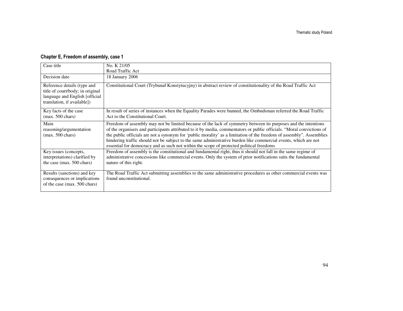## Chapter E, Freedom of assembly, case 1

| Case title                                                                                                                       | No. K 21/05                                                                                                                                                                                                                                                                                                                                                                                                                                                                                                                                                                    |
|----------------------------------------------------------------------------------------------------------------------------------|--------------------------------------------------------------------------------------------------------------------------------------------------------------------------------------------------------------------------------------------------------------------------------------------------------------------------------------------------------------------------------------------------------------------------------------------------------------------------------------------------------------------------------------------------------------------------------|
|                                                                                                                                  | Road Traffic Act                                                                                                                                                                                                                                                                                                                                                                                                                                                                                                                                                               |
| Decision date                                                                                                                    | 18 January 2006                                                                                                                                                                                                                                                                                                                                                                                                                                                                                                                                                                |
| Reference details (type and<br>title of court/body; in original<br>language and English [official<br>translation, if available]) | Constitutional Court (Trybunal Konstytucyjny) in abstract review of constitutionality of the Road Traffic Act                                                                                                                                                                                                                                                                                                                                                                                                                                                                  |
| Key facts of the case<br>$(max. 500 \text{ chars})$                                                                              | In result of series of instances when the Equality Parades were banned, the Ombudsman referred the Road Traffic<br>Act to the Constitutional Court.                                                                                                                                                                                                                                                                                                                                                                                                                            |
| Main<br>reasoning/argumentation<br>$(max. 500 \text{ chars})$                                                                    | Freedom of assembly may not be limited because of the lack of symmetry between its purposes and the intentions<br>of the organisers and participants attributed to it by media, commentators or public officials. "Moral convictions of<br>the public officials are not a synonym for 'public morality' as a limitation of the freedom of assembly". Assemblies<br>hindering traffic should not be subject to the same administrative burden like commercial events, which are not<br>essential for democracy and as such not within the scope of protected political freedoms |
| Key issues (concepts,<br>interpretations) clarified by<br>the case (max. 500 chars)                                              | Freedom of assembly is the constitutional and fundamental right, thus it should not fall in the same regime of<br>administrative concessions like commercial events. Only the system of prior notifications suits the fundamental<br>nature of this right.                                                                                                                                                                                                                                                                                                                     |
| Results (sanctions) and key<br>consequences or implications<br>of the case (max. 500 chars)                                      | The Road Traffic Act submitting assemblies to the same administrative procedures as other commercial events was<br>found unconstitutional.                                                                                                                                                                                                                                                                                                                                                                                                                                     |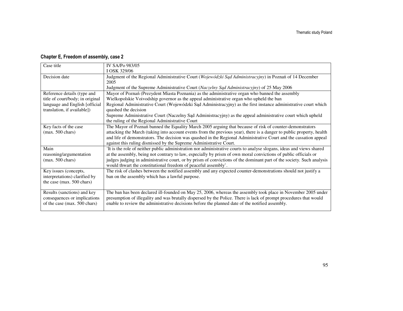## Chapter E, Freedom of assembly, case 2

| Case title                       | IV SA/Po 983/05                                                                                                       |
|----------------------------------|-----------------------------------------------------------------------------------------------------------------------|
|                                  | I OSK 329/06                                                                                                          |
| Decision date                    | Judgment of the Regional Administrative Court (Wojewódzki Sąd Administracyjny) in Poznań of 14 December               |
|                                  | 2005                                                                                                                  |
|                                  | Judgment of the Supreme Administrative Court (Naczelny Sąd Administracyjny) of 25 May 2006                            |
| Reference details (type and      | Mayor of Poznań (Prezydent Miasta Poznania) as the administrative organ who banned the assembly                       |
| title of court/body; in original | Wielkopolskie Voivodship governor as the appeal administrative organ who upheld the ban                               |
| language and English [official   | Regional Administrative Court (Wojewódzki Sąd Administracyjny) as the first instance administrative court which       |
| translation, if available])      | quashed the decision                                                                                                  |
|                                  | Supreme Administrative Court (Naczelny Sąd Administracyjny) as the appeal administrative court which upheld           |
|                                  | the ruling of the Regional Administrative Court                                                                       |
| Key facts of the case            | The Mayor of Poznań banned the Equality March 2005 arguing that because of risk of counter-demonstrators              |
| $(max. 500 \text{ chars})$       | attacking the March (taking into account events from the previous year), there is a danger to public property, health |
|                                  | and life of demonstrators. The decision was quashed in the Regional Administrative Court and the cassation appeal     |
|                                  | against this ruling dismissed by the Supreme Administrative Court.                                                    |
| Main                             | It is the role of neither public administration nor administrative courts to analyse slogans, ideas and views shared  |
| reasoning/argumentation          | at the assembly, being not contrary to law, especially by prism of own moral convictions of public officials or       |
| $(max. 500 \text{ chars})$       | judges judging in administrative court, or by prism of convictions of the dominant part of the society. Such analysis |
|                                  | would thwart the constitutional freedom of peaceful assembly'.                                                        |
| Key issues (concepts,            | The risk of clashes between the notified assembly and any expected counter-demonstrations should not justify a        |
| interpretations) clarified by    | ban on the assembly which has a lawful purpose.                                                                       |
| the case (max. 500 chars)        |                                                                                                                       |
|                                  |                                                                                                                       |
| Results (sanctions) and key      | The ban has been declared ill-founded on May 25, 2006, whereas the assembly took place in November 2005 under         |
| consequences or implications     | presumption of illegality and was brutally dispersed by the Police. There is lack of prompt procedures that would     |
| of the case (max. 500 chars)     | enable to review the administrative decisions before the planned date of the notified assembly.                       |
|                                  |                                                                                                                       |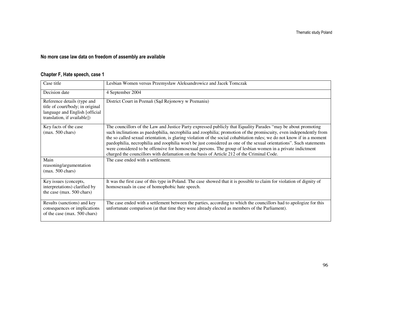## No more case law data on freedom of assembly are available

#### Chapter F, Hate speech, case 1

| Case title                                                                                                                       | Lesbian Women versus Przemysław Aleksandrowicz and Jacek Tomczak                                                                                                                                                                                                                                                                                                                                                                                                                                                                                                                                                                                                                                |
|----------------------------------------------------------------------------------------------------------------------------------|-------------------------------------------------------------------------------------------------------------------------------------------------------------------------------------------------------------------------------------------------------------------------------------------------------------------------------------------------------------------------------------------------------------------------------------------------------------------------------------------------------------------------------------------------------------------------------------------------------------------------------------------------------------------------------------------------|
| Decision date                                                                                                                    | 4 September 2004                                                                                                                                                                                                                                                                                                                                                                                                                                                                                                                                                                                                                                                                                |
| Reference details (type and<br>title of court/body; in original<br>language and English [official<br>translation, if available]) | District Court in Poznań (Sąd Rejonowy w Poznaniu)                                                                                                                                                                                                                                                                                                                                                                                                                                                                                                                                                                                                                                              |
| Key facts of the case<br>$(max. 500 \text{ chars})$                                                                              | The councillors of the Law and Justice Party expressed publicly that Equality Parades "may be about promoting<br>such inclinations as paedophilia, necrophilia and zoophilia; promotion of the promiscuity, even independently from<br>the so called sexual orientation, is glaring violation of the social cohabitation rules; we do not know if in a moment<br>paedophilia, necrophilia and zoophilia won't be just considered as one of the sexual orientations". Such statements<br>were considered to be offensive for homosexual persons. The group of lesbian women in a private indictment<br>charged the councillors with defamation on the basis of Article 212 of the Criminal Code. |
| Main<br>reasoning/argumentation<br>$(max. 500 \text{ chars})$                                                                    | The case ended with a settlement.                                                                                                                                                                                                                                                                                                                                                                                                                                                                                                                                                                                                                                                               |
| Key issues (concepts,<br>interpretations) clarified by<br>the case (max. 500 chars)                                              | It was the first case of this type in Poland. The case showed that it is possible to claim for violation of dignity of<br>homosexuals in case of homophobic hate speech.                                                                                                                                                                                                                                                                                                                                                                                                                                                                                                                        |
| Results (sanctions) and key<br>consequences or implications<br>of the case (max. 500 chars)                                      | The case ended with a settlement between the parties, according to which the councillors had to apologize for this<br>unfortunate comparison (at that time they were already elected as members of the Parliament).                                                                                                                                                                                                                                                                                                                                                                                                                                                                             |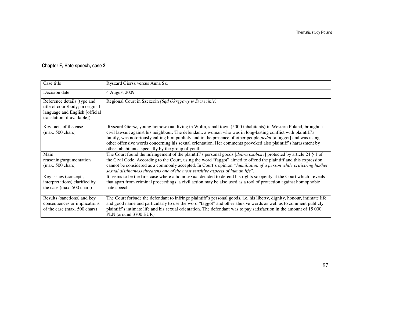## Chapter F, Hate speech, case 2

| Case title                                                                                                                       | Ryszard Giersz versus Anna Sz.                                                                                                                                                                                                                                                                                                                                                                                                                                                                                                  |
|----------------------------------------------------------------------------------------------------------------------------------|---------------------------------------------------------------------------------------------------------------------------------------------------------------------------------------------------------------------------------------------------------------------------------------------------------------------------------------------------------------------------------------------------------------------------------------------------------------------------------------------------------------------------------|
| Decision date                                                                                                                    | 4 August 2009                                                                                                                                                                                                                                                                                                                                                                                                                                                                                                                   |
| Reference details (type and<br>title of court/body; in original<br>language and English [official<br>translation, if available]) | Regional Court in Szczecin (Sąd Okręgowy w Szczecinie)                                                                                                                                                                                                                                                                                                                                                                                                                                                                          |
| Key facts of the case<br>$(max. 500 \text{ chars})$                                                                              | Ryszard Giersz, young homosexual living in Wolin, small town (5000 inhabitants) in Western Poland, brought a<br>civil lawsuit against his neighbour. The defendant, a woman who was in long-lasting conflict with plaintiff's<br>family, was notoriously calling him publicly and in the presence of other people <i>pedal</i> [a faggot] and was using<br>other offensive words concerning his sexual orientation. Her comments provoked also plaintiff's harassment by<br>other inhabitants, specially by the group of youth. |
| Main<br>reasoning/argumentation<br>$(max. 500 \text{ chars})$                                                                    | The Court found the infringement of the plaintiff's personal goods [dobra osobiste] protected by article 24 § 1 of<br>the Civil Code. According to the Court, using the word "faggot" aimed to offend the plaintiff and this expression<br>cannot be considered as a commonly accepted. In Court's opinion "humiliation of a person while criticizing his/her<br>sexual distinctness threatens one of the most sensitive aspects of human life".                                                                                |
| Key issues (concepts,<br>interpretations) clarified by<br>the case (max. 500 chars)                                              | It seems to be the first case where a homosexual decided to defend his rights so openly at the Court which reveals<br>that apart from criminal proceedings, a civil action may be also used as a tool of protection against homophobic<br>hate speech.                                                                                                                                                                                                                                                                          |
| Results (sanctions) and key<br>consequences or implications<br>of the case (max. 500 chars)                                      | The Court forbade the defendant to infringe plaintiff's personal goods, i.e. his liberty, dignity, honour, intimate life<br>and good name and particularly to use the word "faggot" and other abusive words as well as to comment publicly<br>plaintiff's intimate life and his sexual orientation. The defendant was to pay satisfaction in the amount of 15 000<br>PLN (around 3700 EUR).                                                                                                                                     |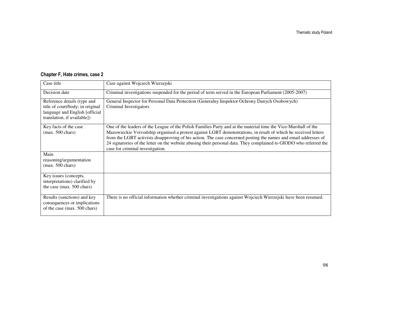| Case title                                                                                                                       | Case against Wojciech Wierzejski                                                                                                                                                                                                                                                                                                                                                                                                                                                                               |
|----------------------------------------------------------------------------------------------------------------------------------|----------------------------------------------------------------------------------------------------------------------------------------------------------------------------------------------------------------------------------------------------------------------------------------------------------------------------------------------------------------------------------------------------------------------------------------------------------------------------------------------------------------|
| Decision date                                                                                                                    | Criminal investigations suspended for the period of term served in the European Parliament (2005-2007)                                                                                                                                                                                                                                                                                                                                                                                                         |
| Reference details (type and<br>title of court/body; in original<br>language and English [official<br>translation, if available]) | General Inspector for Personal Data Protection (Generalny Inspektor Ochrony Danych Osobowych)<br>Criminal Investigators                                                                                                                                                                                                                                                                                                                                                                                        |
| Key facts of the case<br>$(max. 500 \text{ chars})$                                                                              | One of the leaders of the League of the Polish Families Party and at the material time the Vice-Marshall of the<br>Mazowieckie Voivodship organised a protest against LGBT demonstrations, in result of which he received letters<br>from the LGBT activists disapproving of his action. The case concerned posting the names and email addresses of<br>24 signatories of the letter on the website abusing their personal data. They complained to GIODO who referred the<br>case for criminal investigation. |
| Main<br>reasoning/argumentation<br>$(max. 500 \text{ chars})$                                                                    |                                                                                                                                                                                                                                                                                                                                                                                                                                                                                                                |
| Key issues (concepts,<br>interpretations) clarified by<br>the case (max. 500 chars)                                              |                                                                                                                                                                                                                                                                                                                                                                                                                                                                                                                |
| Results (sanctions) and key<br>consequences or implications<br>of the case (max. 500 chars)                                      | There is no official information whether criminal investigations against Wojciech Wierzejski have been resumed.                                                                                                                                                                                                                                                                                                                                                                                                |

#### Chapter F, Hate crimes, case 2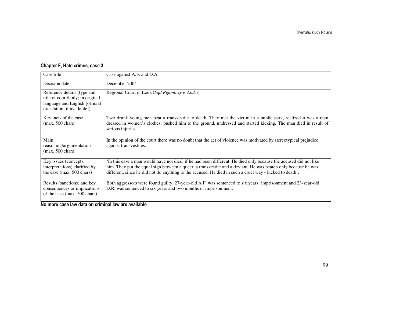## Chapter F, Hate crimes, case 3

| Case title                                                                                                                       | Case against A.F. and D.A.                                                                                                                                                                                                                                                                                                                  |
|----------------------------------------------------------------------------------------------------------------------------------|---------------------------------------------------------------------------------------------------------------------------------------------------------------------------------------------------------------------------------------------------------------------------------------------------------------------------------------------|
| Decision date                                                                                                                    | December 2004                                                                                                                                                                                                                                                                                                                               |
| Reference details (type and<br>title of court/body; in original<br>language and English [official<br>translation, if available]) | Regional Court in Łódź (Sąd Rejonowy w Łodzi)                                                                                                                                                                                                                                                                                               |
| Key facts of the case<br>$(max. 500 \text{ chars})$                                                                              | Two drunk young men beat a transvestite to death. They met the victim in a public park, realized it was a man<br>dressed in women's clothes; pushed him to the ground, undressed and started kicking. The man died in result of<br>serious injuries.                                                                                        |
| Main<br>reasoning/argumentation<br>$(max. 500 \text{ chars})$                                                                    | In the opinion of the court there was no doubt that the act of violence was motivated by stereotypical prejudice<br>against transvestites.                                                                                                                                                                                                  |
| Key issues (concepts,<br>interpretations) clarified by<br>the case (max. 500 chars)                                              | In this case a man would have not died, if he had been different. He died only because the accused did not like<br>him. They put the equal sign between a queer, a transvestite and a deviant. He was beaten only because he was<br>different, since he did not do anything to the accused. He died in such a cruel way - kicked to death'. |
| Results (sanctions) and key<br>consequences or implications<br>of the case (max. 500 chars)                                      | Both aggressors were found guilty. 27-year-old A.F. was sentenced to six years' imprisonment and 23-year-old<br>D.R. was sentenced to six years and two months of imprisonment.                                                                                                                                                             |

No more case law data on criminal law are available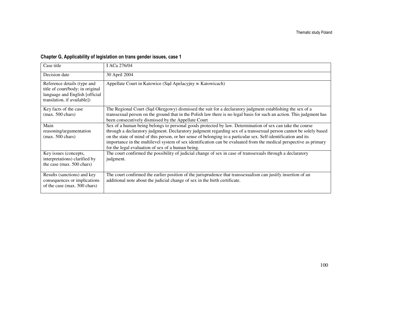## Chapter G, Applicability of legislation on trans gender issues, case 1

| Case title                                                                                                                       | I ACa 276/04                                                                                                                                                                                                                                                                                                                                                                                                                                                                                                                 |
|----------------------------------------------------------------------------------------------------------------------------------|------------------------------------------------------------------------------------------------------------------------------------------------------------------------------------------------------------------------------------------------------------------------------------------------------------------------------------------------------------------------------------------------------------------------------------------------------------------------------------------------------------------------------|
| Decision date                                                                                                                    | 30 April 2004                                                                                                                                                                                                                                                                                                                                                                                                                                                                                                                |
| Reference details (type and<br>title of court/body; in original<br>language and English [official<br>translation, if available]) | Appellate Court in Katowice (Sad Apelacyjny w Katowicach)                                                                                                                                                                                                                                                                                                                                                                                                                                                                    |
| Key facts of the case<br>$(max. 500 \text{ chars})$                                                                              | The Regional Court (Sad Okregowy) dismissed the suit for a declaratory judgment establishing the sex of a<br>transsexual person on the ground that in the Polish law there is no legal basis for such an action. This judgment has<br>been consecutively dismissed by the Appellate Court                                                                                                                                                                                                                                    |
| Main<br>reasoning/argumentation<br>$(max. 500 \text{ chars})$                                                                    | Sex of a human being belongs to personal goods protected by law. Determination of sex can take the course<br>through a declaratory judgment. Declaratory judgment regarding sex of a transsexual person cannot be solely based<br>on the state of mind of this person, or her sense of belonging to a particular sex. Self-identification and its<br>importance in the multilevel system of sex identification can be evaluated from the medical perspective as primary<br>for the legal evaluation of sex of a human being. |
| Key issues (concepts,<br>interpretations) clarified by<br>the case (max. 500 chars)                                              | The court confirmed the possibility of judicial change of sex in case of transsexuals through a declaratory<br>judgment.                                                                                                                                                                                                                                                                                                                                                                                                     |
| Results (sanctions) and key<br>consequences or implications<br>of the case (max. 500 chars)                                      | The court confirmed the earlier position of the jurisprudence that transsexualism can justify insertion of an<br>additional note about the judicial change of sex in the birth certificate.                                                                                                                                                                                                                                                                                                                                  |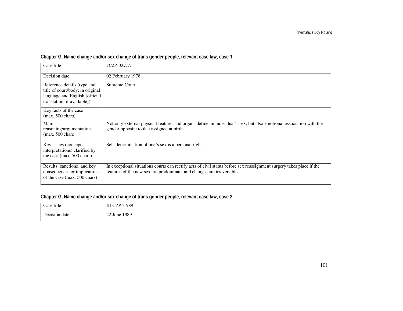## Chapter G, Name change and/or sex change of trans gender people, relevant case law, case 1

| Case title                                                                                                                       | I CZP 100/77.                                                                                                                                                                                 |
|----------------------------------------------------------------------------------------------------------------------------------|-----------------------------------------------------------------------------------------------------------------------------------------------------------------------------------------------|
| Decision date                                                                                                                    | 02 February 1978                                                                                                                                                                              |
| Reference details (type and<br>title of court/body; in original<br>language and English [official<br>translation, if available]) | Supreme Court                                                                                                                                                                                 |
| Key facts of the case<br>$(max. 500 \text{ chars})$                                                                              |                                                                                                                                                                                               |
| Main<br>reasoning/argumentation<br>$(max. 500 \text{ chars})$                                                                    | Not only external physical features and organs define an individual's sex, but also emotional association with the<br>gender opposite to that assigned at birth.                              |
| Key issues (concepts,<br>interpretations) clarified by<br>the case (max. 500 chars)                                              | Self-determination of one's sex is a personal right.                                                                                                                                          |
| Results (sanctions) and key<br>consequences or implications<br>of the case (max. 500 chars)                                      | In exceptional situations courts can rectify acts of civil status before sex reassignment surgery takes place if the<br>features of the new sex are predominant and changes are irreversible. |

#### Chapter G, Name change and/or sex change of trans gender people, relevant case law, case 2

| $\sim$<br>title<br>. '00'<br>. | 37/89<br><b>TT</b><br>ш<br>$\cdot$ . |
|--------------------------------|--------------------------------------|
| $\sqrt{ }$                     | 1989                                 |
| date                           | $\sim$                               |
| 1001c                          | $\sim$                               |
| $\alpha r$                     | $\angle 2$ June $\parallel$          |
| .                              | .                                    |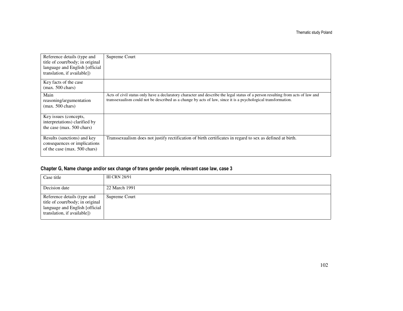| Reference details (type and<br>title of court/body; in original<br>language and English [official<br>translation, if available]) | Supreme Court                                                                                                                                                                                                                                    |
|----------------------------------------------------------------------------------------------------------------------------------|--------------------------------------------------------------------------------------------------------------------------------------------------------------------------------------------------------------------------------------------------|
| Key facts of the case<br>$(max. 500 \text{ chars})$                                                                              |                                                                                                                                                                                                                                                  |
| Main<br>reasoning/argumentation<br>$(max. 500 \text{ chars})$                                                                    | Acts of civil status only have a declaratory character and describe the legal status of a person resulting from acts of law and<br>transsexualism could not be described as a change by acts of law, since it is a psychological transformation. |
| Key issues (concepts,<br>interpretations) clarified by<br>the case (max. 500 chars)                                              |                                                                                                                                                                                                                                                  |
| Results (sanctions) and key<br>consequences or implications<br>of the case (max. 500 chars)                                      | Transsexualism does not justify rectification of birth certificates in regard to sex as defined at birth.                                                                                                                                        |

#### Chapter G, Name change and/or sex change of trans gender people, relevant case law, case 3

| Case title                                                                                                                       | III CRN 28/91 |
|----------------------------------------------------------------------------------------------------------------------------------|---------------|
| Decision date                                                                                                                    | 22 March 1991 |
| Reference details (type and<br>title of court/body; in original<br>language and English [official<br>translation, if available]) | Supreme Court |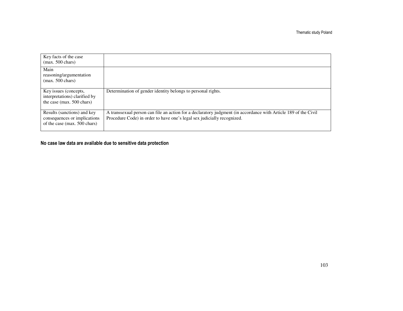| Key facts of the case<br>$(max. 500 \text{ chars})$                                         |                                                                                                                                                                                            |
|---------------------------------------------------------------------------------------------|--------------------------------------------------------------------------------------------------------------------------------------------------------------------------------------------|
| Main<br>reasoning/argumentation<br>$(max. 500 \text{ chars})$                               |                                                                                                                                                                                            |
| Key issues (concepts,<br>interpretations) clarified by<br>the case (max. 500 chars)         | Determination of gender identity belongs to personal rights.                                                                                                                               |
| Results (sanctions) and key<br>consequences or implications<br>of the case (max. 500 chars) | A transsexual person can file an action for a declaratory judgment (in accordance with Article 189 of the Civil<br>Procedure Code) in order to have one's legal sex judicially recognized. |

## No case law data are available due to sensitive data protection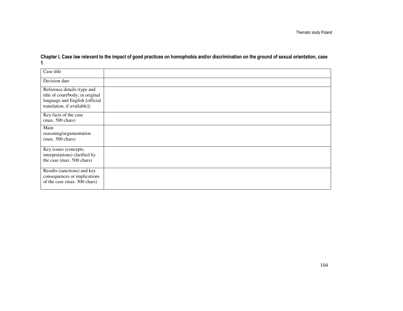Thematic study Poland

| Chapter I, Case law relevant to the impact of good practices on homophobia and/or discrimination on the ground of sexual orientation, case |  |
|--------------------------------------------------------------------------------------------------------------------------------------------|--|
|                                                                                                                                            |  |

| Case title                                                                                                                       |  |
|----------------------------------------------------------------------------------------------------------------------------------|--|
| Decision date                                                                                                                    |  |
| Reference details (type and<br>title of court/body; in original<br>language and English [official<br>translation, if available]) |  |
| Key facts of the case<br>$(max. 500 \text{ chars})$                                                                              |  |
| Main<br>reasoning/argumentation<br>$(max. 500 \text{ chars})$                                                                    |  |
| Key issues (concepts,<br>interpretations) clarified by<br>the case (max. 500 chars)                                              |  |
| Results (sanctions) and key<br>consequences or implications<br>of the case (max. 500 chars)                                      |  |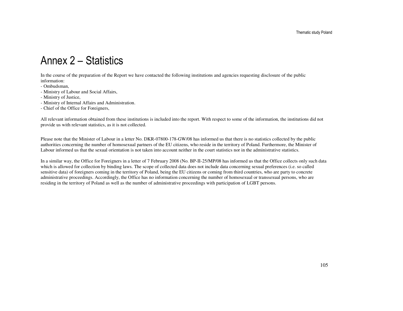# Annex 2 – Statistics

In the course of the preparation of the Report we have contacted the following institutions and agencies requesting disclosure of the public information:

- Ombudsman,
- Ministry of Labour and Social Affairs,
- Ministry of Justice,
- Ministry of Internal Affairs and Administration.
- Chief of the Office for Foreigners,

All relevant information obtained from these institutions is included into the report. With respect to some of the information, the institutions did not provide us with relevant statistics, as it is not collected.

Please note that the Minister of Labour in a letter No. DKR-07800-178-GW/08 has informed us that there is no statistics collected by the public authorities concerning the number of homosexual partners of the EU citizens, who reside in the territory of Poland. Furthermore, the Minister of Labour informed us that the sexual orientation is not taken into account neither in the court statistics nor in the administrative statistics.

In a similar way, the Office for Foreigners in a letter of 7 February 2008 (No. BP-II-25/MP/08 has informed us that the Office collects only such data which is allowed for collection by binding laws. The scope of collected data does not include data concerning sexual preferences (i.e. so called sensitive data) of foreigners coming in the territory of Poland, being the EU citizens or coming from third countries, who are party to concrete administrative proceedings. Accordingly, the Office has no information concerning the number of homosexual or transsexual persons, who are residing in the territory of Poland as well as the number of administrative proceedings with participation of LGBT persons.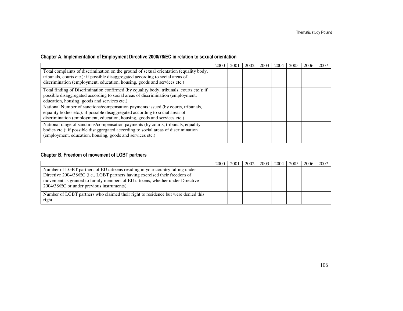## Chapter A, Implementation of Employment Directive 2000/78/EC in relation to sexual orientation

|                                                                                                                                                                                                                                                                                                                                                                                                                                                                                                                                                                                                                           | 2000 | 2001 | 2002 | 2003 | 2004 | 2005 | 200 | 2007 |
|---------------------------------------------------------------------------------------------------------------------------------------------------------------------------------------------------------------------------------------------------------------------------------------------------------------------------------------------------------------------------------------------------------------------------------------------------------------------------------------------------------------------------------------------------------------------------------------------------------------------------|------|------|------|------|------|------|-----|------|
| Total complaints of discrimination on the ground of sexual orientation (equality body,                                                                                                                                                                                                                                                                                                                                                                                                                                                                                                                                    |      |      |      |      |      |      |     |      |
| tribunals, courts etc.): if possible disaggregated according to social areas of                                                                                                                                                                                                                                                                                                                                                                                                                                                                                                                                           |      |      |      |      |      |      |     |      |
| discrimination (employment, education, housing, goods and services etc.)                                                                                                                                                                                                                                                                                                                                                                                                                                                                                                                                                  |      |      |      |      |      |      |     |      |
| Total finding of Discrimination confirmed (by equality body, tribunals, courts etc.): if                                                                                                                                                                                                                                                                                                                                                                                                                                                                                                                                  |      |      |      |      |      |      |     |      |
|                                                                                                                                                                                                                                                                                                                                                                                                                                                                                                                                                                                                                           |      |      |      |      |      |      |     |      |
|                                                                                                                                                                                                                                                                                                                                                                                                                                                                                                                                                                                                                           |      |      |      |      |      |      |     |      |
|                                                                                                                                                                                                                                                                                                                                                                                                                                                                                                                                                                                                                           |      |      |      |      |      |      |     |      |
|                                                                                                                                                                                                                                                                                                                                                                                                                                                                                                                                                                                                                           |      |      |      |      |      |      |     |      |
|                                                                                                                                                                                                                                                                                                                                                                                                                                                                                                                                                                                                                           |      |      |      |      |      |      |     |      |
|                                                                                                                                                                                                                                                                                                                                                                                                                                                                                                                                                                                                                           |      |      |      |      |      |      |     |      |
|                                                                                                                                                                                                                                                                                                                                                                                                                                                                                                                                                                                                                           |      |      |      |      |      |      |     |      |
|                                                                                                                                                                                                                                                                                                                                                                                                                                                                                                                                                                                                                           |      |      |      |      |      |      |     |      |
| possible disaggregated according to social areas of discrimination (employment,<br>education, housing, goods and services etc.)<br>National Number of sanctions/compensation payments issued (by courts, tribunals,<br>equality bodies etc.): if possible disaggregated according to social areas of<br>discrimination (employment, education, housing, goods and services etc.)<br>National range of sanctions/compensation payments (by courts, tribunals, equality<br>bodies etc.): if possible disaggregated according to social areas of discrimination<br>(employment, education, housing, goods and services etc.) |      |      |      |      |      |      |     |      |

## Chapter B, Freedom of movement of LGBT partners

|                                                                                                                                                                                                                                                                                            | 2000 | 2001 | 2002 | 2003 | 2004 | 2005 | 2006 | 2007 |
|--------------------------------------------------------------------------------------------------------------------------------------------------------------------------------------------------------------------------------------------------------------------------------------------|------|------|------|------|------|------|------|------|
| Number of LGBT partners of EU citizens residing in your country falling under<br>Directive 2004/38/EC (i.e., LGBT partners having exercised their freedom of<br>movement as granted to family members of EU citizens, whether under Directive<br>2004/38/EC or under previous instruments) |      |      |      |      |      |      |      |      |
| Number of LGBT partners who claimed their right to residence but were denied this<br>right                                                                                                                                                                                                 |      |      |      |      |      |      |      |      |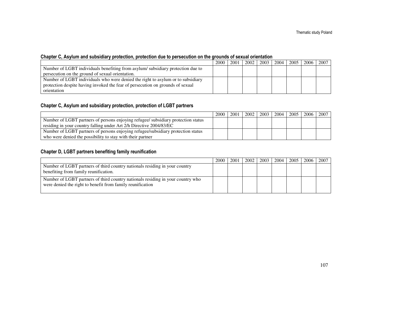#### Chapter C, Asylum and subsidiary protection, protection due to persecution on the grounds of sexual orientation

|                                                                                 | 2000 | 2001 | 2002 | 2003   2004 | 2005 | 2006 l | 2007 |
|---------------------------------------------------------------------------------|------|------|------|-------------|------|--------|------|
| Number of LGBT individuals benefiting from asylum/subsidiary protection due to  |      |      |      |             |      |        |      |
| persecution on the ground of sexual orientation.                                |      |      |      |             |      |        |      |
| Number of LGBT individuals who were denied the right to asylum or to subsidiary |      |      |      |             |      |        |      |
| protection despite having invoked the fear of persecution on grounds of sexual  |      |      |      |             |      |        |      |
| orientation                                                                     |      |      |      |             |      |        |      |

#### Chapter C, Asylum and subsidiary protection, protection of LGBT partners

|                                                                                   | 2000 | 2001 | 2002 | 2003 | 2004 | 2005 | 2006 | 2007 |
|-----------------------------------------------------------------------------------|------|------|------|------|------|------|------|------|
| Number of LGBT partners of persons enjoying refugee/ subsidiary protection status |      |      |      |      |      |      |      |      |
| residing in your country falling under Art 2/h Directive 2004/83/EC               |      |      |      |      |      |      |      |      |
| Number of LGBT partners of persons enjoying refugee/subsidiary protection status  |      |      |      |      |      |      |      |      |
| who were denied the possibility to stay with their partner                        |      |      |      |      |      |      |      |      |

#### Chapter D, LGBT partners benefiting family reunification

|                                                                                 | 2000 | 2001 | 2002 | 2003   2004 | 2005 l | 2006 2007 |  |
|---------------------------------------------------------------------------------|------|------|------|-------------|--------|-----------|--|
| Number of LGBT partners of third country nationals residing in your country     |      |      |      |             |        |           |  |
| benefiting from family reunification.                                           |      |      |      |             |        |           |  |
| Number of LGBT partners of third country nationals residing in your country who |      |      |      |             |        |           |  |
| were denied the right to benefit from family reunification                      |      |      |      |             |        |           |  |
|                                                                                 |      |      |      |             |        |           |  |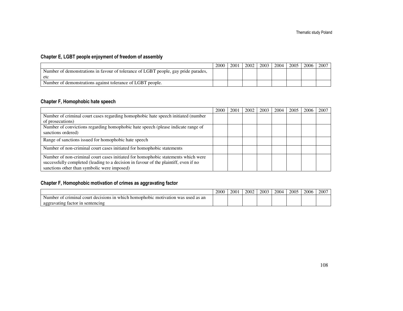## Chapter E, LGBT people enjoyment of freedom of assembly

|                                                                                    | 2000 | 2001 | 2002 | 2003 | 2004 | 2005 | 2006 | 2007 |
|------------------------------------------------------------------------------------|------|------|------|------|------|------|------|------|
| Number of demonstrations in favour of tolerance of LGBT people, gay pride parades, |      |      |      |      |      |      |      |      |
| etc                                                                                |      |      |      |      |      |      |      |      |
| Number of demonstrations against tolerance of LGBT people.                         |      |      |      |      |      |      |      |      |

#### Chapter F, Homophobic hate speech

|                                                                                      | 2000 | 2001 | 2002 | 2003 | 2004 | 2005 | 2006 | 2007 |
|--------------------------------------------------------------------------------------|------|------|------|------|------|------|------|------|
| Number of criminal court cases regarding homophobic hate speech initiated (number    |      |      |      |      |      |      |      |      |
| of prosecutions)                                                                     |      |      |      |      |      |      |      |      |
| Number of convictions regarding homophobic hate speech (please indicate range of     |      |      |      |      |      |      |      |      |
| sanctions ordered)                                                                   |      |      |      |      |      |      |      |      |
| Range of sanctions issued for homophobic hate speech                                 |      |      |      |      |      |      |      |      |
| Number of non-criminal court cases initiated for homophobic statements               |      |      |      |      |      |      |      |      |
| Number of non-criminal court cases initiated for homophobic statements which were    |      |      |      |      |      |      |      |      |
| successfully completed (leading to a decision in favour of the plaintiff, even if no |      |      |      |      |      |      |      |      |
| sanctions other than symbolic were imposed)                                          |      |      |      |      |      |      |      |      |

## Chapter F, Homophobic motivation of crimes as aggravating factor

|                                                                                                               | 2000 | 200 | 2002 | 2003 | 2004 | 2005 | 2006 | 2007 |
|---------------------------------------------------------------------------------------------------------------|------|-----|------|------|------|------|------|------|
| 1n<br>cour<br>which.<br>eriminal.<br>was<br>l as an<br>homophobic<br>decisions<br>motivation<br>; usec<br>nne |      |     |      |      |      |      |      |      |
| vating factor.<br>sentencing<br>1n<br>aggr                                                                    |      |     |      |      |      |      |      |      |